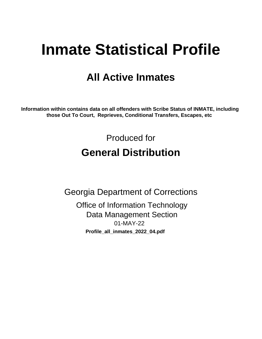# **Inmate Statistical Profile**

# **All Active Inmates**

Information within contains data on all offenders with Scribe Status of INMATE, including those Out To Court, Reprieves, Conditional Transfers, Escapes, etc

> Produced for **General Distribution**

**Georgia Department of Corrections Office of Information Technology Data Management Section** 01-MAY-22 Profile\_all\_inmates\_2022\_04.pdf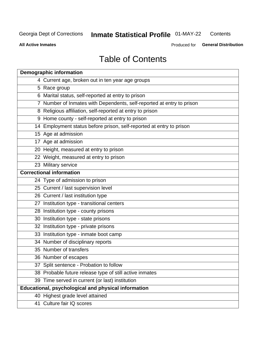#### **Inmate Statistical Profile 01-MAY-22** Contents

**All Active Inmates** 

Produced for General Distribution

# **Table of Contents**

| <b>Demographic information</b>                                        |
|-----------------------------------------------------------------------|
| 4 Current age, broken out in ten year age groups                      |
| 5 Race group                                                          |
| 6 Marital status, self-reported at entry to prison                    |
| 7 Number of Inmates with Dependents, self-reported at entry to prison |
| 8 Religious affiliation, self-reported at entry to prison             |
| 9 Home county - self-reported at entry to prison                      |
| 14 Employment status before prison, self-reported at entry to prison  |
| 15 Age at admission                                                   |
| 17 Age at admission                                                   |
| 20 Height, measured at entry to prison                                |
| 22 Weight, measured at entry to prison                                |
| 23 Military service                                                   |
| <b>Correctional information</b>                                       |
| 24 Type of admission to prison                                        |
| 25 Current / last supervision level                                   |
| 26 Current / last institution type                                    |
| 27 Institution type - transitional centers                            |
| 28 Institution type - county prisons                                  |
| 30 Institution type - state prisons                                   |
| 32 Institution type - private prisons                                 |
| 33 Institution type - inmate boot camp                                |
| 34 Number of disciplinary reports                                     |
| 35 Number of transfers                                                |
| 36 Number of escapes                                                  |
| 37 Split sentence - Probation to follow                               |
| 38 Probable future release type of still active inmates               |
| 39 Time served in current (or last) institution                       |
| Educational, psychological and physical information                   |
| 40 Highest grade level attained                                       |
| 41 Culture fair IQ scores                                             |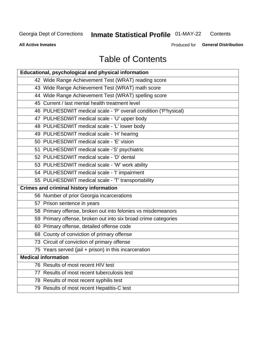# **Inmate Statistical Profile 01-MAY-22**

Contents

**All Active Inmates** 

Produced for General Distribution

# **Table of Contents**

| Educational, psychological and physical information              |
|------------------------------------------------------------------|
| 42 Wide Range Achievement Test (WRAT) reading score              |
| 43 Wide Range Achievement Test (WRAT) math score                 |
| 44 Wide Range Achievement Test (WRAT) spelling score             |
| 45 Current / last mental health treatment level                  |
| 46 PULHESDWIT medical scale - 'P' overall condition ('P'hysical) |
| 47 PULHESDWIT medical scale - 'U' upper body                     |
| 48 PULHESDWIT medical scale - 'L' lower body                     |
| 49 PULHESDWIT medical scale - 'H' hearing                        |
| 50 PULHESDWIT medical scale - 'E' vision                         |
| 51 PULHESDWIT medical scale -'S' psychiatric                     |
| 52 PULHESDWIT medical scale - 'D' dental                         |
| 53 PULHESDWIT medical scale - 'W' work ability                   |
| 54 PULHESDWIT medical scale - 'I' impairment                     |
| 55 PULHESDWIT medical scale - 'T' transportability               |
| <b>Crimes and criminal history information</b>                   |
| 56 Number of prior Georgia incarcerations                        |
| 57 Prison sentence in years                                      |
| 58 Primary offense, broken out into felonies vs misdemeanors     |
| 59 Primary offense, broken out into six broad crime categories   |
| 60 Primary offense, detailed offense code                        |
| 68 County of conviction of primary offense                       |
| 73 Circuit of conviction of primary offense                      |
| 75 Years served (jail + prison) in this incarceration            |
| <b>Medical information</b>                                       |
| 76 Results of most recent HIV test                               |
| 77 Results of most recent tuberculosis test                      |
| 78 Results of most recent syphilis test                          |
| 79 Results of most recent Hepatitis-C test                       |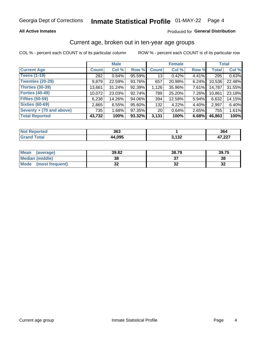### **All Active Inmates**

### Produced for General Distribution

### Current age, broken out in ten-year age groups

COL % - percent each COUNT is of its particular column

|                          |              | <b>Male</b> |        | <b>Female</b>   |        |          | <b>Total</b> |        |
|--------------------------|--------------|-------------|--------|-----------------|--------|----------|--------------|--------|
| <b>Current Age</b>       | <b>Count</b> | Col %       | Row %  | <b>Count</b>    | Col %  | Row %    | <b>Total</b> | Col %  |
| <b>Teens (1-19)</b>      | 282          | 0.64%       | 95.59% | 13              | 0.42%  | 4.41%    | 295          | 0.63%  |
| <b>Twenties (20-29)</b>  | 9,879        | 22.59%      | 93.76% | 657             | 20.98% | $6.24\%$ | 10,536       | 22.48% |
| Thirties (30-39)         | 13,661       | 31.24%      | 92.39% | 1,126           | 35.96% | $7.61\%$ | 14,787       | 31.55% |
| <b>Forties (40-49)</b>   | 10,072       | 23.03%      | 92.74% | 789             | 25.20% | 7.26%    | 10,861       | 23.18% |
| <b>Fifties (50-59)</b>   | 6,238        | 14.26%      | 94.06% | 394             | 12.58% | 5.94%    | 6,632        | 14.15% |
| <b>Sixties (60-69)</b>   | 2,865        | 6.55%       | 95.60% | 132             | 4.22%  | 4.40%    | 2,997        | 6.40%  |
| Seventy + (70 and above) | 735          | 1.68%       | 97.35% | 20 <sub>1</sub> | 0.64%  | $2.65\%$ | 755          | 1.61%  |
| <b>Total Reported</b>    | 43,732       | 100%        | 93.32% | 3,131           | 100%   | 6.68%    | 46,863       | 100%   |

| <b>Not</b><br><b>Endrifed</b> | 363   |                       | 364            |
|-------------------------------|-------|-----------------------|----------------|
| Total                         | 4,095 | <b>ממו</b> כ<br>1 J A | 17.02<br>ا عمر |

| <b>Mean</b><br>(average) | 39.82    | 38.79 | 39.75    |
|--------------------------|----------|-------|----------|
| Median (middle)          | 38       |       | 38       |
| Mode<br>(most frequent)  | n,<br>◡▴ | ◡▵    | 50<br>⊾ت |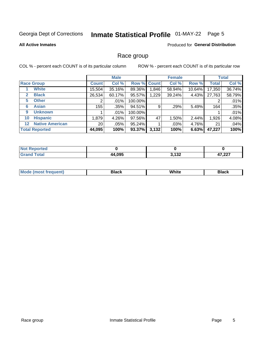# Inmate Statistical Profile 01-MAY-22 Page 5

#### **All Active Inmates**

### Produced for General Distribution

### Race group

COL % - percent each COUNT is of its particular column

|                                   |                 | <b>Male</b> |         |             | <b>Female</b> |        |              | <b>Total</b> |  |
|-----------------------------------|-----------------|-------------|---------|-------------|---------------|--------|--------------|--------------|--|
| <b>Race Group</b>                 | <b>Count</b>    | Col %       |         | Row % Count | Col %         | Row %  | <b>Total</b> | Col %        |  |
| <b>White</b>                      | 15,504          | 35.16%      | 89.36%  | 1,846       | 58.94%        | 10.64% | 17,350       | 36.74%       |  |
| <b>Black</b><br>2                 | 26,534          | 60.17%      | 95.57%  | 1,229       | 39.24%        | 4.43%  | 27,763       | 58.79%       |  |
| <b>Other</b><br>5.                |                 | $.01\%$     | 100.00% |             |               |        | 2            | .01%         |  |
| <b>Asian</b><br>6                 | 155             | .35%        | 94.51%  | 9           | .29%          | 5.49%  | 164          | .35%         |  |
| <b>Unknown</b><br>9               |                 | $.01\%$     | 100.00% |             |               |        |              | .01%         |  |
| <b>Hispanic</b><br>10             | 1,879           | 4.26%       | 97.56%  | 47          | 1.50%         | 2.44%  | 1,926        | 4.08%        |  |
| <b>Native American</b><br>$12 \,$ | 20 <sub>1</sub> | $.05\%$     | 95.24%  |             | .03%          | 4.76%  | 21           | .04%         |  |
| <b>Total Reported</b>             | 44,095          | 100%        | 93.37%  | 3,132       | 100%          | 6.63%  | 47,227       | 100%         |  |

| orted<br>m. |        |                |                 |
|-------------|--------|----------------|-----------------|
| `otal       | 44,095 | 0.400<br>J.IJZ | 17.02<br>41.ZZI |

| m | <br>w |  |
|---|-------|--|
|   |       |  |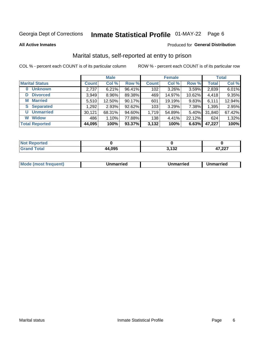# Inmate Statistical Profile 01-MAY-22 Page 6

**All Active Inmates** 

#### Produced for General Distribution

### Marital status, self-reported at entry to prison

COL % - percent each COUNT is of its particular column

|                            | <b>Male</b>  |        |        |              | <b>Female</b> | <b>Total</b> |              |        |
|----------------------------|--------------|--------|--------|--------------|---------------|--------------|--------------|--------|
| <b>Marital Status</b>      | <b>Count</b> | Col %  | Row %  | <b>Count</b> | Col %         | Row %        | <b>Total</b> | Col %  |
| <b>Unknown</b><br>$\bf{0}$ | 2,737        | 6.21%  | 96.41% | 102          | 3.26%         | 3.59%        | 2,839        | 6.01%  |
| <b>Divorced</b><br>D       | 3,949        | 8.96%  | 89.38% | 469          | 14.97%        | 10.62%       | 4,418        | 9.35%  |
| <b>Married</b><br>М        | 5,510        | 12.50% | 90.17% | 601          | 19.19%        | 9.83%        | 6,111        | 12.94% |
| <b>Separated</b><br>S.     | 1,292        | 2.93%  | 92.62% | 103          | 3.29%         | 7.38%        | 1,395        | 2.95%  |
| <b>Unmarried</b><br>U      | 30,121       | 68.31% | 94.60% | 1,719        | 54.89%        | 5.40%        | 31,840       | 67.42% |
| <b>Widow</b><br>W          | 486          | 1.10%  | 77.88% | 138          | 4.41%         | 22.12%       | 624          | 1.32%  |
| <b>Total Reported</b>      | 44,095       | 100%   | 93.37% | 3,132        | 100%          | 6.63%        | 47,227       | 100%   |

| morted in<br>NOT |       |              |               |
|------------------|-------|--------------|---------------|
| <b>Total</b>     | 4,095 | 122<br>J.IJZ | 7.02<br>,44 I |

|--|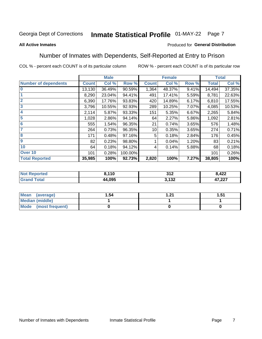#### Inmate Statistical Profile 01-MAY-22 Page 7

#### **All Active Inmates**

### Produced for General Distribution

### Number of Inmates with Dependents, Self-Reported at Entry to Prison

COL % - percent each COUNT is of its particular column

|                             |              | <b>Male</b> |         |              | <b>Female</b> |       |              | <b>Total</b> |
|-----------------------------|--------------|-------------|---------|--------------|---------------|-------|--------------|--------------|
| <b>Number of dependents</b> | <b>Count</b> | Col %       | Row %   | <b>Count</b> | Col %         | Row % | <b>Total</b> | Col %        |
| l 0                         | 13,130       | 36.49%      | 90.59%  | 1,364        | 48.37%        | 9.41% | 14,494       | 37.35%       |
|                             | 8,290        | 23.04%      | 94.41%  | 491          | 17.41%        | 5.59% | 8,781        | 22.63%       |
| $\overline{2}$              | 6,390        | 17.76%      | 93.83%  | 420          | 14.89%        | 6.17% | 6,810        | 17.55%       |
| $\overline{\mathbf{3}}$     | 3,796        | 10.55%      | 92.93%  | 289          | 10.25%        | 7.07% | 4,085        | 10.53%       |
| 4                           | 2,114        | 5.87%       | 93.33%  | 151          | 5.35%         | 6.67% | 2,265        | 5.84%        |
| $\overline{\mathbf{5}}$     | 1,028        | 2.86%       | 94.14%  | 64           | 2.27%         | 5.86% | 1,092        | 2.81%        |
| 6                           | 555          | 1.54%       | 96.35%  | 21           | 0.74%         | 3.65% | 576          | 1.48%        |
| 7                           | 264          | 0.73%       | 96.35%  | 10           | 0.35%         | 3.65% | 274          | 0.71%        |
| $\overline{\mathbf{8}}$     | 171          | 0.48%       | 97.16%  | 5            | 0.18%         | 2.84% | 176          | 0.45%        |
| 9                           | 82           | 0.23%       | 98.80%  |              | 0.04%         | 1.20% | 83           | 0.21%        |
| 10                          | 64           | 0.18%       | 94.12%  | 4            | 0.14%         | 5.88% | 68           | 0.18%        |
| Over 10                     | 101          | 0.28%       | 100.00% |              |               |       | 101          | 0.26%        |
| <b>Total Reported</b>       | 35,985       | 100%        | 92.73%  | 2,820        | 100%          | 7.27% | 38,805       | 100%         |

| <b>140</b><br>1 U | つイワ<br>.   | 8,422<br>----    |
|-------------------|------------|------------------|
| .095              | イクク<br>19Z | דמה דו<br>41.ZZT |

| Mean (average)       | l.54 | ו ?י | 51.، |
|----------------------|------|------|------|
| Median (middle)      |      |      |      |
| Mode (most frequent) |      |      |      |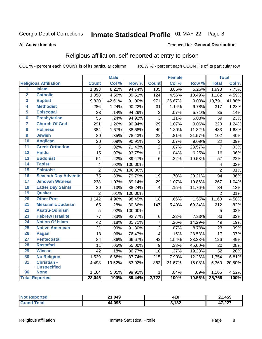# Inmate Statistical Profile 01-MAY-22 Page 8

#### **All Active Inmates**

#### Produced for General Distribution

### Religious affiliation, self-reported at entry to prison

COL % - percent each COUNT is of its particular column

|                         |                              |                 | <b>Male</b> |         |                         | <b>Female</b> |                  |                 | <b>Total</b> |
|-------------------------|------------------------------|-----------------|-------------|---------|-------------------------|---------------|------------------|-----------------|--------------|
|                         | <b>Religious Affiliation</b> | <b>Count</b>    | Col %       | Row %   | <b>Count</b>            | Col %         | Row <sup>%</sup> | <b>Total</b>    | Col %        |
| $\overline{1}$          | <b>Islam</b>                 | 1,893           | 8.21%       | 94.74%  | 105                     | 3.86%         | 5.26%            | 1,998           | 7.75%        |
| $\overline{\mathbf{2}}$ | <b>Catholic</b>              | 1,058           | 4.59%       | 89.51%  | 124                     | 4.56%         | 10.49%           | 1,182           | 4.59%        |
| 3                       | <b>Baptist</b>               | 9,820           | 42.61%      | 91.00%  | 971                     | 35.67%        | 9.00%            | 10,791          | 41.88%       |
| 4                       | <b>Methodist</b>             | 286             | 1.24%       | 90.22%  | 31                      | 1.14%         | 9.78%            | 317             | 1.23%        |
| 5                       | <b>Episcopal</b>             | 33              | .14%        | 94.29%  | $\mathbf 2$             | .07%          | 5.71%            | 35              | .14%         |
| $\overline{\bf{6}}$     | <b>Presbyterian</b>          | 56              | .24%        | 94.92%  | $\overline{3}$          | .11%          | 5.08%            | 59              | .23%         |
| 7                       | <b>Church Of God</b>         | 291             | 1.26%       | 90.94%  | 29                      | 1.07%         | 9.06%            | 320             | 1.24%        |
| $\overline{\mathbf{8}}$ | <b>Holiness</b>              | 384             | 1.67%       | 88.68%  | 49                      | 1.80%         | 11.32%           | 433             | 1.68%        |
| $\overline{9}$          | <b>Jewish</b>                | 80              | .35%        | 78.43%  | 22                      | .81%          | 21.57%           | 102             | .40%         |
| 10                      | <b>Anglican</b>              | 20              | .09%        | 90.91%  | $\boldsymbol{2}$        | .07%          | 9.09%            | 22              | .09%         |
| $\overline{11}$         | <b>Greek Orthodox</b>        | 5               | .02%        | 71.43%  | $\overline{2}$          | .07%          | 28.57%           | $\overline{7}$  | .03%         |
| 12                      | <b>Hindu</b>                 | $\overline{15}$ | .07%        | 93.75%  | $\overline{1}$          | .04%          | 6.25%            | 16              | .06%         |
| 13                      | <b>Buddhist</b>              | $\overline{51}$ | .22%        | 89.47%  | 6                       | .22%          | 10.53%           | 57              | .22%         |
| 14                      | <b>Taoist</b>                | $\overline{4}$  | .02%        | 100.00% |                         |               |                  | 4               | .02%         |
| 15                      | <b>Shintoist</b>             | $\overline{2}$  | .01%        | 100.00% |                         |               |                  | $\overline{2}$  | .01%         |
| 16                      | <b>Seventh Day Adventist</b> | 75              | .33%        | 79.79%  | 19                      | .70%          | 20.21%           | 94              | .36%         |
| 17                      | <b>Jehovah Witness</b>       | 238             | 1.03%       | 89.14%  | 29                      | 1.07%         | 10.86%           | 267             | 1.04%        |
| 18                      | <b>Latter Day Saints</b>     | 30              | .13%        | 88.24%  | 4                       | .15%          | 11.76%           | 34              | .13%         |
| 19                      | Quaker                       | $\overline{2}$  | .01%        | 100.00% |                         |               |                  | $\overline{2}$  | .01%         |
| 20                      | <b>Other Prot</b>            | 1,142           | 4.96%       | 98.45%  | 18                      | .66%          | 1.55%            | 1,160           | 4.50%        |
| 21                      | <b>Messianic Judaism</b>     | 65              | .28%        | 30.66%  | 147                     | 5.40%         | 69.34%           | 212             | .82%         |
| 22                      | <b>Asatru-Odinism</b>        | 5               | .02%        | 100.00% |                         |               |                  | 5               | .02%         |
| 23                      | <b>Hebrew Israelite</b>      | $\overline{77}$ | .33%        | 92.77%  | 6                       | .22%          | 7.23%            | 83              | .32%         |
| 24                      | <b>Nation Of Islam</b>       | 42              | .18%        | 85.71%  | $\overline{7}$          | .26%          | 14.29%           | 49              | .19%         |
| 25                      | <b>Native American</b>       | $\overline{21}$ | .09%        | 91.30%  | $\overline{2}$          | .07%          | 8.70%            | $\overline{23}$ | .09%         |
| 26                      | Pagan                        | 13              | .06%        | 76.47%  | $\overline{\mathbf{4}}$ | .15%          | 23.53%           | 17              | .07%         |
| 27                      | <b>Pentecostal</b>           | 84              | .36%        | 66.67%  | 42                      | 1.54%         | 33.33%           | 126             | .49%         |
| 28                      | <b>Rastafari</b>             | 11              | .05%        | 55.00%  | $9\,$                   | .33%          | 45.00%           | 20              | .08%         |
| 29                      | <b>Wiccan</b>                | 42              | .18%        | 80.77%  | 10                      | .37%          | 19.23%           | $\overline{52}$ | .20%         |
| 30                      | <b>No Religion</b>           | 1,539           | 6.68%       | 87.74%  | 215                     | 7.90%         | 12.26%           | 1,754           | 6.81%        |
| 31                      | Christian -                  | 4,498           | 19.52%      | 83.92%  | 862                     | 31.67%        | 16.08%           | 5,360           | 20.80%       |
|                         | <b>Unspecified</b>           |                 |             |         |                         |               |                  |                 |              |
| 96                      | <b>None</b>                  | 1,164           | 5.05%       | 99.91%  | 1                       | .04%          | .09%             | 1,165           | 4.52%        |
|                         | <b>Total Reported</b>        | 23,046          | 100%        | 89.44%  | 2,722                   | 100%          | 10.56%           | 25,768          | 100%         |

| ted. | 21,049 | . A F                 | ,459                            |
|------|--------|-----------------------|---------------------------------|
| N    |        | 4 I V                 | O4.                             |
|      | 44,095 | <b>2422</b><br>J. 1JZ | 17.02<br>$\mathbf{r}$<br>41,ZZI |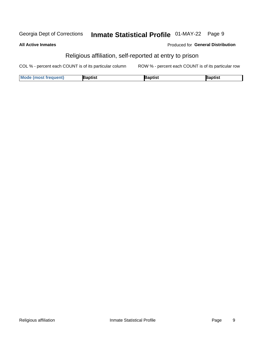#### Inmate Statistical Profile 01-MAY-22 Page 9 Georgia Dept of Corrections

### **All Active Inmates**

### Produced for General Distribution

### Religious affiliation, self-reported at entry to prison

COL % - percent each COUNT is of its particular column ROW % - percent each COUNT is of its particular row

| <b>Mode (most frequent)</b> | Baptist | <b>Baptist</b> | Baptist |
|-----------------------------|---------|----------------|---------|
|-----------------------------|---------|----------------|---------|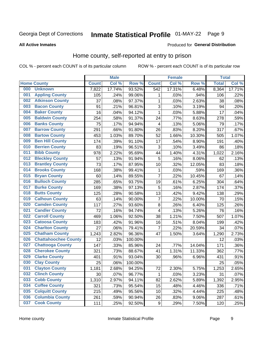# Inmate Statistical Profile 01-MAY-22 Page 9

#### **All Active Inmates**

#### Produced for General Distribution

### Home county, self-reported at entry to prison

COL % - percent each COUNT is of its particular column

|     |                             |              | <b>Male</b> |         |                         | <b>Female</b> |        | <b>Total</b> |        |
|-----|-----------------------------|--------------|-------------|---------|-------------------------|---------------|--------|--------------|--------|
|     | <b>Home County</b>          | <b>Count</b> | Col %       | Row %   | <b>Count</b>            | Col %         | Row %  | <b>Total</b> | Col %  |
| 000 | <b>Unknown</b>              | 7,822        | 17.74%      | 93.52%  | 542                     | 17.31%        | 6.48%  | 8,364        | 17.71% |
| 001 | <b>Appling County</b>       | 105          | .24%        | 99.06%  | 1                       | .03%          | .94%   | 106          | .22%   |
| 002 | <b>Atkinson County</b>      | 37           | .08%        | 97.37%  | 1                       | .03%          | 2.63%  | 38           | .08%   |
| 003 | <b>Bacon County</b>         | 91           | .21%        | 96.81%  | 3                       | .10%          | 3.19%  | 94           | .20%   |
| 004 | <b>Baker County</b>         | 16           | .04%        | 94.12%  | 1                       | .03%          | 5.88%  | 17           | .04%   |
| 005 | <b>Baldwin County</b>       | 254          | .58%        | 91.37%  | 24                      | .77%          | 8.63%  | 278          | .59%   |
| 006 | <b>Banks County</b>         | 75           | .17%        | 94.94%  | $\overline{4}$          | .13%          | 5.06%  | 79           | .17%   |
| 007 | <b>Barrow County</b>        | 291          | .66%        | 91.80%  | 26                      | .83%          | 8.20%  | 317          | .67%   |
| 008 | <b>Bartow County</b>        | 453          | 1.03%       | 89.70%  | 52                      | 1.66%         | 10.30% | 505          | 1.07%  |
| 009 | <b>Ben Hill County</b>      | 174          | .39%        | 91.10%  | 17                      | .54%          | 8.90%  | 191          | .40%   |
| 010 | <b>Berrien County</b>       | 83           | .19%        | 96.51%  | 3                       | .10%          | 3.49%  | 86           | .18%   |
| 011 | <b>Bibb County</b>          | 978          | 2.22%       | 95.69%  | 44                      | 1.40%         | 4.31%  | 1,022        | 2.16%  |
| 012 | <b>Bleckley County</b>      | 57           | .13%        | 91.94%  | 5                       | .16%          | 8.06%  | 62           | .13%   |
| 013 | <b>Brantley County</b>      | 73           | .17%        | 87.95%  | 10                      | .32%          | 12.05% | 83           | .18%   |
| 014 | <b>Brooks County</b>        | 168          | .38%        | 99.41%  | 1                       | .03%          | .59%   | 169          | .36%   |
| 015 | <b>Bryan County</b>         | 60           | .14%        | 89.55%  | $\overline{7}$          | .22%          | 10.45% | 67           | .14%   |
| 016 | <b>Bulloch County</b>       | 285          | .65%        | 93.75%  | 19                      | .61%          | 6.25%  | 304          | .64%   |
| 017 | <b>Burke County</b>         | 169          | .38%        | 97.13%  | 5                       | .16%          | 2.87%  | 174          | .37%   |
| 018 | <b>Butts County</b>         | 125          | .28%        | 90.58%  | 13                      | .42%          | 9.42%  | 138          | .29%   |
| 019 | <b>Calhoun County</b>       | 63           | .14%        | 90.00%  | $\overline{7}$          | .22%          | 10.00% | 70           | .15%   |
| 020 | <b>Camden County</b>        | 117          | .27%        | 93.60%  | $\bf 8$                 | .26%          | 6.40%  | 125          | .26%   |
| 021 | <b>Candler County</b>       | 72           | .16%        | 94.74%  | $\overline{\mathbf{4}}$ | .13%          | 5.26%  | 76           | .16%   |
| 022 | <b>Carroll County</b>       | 469          | 1.06%       | 92.50%  | 38                      | 1.21%         | 7.50%  | 507          | 1.07%  |
| 023 | <b>Catoosa County</b>       | 183          | .42%        | 91.96%  | 16                      | .51%          | 8.04%  | 199          | .42%   |
| 024 | <b>Charlton County</b>      | 27           | .06%        | 79.41%  | $\overline{7}$          | .22%          | 20.59% | 34           | .07%   |
| 025 | <b>Chatham County</b>       | 1,243        | 2.82%       | 96.36%  | 47                      | 1.50%         | 3.64%  | 1,290        | 2.73%  |
| 026 | <b>Chattahoochee County</b> | 12           | .03%        | 100.00% |                         |               |        | 12           | .03%   |
| 027 | <b>Chattooga County</b>     | 147          | .33%        | 85.96%  | 24                      | .77%          | 14.04% | 171          | .36%   |
| 028 | <b>Cherokee County</b>      | 321          | .73%        | 88.67%  | 41                      | 1.31%         | 11.33% | 362          | .77%   |
| 029 | <b>Clarke County</b>        | 401          | .91%        | 93.04%  | 30                      | .96%          | 6.96%  | 431          | .91%   |
| 030 | <b>Clay County</b>          | 25           | .06%        | 100.00% |                         |               |        | 25           | .05%   |
| 031 | <b>Clayton County</b>       | 1,181        | 2.68%       | 94.25%  | 72                      | 2.30%         | 5.75%  | 1,253        | 2.65%  |
| 032 | <b>Clinch County</b>        | 30           | .07%        | 96.77%  | 1                       | .03%          | 3.23%  | 31           | .07%   |
| 033 | <b>Cobb County</b>          | 1,310        | 2.97%       | 94.11%  | 82                      | 2.62%         | 5.89%  | 1,392        | 2.95%  |
| 034 | <b>Coffee County</b>        | 321          | .73%        | 95.54%  | 15                      | .48%          | 4.46%  | 336          | .71%   |
| 035 | <b>Colquitt County</b>      | 215          | .49%        | 95.56%  | 10                      | .32%          | 4.44%  | 225          | .48%   |
| 036 | <b>Columbia County</b>      | 261          | .59%        | 90.94%  | 26                      | .83%          | 9.06%  | 287          | .61%   |
| 037 | <b>Cook County</b>          | 111          | .25%        | 92.50%  | $\boldsymbol{9}$        | .29%          | 7.50%  | 120          | .25%   |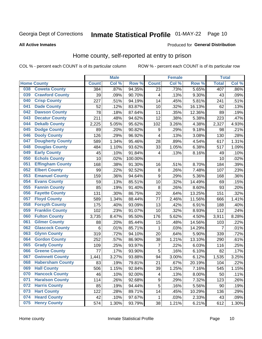# Inmate Statistical Profile 01-MAY-22 Page 10

#### **All Active Inmates**

#### Produced for General Distribution

### Home county, self-reported at entry to prison

COL % - percent each COUNT is of its particular column

|     |                         |              | <b>Male</b> |         |                  | <b>Female</b> |        | <b>Total</b>   |       |
|-----|-------------------------|--------------|-------------|---------|------------------|---------------|--------|----------------|-------|
|     | <b>Home County</b>      | <b>Count</b> | Col %       | Row %   | <b>Count</b>     | Col %         | Row %  | <b>Total</b>   | Col % |
| 038 | <b>Coweta County</b>    | 384          | .87%        | 94.35%  | 23               | .73%          | 5.65%  | 407            | .86%  |
| 039 | <b>Crawford County</b>  | 39           | .09%        | 90.70%  | 4                | .13%          | 9.30%  | 43             | .09%  |
| 040 | <b>Crisp County</b>     | 227          | .51%        | 94.19%  | 14               | .45%          | 5.81%  | 241            | .51%  |
| 041 | <b>Dade County</b>      | 52           | .12%        | 83.87%  | 10               | .32%          | 16.13% | 62             | .13%  |
| 042 | <b>Dawson County</b>    | 78           | .18%        | 87.64%  | 11               | .35%          | 12.36% | 89             | .19%  |
| 043 | <b>Decatur County</b>   | 211          | .48%        | 94.62%  | 12               | .38%          | 5.38%  | 223            | .47%  |
| 044 | <b>Dekalb County</b>    | 2,225        | 5.05%       | 95.62%  | 102              | 3.26%         | 4.38%  | 2,327          | 4.93% |
| 045 | <b>Dodge County</b>     | 89           | .20%        | 90.82%  | $\boldsymbol{9}$ | .29%          | 9.18%  | 98             | .21%  |
| 046 | <b>Dooly County</b>     | 126          | .29%        | 96.92%  | $\overline{4}$   | .13%          | 3.08%  | 130            | .28%  |
| 047 | <b>Dougherty County</b> | 589          | 1.34%       | 95.46%  | 28               | .89%          | 4.54%  | 617            | 1.31% |
| 048 | <b>Douglas County</b>   | 484          | 1.10%       | 93.62%  | 33               | 1.05%         | 6.38%  | 517            | 1.09% |
| 049 | <b>Early County</b>     | 45           | .10%        | 91.84%  | 4                | .13%          | 8.16%  | 49             | .10%  |
| 050 | <b>Echols County</b>    | 10           | .02%        | 100.00% |                  |               |        | 10             | .02%  |
| 051 | <b>Effingham County</b> | 168          | .38%        | 91.30%  | 16               | .51%          | 8.70%  | 184            | .39%  |
| 052 | <b>Elbert County</b>    | 99           | .22%        | 92.52%  | $\bf 8$          | .26%          | 7.48%  | 107            | .23%  |
| 053 | <b>Emanuel County</b>   | 159          | .36%        | 94.64%  | $\boldsymbol{9}$ | .29%          | 5.36%  | 168            | .36%  |
| 054 | <b>Evans County</b>     | 59           | .13%        | 85.51%  | 10               | .32%          | 14.49% | 69             | .15%  |
| 055 | <b>Fannin County</b>    | 85           | .19%        | 91.40%  | $\bf 8$          | .26%          | 8.60%  | 93             | .20%  |
| 056 | <b>Fayette County</b>   | 131          | .30%        | 86.75%  | 20               | .64%          | 13.25% | 151            | .32%  |
| 057 | <b>Floyd County</b>     | 589          | 1.34%       | 88.44%  | 77               | 2.46%         | 11.56% | 666            | 1.41% |
| 058 | <b>Forsyth County</b>   | 175          | .40%        | 93.09%  | 13               | .42%          | 6.91%  | 188            | .40%  |
| 059 | <b>Franklin County</b>  | 102          | .23%        | 91.07%  | 10               | .32%          | 8.93%  | 112            | .24%  |
| 060 | <b>Fulton County</b>    | 3,735        | 8.47%       | 95.50%  | 176              | 5.62%         | 4.50%  | 3,911          | 8.28% |
| 061 | <b>Gilmer County</b>    | 88           | .20%        | 85.44%  | 15               | .48%          | 14.56% | 103            | .22%  |
| 062 | <b>Glascock County</b>  | 6            | .01%        | 85.71%  | 1                | .03%          | 14.29% | $\overline{7}$ | .01%  |
| 063 | <b>Glynn County</b>     | 319          | .72%        | 94.10%  | 20               | .64%          | 5.90%  | 339            | .72%  |
| 064 | <b>Gordon County</b>    | 252          | .57%        | 86.90%  | 38               | 1.21%         | 13.10% | 290            | .61%  |
| 065 | <b>Grady County</b>     | 109          | .25%        | 93.97%  | $\overline{7}$   | .22%          | 6.03%  | 116            | .25%  |
| 066 | <b>Greene County</b>    | 77           | .17%        | 93.90%  | 5                | .16%          | 6.10%  | 82             | .17%  |
| 067 | <b>Gwinnett County</b>  | 1,441        | 3.27%       | 93.88%  | 94               | 3.00%         | 6.12%  | 1,535          | 3.25% |
| 068 | <b>Habersham County</b> | 83           | .19%        | 79.81%  | 21               | .67%          | 20.19% | 104            | .22%  |
| 069 | <b>Hall County</b>      | 506          | 1.15%       | 92.84%  | 39               | 1.25%         | 7.16%  | 545            | 1.15% |
| 070 | <b>Hancock County</b>   | 46           | .10%        | 92.00%  | 4                | .13%          | 8.00%  | 50             | .11%  |
| 071 | <b>Haralson County</b>  | 114          | .26%        | 92.68%  | 9                | .29%          | 7.32%  | 123            | .26%  |
| 072 | <b>Harris County</b>    | 85           | .19%        | 94.44%  | 5                | .16%          | 5.56%  | 90             | .19%  |
| 073 | <b>Hart County</b>      | 122          | .28%        | 89.71%  | 14               | .45%          | 10.29% | 136            | .29%  |
| 074 | <b>Heard County</b>     | 42           | .10%        | 97.67%  | 1                | .03%          | 2.33%  | 43             | .09%  |
| 075 | <b>Henry County</b>     | 574          | 1.30%       | 93.79%  | 38               | 1.21%         | 6.21%  | 612            | 1.30% |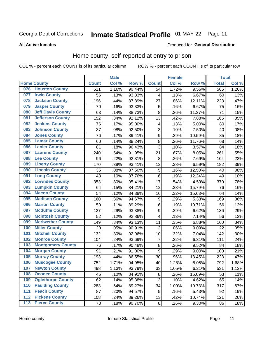# Inmate Statistical Profile 01-MAY-22 Page 11

### **All Active Inmates**

### Produced for General Distribution

### Home county, self-reported at entry to prison

COL % - percent each COUNT is of its particular column

|                  |                          |              | <b>Male</b> |        |                         | <b>Female</b> |        | <b>Total</b> |       |
|------------------|--------------------------|--------------|-------------|--------|-------------------------|---------------|--------|--------------|-------|
|                  | <b>Home County</b>       | <b>Count</b> | Col %       | Row %  | <b>Count</b>            | Col %         | Row %  | <b>Total</b> | Col % |
| 076              | <b>Houston County</b>    | 511          | 1.16%       | 90.44% | 54                      | 1.72%         | 9.56%  | 565          | 1.20% |
| 077              | <b>Irwin County</b>      | 56           | .13%        | 93.33% | 4                       | .13%          | 6.67%  | 60           | .13%  |
| 078              | <b>Jackson County</b>    | 196          | .44%        | 87.89% | 27                      | .86%          | 12.11% | 223          | .47%  |
| 079              | <b>Jasper County</b>     | 70           | .16%        | 93.33% | 5                       | .16%          | 6.67%  | 75           | .16%  |
| 080              | <b>Jeff Davis County</b> | 63           | .14%        | 88.73% | 8                       | .26%          | 11.27% | 71           | .15%  |
| 081              | <b>Jefferson County</b>  | 152          | .34%        | 92.12% | 13                      | .42%          | 7.88%  | 165          | .35%  |
| 082              | <b>Jenkins County</b>    | 76           | .17%        | 95.00% | $\overline{\mathbf{4}}$ | .13%          | 5.00%  | 80           | .17%  |
| 083              | <b>Johnson County</b>    | 37           | .08%        | 92.50% | 3                       | .10%          | 7.50%  | 40           | .08%  |
| 084              | <b>Jones County</b>      | 76           | .17%        | 89.41% | 9                       | .29%          | 10.59% | 85           | .18%  |
| 085              | <b>Lamar County</b>      | 60           | .14%        | 88.24% | $\overline{8}$          | .26%          | 11.76% | 68           | .14%  |
| 086              | <b>Lanier County</b>     | 81           | .18%        | 96.43% | 3                       | .10%          | 3.57%  | 84           | .18%  |
| 087              | <b>Laurens County</b>    | 240          | .54%        | 91.95% | 21                      | .67%          | 8.05%  | 261          | .55%  |
| 088              | <b>Lee County</b>        | 96           | .22%        | 92.31% | 8                       | .26%          | 7.69%  | 104          | .22%  |
| 089              | <b>Liberty County</b>    | 170          | .39%        | 93.41% | 12                      | .38%          | 6.59%  | 182          | .39%  |
| 090              | <b>Lincoln County</b>    | 35           | .08%        | 87.50% | 5                       | .16%          | 12.50% | 40           | .08%  |
| 091              | <b>Long County</b>       | 43           | .10%        | 87.76% | 6                       | .19%          | 12.24% | 49           | .10%  |
| 092              | <b>Lowndes County</b>    | 353          | .80%        | 95.41% | 17                      | .54%          | 4.59%  | 370          | .78%  |
| 093              | <b>Lumpkin County</b>    | 64           | .15%        | 84.21% | 12                      | .38%          | 15.79% | 76           | .16%  |
| 094              | <b>Macon County</b>      | 54           | .12%        | 84.38% | 10                      | .32%          | 15.63% | 64           | .14%  |
| 095              | <b>Madison County</b>    | 160          | .36%        | 94.67% | $\boldsymbol{9}$        | .29%          | 5.33%  | 169          | .36%  |
| 096              | <b>Marion County</b>     | 50           | .11%        | 89.29% | 6                       | .19%          | 10.71% | 56           | .12%  |
| 097              | <b>Mcduffie County</b>   | 127          | .29%        | 93.38% | 9                       | .29%          | 6.62%  | 136          | .29%  |
| 098              | <b>Mcintosh County</b>   | 52           | .12%        | 92.86% | $\overline{\mathbf{4}}$ | .13%          | 7.14%  | 56           | .12%  |
| 099              | <b>Meriwether County</b> | 149          | .34%        | 93.13% | 11                      | .35%          | 6.88%  | 160          | .34%  |
| 100              | <b>Miller County</b>     | 20           | .05%        | 90.91% | $\overline{2}$          | .06%          | 9.09%  | 22           | .05%  |
| 101              | <b>Mitchell County</b>   | 132          | .30%        | 92.96% | 10                      | .32%          | 7.04%  | 142          | .30%  |
| 102              | <b>Monroe County</b>     | 104          | .24%        | 93.69% | $\overline{\mathbf{7}}$ | .22%          | 6.31%  | 111          | .24%  |
| 103              | <b>Montgomery County</b> | 76           | .17%        | 90.48% | 8                       | .26%          | 9.52%  | 84           | .18%  |
| 104              | <b>Morgan County</b>     | 91           | .21%        | 91.00% | 9                       | .29%          | 9.00%  | 100          | .21%  |
| 105              | <b>Murray County</b>     | 193          | .44%        | 86.55% | 30                      | .96%          | 13.45% | 223          | .47%  |
| 106              | <b>Muscogee County</b>   | 752          | 1.71%       | 94.95% | 40                      | 1.28%         | 5.05%  | 792          | 1.68% |
| 107              | <b>Newton County</b>     | 498          | 1.13%       | 93.79% | 33                      | 1.05%         | 6.21%  | 531          | 1.12% |
| 108              | <b>Oconee County</b>     | 45           | .10%        | 84.91% | 8                       | .26%          | 15.09% | 53           | .11%  |
| 109              | <b>Oglethorpe County</b> | 62           | .14%        | 95.38% | 3                       | .10%          | 4.62%  | 65           | .14%  |
| 110              | <b>Paulding County</b>   | 283          | .64%        | 89.27% | 34                      | 1.09%         | 10.73% | 317          | .67%  |
| 111              | <b>Peach County</b>      | 87           | .20%        | 94.57% | 5                       | .16%          | 5.43%  | 92           | .19%  |
| $\overline{112}$ | <b>Pickens County</b>    | 108          | .24%        | 89.26% | 13                      | .42%          | 10.74% | 121          | .26%  |
| 113              | <b>Pierce County</b>     | 78           | .18%        | 90.70% | $\bf 8$                 | .26%          | 9.30%  | 86           | .18%  |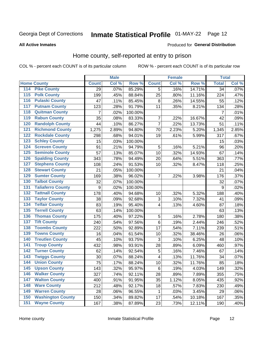#### Inmate Statistical Profile 01-MAY-22 Page 12

#### **All Active Inmates**

#### Produced for General Distribution

### Home county, self-reported at entry to prison

COL % - percent each COUNT is of its particular column

|                  |                          |                  | <b>Male</b> |         |                | <b>Female</b> |        | <b>Total</b>    |       |
|------------------|--------------------------|------------------|-------------|---------|----------------|---------------|--------|-----------------|-------|
|                  | <b>Home County</b>       | <b>Count</b>     | Col %       | Row %   | <b>Count</b>   | Col %         | Row %  | <b>Total</b>    | Col % |
| 114              | <b>Pike County</b>       | 29               | .07%        | 85.29%  | 5              | .16%          | 14.71% | $\overline{34}$ | .07%  |
| 115              | <b>Polk County</b>       | 199              | .45%        | 88.84%  | 25             | .80%          | 11.16% | 224             | .47%  |
| 116              | <b>Pulaski County</b>    | 47               | .11%        | 85.45%  | $\, 8$         | .26%          | 14.55% | 55              | .12%  |
| 117              | <b>Putnam County</b>     | 123              | .28%        | 91.79%  | 11             | .35%          | 8.21%  | 134             | .28%  |
| 118              | <b>Quitman County</b>    | $\overline{7}$   | .02%        | 100.00% |                |               |        | $\overline{7}$  | .01%  |
| 119              | <b>Rabun County</b>      | 35               | .08%        | 83.33%  | 7              | .22%          | 16.67% | 42              | .09%  |
| 120              | <b>Randolph County</b>   | 44               | .10%        | 86.27%  | $\overline{7}$ | .22%          | 13.73% | 51              | .11%  |
| $\overline{121}$ | <b>Richmond County</b>   | 1,275            | 2.89%       | 94.80%  | 70             | 2.23%         | 5.20%  | 1,345           | 2.85% |
| 122              | <b>Rockdale County</b>   | 298              | .68%        | 94.01%  | 19             | .61%          | 5.99%  | 317             | .67%  |
| 123              | <b>Schley County</b>     | 15               | .03%        | 100.00% |                |               |        | 15              | .03%  |
| 124              | <b>Screven County</b>    | 91               | .21%        | 94.79%  | 5              | .16%          | 5.21%  | 96              | .20%  |
| 125              | <b>Seminole County</b>   | 57               | .13%        | 85.07%  | 10             | .32%          | 14.93% | 67              | .14%  |
| 126              | <b>Spalding County</b>   | 343              | .78%        | 94.49%  | 20             | .64%          | 5.51%  | 363             | .77%  |
| 127              | <b>Stephens County</b>   | 108              | .24%        | 91.53%  | 10             | .32%          | 8.47%  | 118             | .25%  |
| 128              | <b>Stewart County</b>    | 21               | .05%        | 100.00% |                |               |        | 21              | .04%  |
| 129              | <b>Sumter County</b>     | 169              | .38%        | 96.02%  | 7              | .22%          | 3.98%  | 176             | .37%  |
| 130              | <b>Talbot County</b>     | 32               | .07%        | 100.00% |                |               |        | 32              | .07%  |
| 131              | <b>Taliaferro County</b> | $\boldsymbol{9}$ | .02%        | 100.00% |                |               |        | 9               | .02%  |
| 132              | <b>Tattnall County</b>   | 178              | .40%        | 94.68%  | 10             | .32%          | 5.32%  | 188             | .40%  |
| 133              | <b>Taylor County</b>     | 38               | .09%        | 92.68%  | 3              | .10%          | 7.32%  | 41              | .09%  |
| 134              | <b>Telfair County</b>    | 83               | .19%        | 95.40%  | 4              | .13%          | 4.60%  | 87              | .18%  |
| 135              | <b>Terrell County</b>    | 63               | .14%        | 100.00% |                |               |        | 63              | .13%  |
| 136              | <b>Thomas County</b>     | 175              | .40%        | 97.22%  | 5              | .16%          | 2.78%  | 180             | .38%  |
| 137              | <b>Tift County</b>       | 240              | .54%        | 97.56%  | 6              | .19%          | 2.44%  | 246             | .52%  |
| 138              | <b>Toombs County</b>     | 222              | .50%        | 92.89%  | 17             | .54%          | 7.11%  | 239             | .51%  |
| 139              | <b>Towns County</b>      | 16               | .04%        | 61.54%  | 10             | .32%          | 38.46% | 26              | .06%  |
| 140              | <b>Treutlen County</b>   | 45               | .10%        | 93.75%  | 3              | .10%          | 6.25%  | 48              | .10%  |
| 141              | <b>Troup County</b>      | 432              | .98%        | 93.91%  | 28             | .89%          | 6.09%  | 460             | .97%  |
| $\overline{142}$ | <b>Turner County</b>     | 62               | .14%        | 92.54%  | 5              | .16%          | 7.46%  | 67              | .14%  |
| 143              | <b>Twiggs County</b>     | 30               | .07%        | 88.24%  | 4              | .13%          | 11.76% | 34              | .07%  |
| 144              | <b>Union County</b>      | 75               | .17%        | 88.24%  | 10             | .32%          | 11.76% | 85              | .18%  |
| 145              | <b>Upson County</b>      | 143              | .32%        | 95.97%  | 6              | .19%          | 4.03%  | 149             | .32%  |
| 146              | <b>Walker County</b>     | 327              | .74%        | 92.11%  | 28             | .89%          | 7.89%  | 355             | .75%  |
| 147              | <b>Walton County</b>     | 400              | .91%        | 91.95%  | 35             | 1.12%         | 8.05%  | 435             | .92%  |
| 148              | <b>Ware County</b>       | 212              | .48%        | 92.17%  | 18             | .57%          | 7.83%  | 230             | .49%  |
| 149              | <b>Warren County</b>     | 28               | .06%        | 96.55%  | $\mathbf{1}$   | .03%          | 3.45%  | 29              | .06%  |
| 150              | <b>Washington County</b> | 150              | .34%        | 89.82%  | 17             | .54%          | 10.18% | 167             | .35%  |
| 151              | <b>Wayne County</b>      | 167              | .38%        | 87.89%  | 23             | .73%          | 12.11% | 190             | .40%  |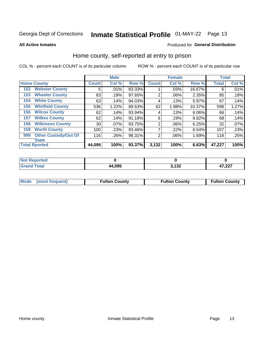# Inmate Statistical Profile 01-MAY-22 Page 13

**All Active Inmates** 

### Produced for General Distribution

### Home county, self-reported at entry to prison

COL % - percent each COUNT is of its particular column

|     |                             |                 | <b>Male</b> |        |                | <b>Female</b> |        | <b>Total</b> |       |
|-----|-----------------------------|-----------------|-------------|--------|----------------|---------------|--------|--------------|-------|
|     | <b>Home County</b>          | <b>Count</b>    | Col %       | Row %  | <b>Count</b>   | Col %         | Row %  | <b>Total</b> | Col % |
| 152 | <b>Webster County</b>       | 5               | .01%        | 83.33% |                | .03%          | 16.67% | 6            | .01%  |
| 153 | <b>Wheeler County</b>       | 83              | .19%        | 97.65% | $\overline{2}$ | .06%          | 2.35%  | 85           | .18%  |
| 154 | <b>White County</b>         | 63              | .14%        | 94.03% | 4              | .13%          | 5.97%  | 67           | .14%  |
| 155 | <b>Whitfield County</b>     | 536             | 1.22%       | 89.63% | 62             | 1.98%         | 10.37% | 598          | 1.27% |
| 156 | <b>Wilcox County</b>        | 62              | .14%        | 93.94% | 4              | .13%          | 6.06%  | 66           | .14%  |
| 157 | <b>Wilkes County</b>        | 62              | .14%        | 91.18% | 6              | .19%          | 8.82%  | 68           | .14%  |
| 158 | <b>Wilkinson County</b>     | 30 <sup>2</sup> | $.07\%$     | 93.75% | $\overline{2}$ | .06%          | 6.25%  | 32           | .07%  |
| 159 | <b>Worth County</b>         | 100             | .23%        | 93.46% | 7              | .22%          | 6.54%  | 107          | .23%  |
| 999 | <b>Other Custody/Out Of</b> | 116             | .26%        | 98.31% | $\overline{2}$ | .06%          | 1.69%  | 118          | .25%  |
|     | <b>State</b>                |                 |             |        |                |               |        |              |       |
|     | <b>Total Rported</b>        | 44,095          | 100%        | 93.37% | 3,132          | 100%          | 6.63%  | 47,227       | 100%  |

| <b>Not</b><br>Reported |        |                     |               |
|------------------------|--------|---------------------|---------------|
| <b>Total</b>           | 44,095 | <b>2422</b><br>. JA | 17.22<br>,441 |

| Mode (most frequent) | <b>Fulton County</b> | <b>Fulton County</b> | <b>Fulton County</b> |
|----------------------|----------------------|----------------------|----------------------|
|                      |                      |                      |                      |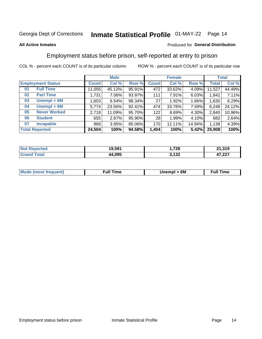# Inmate Statistical Profile 01-MAY-22 Page 14

### **All Active Inmates**

### Produced for General Distribution

### Employment status before prison, self-reported at entry to prison

COL % - percent each COUNT is of its particular column

|                           | <b>Male</b>  |        |        |              | <b>Female</b> |          | <b>Total</b> |        |
|---------------------------|--------------|--------|--------|--------------|---------------|----------|--------------|--------|
| <b>Employment Status</b>  | <b>Count</b> | Col %  | Row %  | <b>Count</b> | Col %         | Row %    | <b>Total</b> | Col %  |
| <b>Full Time</b><br>01    | 11,055       | 45.12% | 95.91% | 472          | 33.62%        | $4.09\%$ | 11,527       | 44.49% |
| <b>Part Time</b><br>02    | 1,731        | 7.06%  | 93.97% | 111          | 7.91%         | 6.03%    | 1.842        | 7.11%  |
| Unempl $<$ 6M<br>03       | ,603         | 6.54%  | 98.34% | 27           | 1.92%         | 1.66%    | 1,630        | 6.29%  |
| Unempl > 6M<br>04         | 5,774        | 23.56% | 92.41% | 474          | 33.76%        | 7.59%    | 6,248        | 24.12% |
| <b>Never Worked</b><br>05 | 2,718        | 11.09% | 95.70% | 122          | 8.69%         | 4.30%    | 2,840        | 10.96% |
| <b>Student</b><br>06      | 655          | 2.67%  | 95.90% | 28           | 1.99%         | 4.10%    | 683          | 2.64%  |
| <b>Incapable</b><br>07    | 968          | 3.95%  | 85.06% | 170          | 12.11%        | 14.94%   | 1,138        | 4.39%  |
| <b>Total Reported</b>     | 24,504       | 100%   | 94.58% | 1,404        | 100%          | 5.42%    | 25,908       | 100%   |

| rted       | 19.591 | 700               | $-1,319$       |
|------------|--------|-------------------|----------------|
| <b>NOT</b> |        | I ZO              | O4.            |
| sta        | 44.095 | 122<br>∡د ۱,<br>. | パラ ヘヘラ<br>.221 |

| <b>Mode (most frequent)</b> | rull 1<br>the contract of the contract of the contract of the contract of the contract of the contract of the contract of | 6M | ïme<br>ιuι<br>the contract of the contract of the contract of the contract of the contract of the contract of the contract of |
|-----------------------------|---------------------------------------------------------------------------------------------------------------------------|----|-------------------------------------------------------------------------------------------------------------------------------|
|                             |                                                                                                                           |    |                                                                                                                               |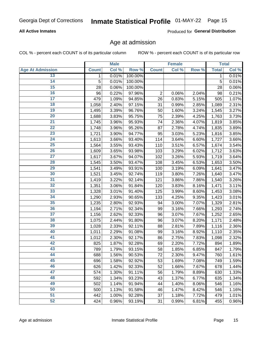### **All Active Inmates**

Produced for General Distribution

### Age at admission

COL % - percent each COUNT is of its particular column

|                         |              | <b>Male</b> |         |                | <b>Female</b> |       |              | <b>Total</b> |
|-------------------------|--------------|-------------|---------|----------------|---------------|-------|--------------|--------------|
| <b>Age At Admission</b> | <b>Count</b> | Col %       | Row %   | <b>Count</b>   | Col %         | Row % | <b>Total</b> | Col %        |
| 13                      | 1            | 0.01%       | 100.00% |                |               |       | 1            | 0.01%        |
| $\overline{14}$         | 5            | 0.01%       | 100.00% |                |               |       | 5            | 0.01%        |
| 15                      | 28           | 0.06%       | 100.00% |                |               |       | 28           | 0.06%        |
| 16                      | 96           | 0.22%       | 97.96%  | $\overline{2}$ | 0.06%         | 2.04% | 98           | 0.21%        |
| $\overline{17}$         | 479          | 1.09%       | 94.85%  | 26             | 0.83%         | 5.15% | 505          | 1.07%        |
| 18                      | 1,058        | 2.40%       | 97.15%  | 31             | 0.99%         | 2.85% | 1,089        | 2.31%        |
| 19                      | 1,495        | 3.39%       | 96.76%  | 50             | 1.60%         | 3.24% | 1,545        | 3.27%        |
| $\overline{20}$         | 1,688        | 3.83%       | 95.75%  | 75             | 2.39%         | 4.25% | 1,763        | 3.73%        |
| $\overline{21}$         | 1,745        | 3.96%       | 95.93%  | 74             | 2.36%         | 4.07% | 1,819        | 3.85%        |
| $\overline{22}$         | 1,748        | 3.96%       | 95.26%  | 87             | 2.78%         | 4.74% | 1,835        | 3.89%        |
| 23                      | 1,721        | 3.90%       | 94.77%  | 95             | 3.03%         | 5.23% | 1,816        | 3.85%        |
| $\overline{24}$         | 1,613        | 3.66%       | 93.40%  | 114            | 3.64%         | 6.60% | 1,727        | 3.66%        |
| $\overline{25}$         | 1,564        | 3.55%       | 93.43%  | 110            | 3.51%         | 6.57% | 1,674        | 3.54%        |
| 26                      | 1,609        | 3.65%       | 93.98%  | 103            | 3.29%         | 6.02% | 1,712        | 3.63%        |
| 27                      | 1,617        | 3.67%       | 94.07%  | 102            | 3.26%         | 5.93% | 1,719        | 3.64%        |
| 28                      | 1,545        | 3.50%       | 93.47%  | 108            | 3.45%         | 6.53% | 1,653        | 3.50%        |
| 29                      | 1,541        | 3.49%       | 93.91%  | 100            | 3.19%         | 6.09% | 1,641        | 3.47%        |
| 30                      | 1,521        | 3.45%       | 92.74%  | 119            | 3.80%         | 7.26% | 1,640        | 3.47%        |
| 31                      | 1,419        | 3.22%       | 92.14%  | 121            | 3.86%         | 7.86% | 1,540        | 3.26%        |
| $\overline{32}$         | 1,351        | 3.06%       | 91.84%  | 120            | 3.83%         | 8.16% | 1,471        | 3.11%        |
| 33                      | 1,328        | 3.01%       | 91.40%  | 125            | 3.99%         | 8.60% | 1,453        | 3.08%        |
| $\overline{34}$         | 1,290        | 2.93%       | 90.65%  | 133            | 4.25%         | 9.35% | 1,423        | 3.01%        |
| 35                      | 1,235        | 2.80%       | 92.93%  | 94             | 3.00%         | 7.07% | 1,329        | 2.81%        |
| 36                      | 1,194        | 2.71%       | 92.34%  | 99             | 3.16%         | 7.66% | 1,293        | 2.74%        |
| $\overline{37}$         | 1,156        | 2.62%       | 92.33%  | 96             | 3.07%         | 7.67% | 1,252        | 2.65%        |
| 38                      | 1,075        | 2.44%       | 91.80%  | 96             | 3.07%         | 8.20% | 1,171        | 2.48%        |
| 39                      | 1,028        | 2.33%       | 92.11%  | 88             | 2.81%         | 7.89% | 1,116        | 2.36%        |
| 40                      | 1,011        | 2.29%       | 91.08%  | 99             | 3.16%         | 8.92% | 1,110        | 2.35%        |
| 41                      | 1,012        | 2.30%       | 92.17%  | 86             | 2.75%         | 7.83% | 1,098        | 2.32%        |
| 42                      | 825          | 1.87%       | 92.28%  | 69             | 2.20%         | 7.72% | 894          | 1.89%        |
| 43                      | 789          | 1.79%       | 93.15%  | 58             | 1.85%         | 6.85% | 847          | 1.79%        |
| 44                      | 688          | 1.56%       | 90.53%  | 72             | 2.30%         | 9.47% | 760          | 1.61%        |
| 45                      | 696          | 1.58%       | 92.92%  | 53             | 1.69%         | 7.08% | 749          | 1.59%        |
| 46                      | 626          | 1.42%       | 92.33%  | 52             | 1.66%         | 7.67% | 678          | 1.44%        |
| 47                      | 574          | 1.30%       | 91.11%  | 56             | 1.79%         | 8.89% | 630          | 1.33%        |
| 48                      | 592          | 1.34%       | 93.23%  | 43             | 1.37%         | 6.77% | 635          | 1.34%        |
| 49                      | 502          | 1.14%       | 91.94%  | 44             | 1.40%         | 8.06% | 546          | 1.16%        |
| 50                      | 500          | 1.13%       | 91.58%  | 46             | 1.47%         | 8.42% | 546          | 1.16%        |
| 51                      | 442          | 1.00%       | 92.28%  | 37             | 1.18%         | 7.72% | 479          | 1.01%        |
| 52                      | 424          | 0.96%       | 93.19%  | 31             | 0.99%         | 6.81% | 455          | 0.96%        |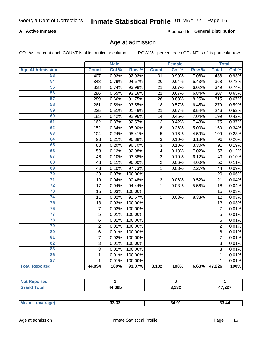### **All Active Inmates**

Produced for General Distribution

### Age at admission

COL % - percent each COUNT is of its particular column

|                         |                | <b>Male</b> |         |                | <b>Female</b> |       |                | <b>Total</b> |
|-------------------------|----------------|-------------|---------|----------------|---------------|-------|----------------|--------------|
| <b>Age At Admission</b> | <b>Count</b>   | Col %       | Row %   | <b>Count</b>   | Col %         | Row % | <b>Total</b>   | Col %        |
| 53                      | 407            | 0.92%       | 92.92%  | 31             | 0.99%         | 7.08% | 438            | 0.93%        |
| 54                      | 348            | 0.79%       | 94.57%  | 20             | 0.64%         | 5.43% | 368            | 0.78%        |
| 55                      | 328            | 0.74%       | 93.98%  | 21             | 0.67%         | 6.02% | 349            | 0.74%        |
| 56                      | 286            | 0.65%       | 93.16%  | 21             | 0.67%         | 6.84% | 307            | 0.65%        |
| $\overline{57}$         | 289            | 0.66%       | 91.75%  | 26             | 0.83%         | 8.25% | 315            | 0.67%        |
| 58                      | 261            | 0.59%       | 93.55%  | 18             | 0.57%         | 6.45% | 279            | 0.59%        |
| 59                      | 225            | 0.51%       | 91.46%  | 21             | 0.67%         | 8.54% | 246            | 0.52%        |
| 60                      | 185            | 0.42%       | 92.96%  | 14             | 0.45%         | 7.04% | 199            | 0.42%        |
| 61                      | 162            | 0.37%       | 92.57%  | 13             | 0.42%         | 7.43% | 175            | 0.37%        |
| 62                      | 152            | 0.34%       | 95.00%  | 8              | 0.26%         | 5.00% | 160            | 0.34%        |
| 63                      | 104            | 0.24%       | 95.41%  | 5              | 0.16%         | 4.59% | 109            | 0.23%        |
| 64                      | 93             | 0.21%       | 96.88%  | $\overline{3}$ | 0.10%         | 3.13% | 96             | 0.20%        |
| 65                      | 88             | 0.20%       | 96.70%  | $\overline{3}$ | 0.10%         | 3.30% | 91             | 0.19%        |
| 66                      | 53             | 0.12%       | 92.98%  | 4              | 0.13%         | 7.02% | 57             | 0.12%        |
| 67                      | 46             | 0.10%       | 93.88%  | 3              | 0.10%         | 6.12% | 49             | 0.10%        |
| 68                      | 48             | 0.11%       | 96.00%  | $\overline{2}$ | 0.06%         | 4.00% | 50             | 0.11%        |
| 69                      | 43             | 0.10%       | 97.73%  | 1              | 0.03%         | 2.27% | 44             | 0.09%        |
| 70                      | 29             | 0.07%       | 100.00% |                |               |       | 29             | 0.06%        |
| $\overline{71}$         | 19             | 0.04%       | 90.48%  | $\overline{2}$ | 0.06%         | 9.52% | 21             | 0.04%        |
| $\overline{72}$         | 17             | 0.04%       | 94.44%  | $\mathbf 1$    | 0.03%         | 5.56% | 18             | 0.04%        |
| $\overline{73}$         | 15             | 0.03%       | 100.00% |                |               |       | 15             | 0.03%        |
| $\overline{74}$         | 11             | 0.02%       | 91.67%  | $\mathbf{1}$   | 0.03%         | 8.33% | 12             | 0.03%        |
| 75                      | 13             | 0.03%       | 100.00% |                |               |       | 13             | 0.03%        |
| 76                      | $\overline{7}$ | 0.02%       | 100.00% |                |               |       | $\overline{7}$ | 0.01%        |
| $\overline{77}$         | $\overline{5}$ | 0.01%       | 100.00% |                |               |       | $\overline{5}$ | 0.01%        |
| 78                      | $\overline{6}$ | 0.01%       | 100.00% |                |               |       | $\,6$          | 0.01%        |
| 79                      | $\overline{2}$ | 0.01%       | 100.00% |                |               |       | $\overline{2}$ | 0.01%        |
| 80                      | $\,6$          | 0.01%       | 100.00% |                |               |       | $\,6$          | 0.01%        |
| 81                      | 7              | 0.02%       | 100.00% |                |               |       | 7              | 0.01%        |
| $\overline{82}$         | 3              | 0.01%       | 100.00% |                |               |       | 3              | 0.01%        |
| 83                      | 3              | 0.01%       | 100.00% |                |               |       | 3              | 0.01%        |
| 86                      | 1              | 0.01%       | 100.00% |                |               |       | 1              | 0.01%        |
| 87                      | $\mathbf{1}$   | 0.01%       | 100.00% |                |               |       | $\mathbf{1}$   | 0.01%        |
| <b>Total Reported</b>   | 44,094         | 100%        | 93.37%  | 3,132          | 100%          | 6.63% | 47,226         | 100%         |

| τeα<br>. |        |                |                                |
|----------|--------|----------------|--------------------------------|
|          | 44,095 | 0.400<br>1 J 4 | 17.02<br>$\mathbf{a}$<br>، عمر |

| чин.<br>$\cdots$ | Mes | 33.33 | 34.91 | 33. AD |
|------------------|-----|-------|-------|--------|
|------------------|-----|-------|-------|--------|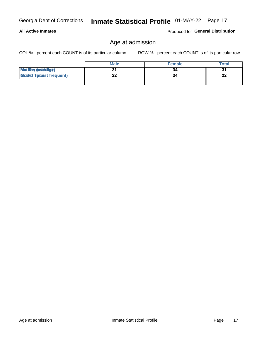**All Active Inmates** 

# Inmate Statistical Profile 01-MAY-22 Page 17

### Age at admission

COL % - percent each COUNT is of its particular column

ROW % - percent each COUNT is of its particular row

Produced for General Distribution

|                                  | <b>Male</b> | <b>Female</b> | <b>Total</b> |
|----------------------------------|-------------|---------------|--------------|
| MetiRep(avieldig)                |             | 34            | 31           |
| <b>Micaded Tomadst frequent)</b> |             | 34            | 22           |
|                                  |             |               |              |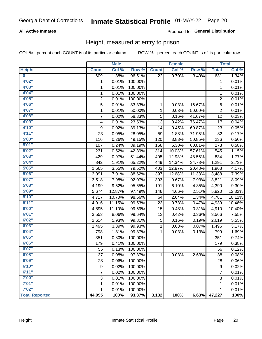### **All Active Inmates**

### Produced for General Distribution

### Height, measured at entry to prison

COL % - percent each COUNT is of its particular column

|                         |                | <b>Male</b> |         |              | <b>Female</b> |        |                  | <b>Total</b> |
|-------------------------|----------------|-------------|---------|--------------|---------------|--------|------------------|--------------|
| <b>Height</b>           | <b>Count</b>   | Col %       | Row %   | <b>Count</b> | Col %         | Row %  | <b>Total</b>     | Col %        |
| $\overline{\mathbf{0}}$ | 609            | 1.38%       | 96.51%  | 22           | 0.70%         | 3.49%  | 631              | 1.34%        |
| 4'02''                  | 1              | 0.01%       | 100.00% |              |               |        | 1                | 0.01%        |
| 4'03''                  | 1              | 0.01%       | 100.00% |              |               |        | 1                | 0.01%        |
| 4'04"                   | 1              | 0.01%       | 100.00% |              |               |        | 1                | 0.01%        |
| 4'05"                   | $\overline{2}$ | 0.01%       | 100.00% |              |               |        | 2                | 0.01%        |
| 4'06"                   | 5              | 0.01%       | 83.33%  | $\mathbf{1}$ | 0.03%         | 16.67% | 6                | 0.01%        |
| 4'07"                   | 1              | 0.01%       | 50.00%  | 1            | 0.03%         | 50.00% | 2                | 0.01%        |
| 4'08"                   | 7              | 0.02%       | 58.33%  | 5            | 0.16%         | 41.67% | 12               | 0.03%        |
| 4'09"                   | 4              | 0.01%       | 23.53%  | 13           | 0.42%         | 76.47% | 17               | 0.04%        |
| 4'10''                  | 9              | 0.02%       | 39.13%  | 14           | 0.45%         | 60.87% | 23               | 0.05%        |
| 4'11''                  | 23             | 0.05%       | 28.05%  | 59           | 1.88%         | 71.95% | 82               | 0.17%        |
| 5'00''                  | 116            | 0.26%       | 49.15%  | 120          | 3.83%         | 50.85% | 236              | 0.50%        |
| 5'01"                   | 107            | 0.24%       | 39.19%  | 166          | 5.30%         | 60.81% | 273              | 0.58%        |
| 5'02"                   | 231            | 0.52%       | 42.39%  | 314          | 10.03%        | 57.61% | 545              | 1.15%        |
| 5'03''                  | 429            | 0.97%       | 51.44%  | 405          | 12.93%        | 48.56% | 834              | 1.77%        |
| 5'04"                   | 842            | 1.91%       | 65.22%  | 449          | 14.34%        | 34.78% | 1,291            | 2.73%        |
| 5'05"                   | 1,565          | 3.55%       | 79.52%  | 403          | 12.87%        | 20.48% | 1,968            | 4.17%        |
| 5'06''                  | 3,091          | 7.01%       | 88.62%  | 397          | 12.68%        | 11.38% | 3,488            | 7.39%        |
| 5'07"                   | 3,518          | 7.98%       | 92.07%  | 303          | 9.67%         | 7.93%  | 3,821            | 8.09%        |
| 5'08''                  | 4,199          | 9.52%       | 95.65%  | 191          | 6.10%         | 4.35%  | 4,390            | 9.30%        |
| 5'09''                  | 5,674          | 12.87%      | 97.49%  | 146          | 4.66%         | 2.51%  | 5,820            | 12.32%       |
| 5'10''                  | 4,717          | 10.70%      | 98.66%  | 64           | 2.04%         | 1.34%  | 4,781            | 10.12%       |
| 5'11''                  | 4,916          | 11.15%      | 99.53%  | 23           | 0.73%         | 0.47%  | 4,939            | 10.46%       |
| 6'00''                  | 4,895          | 11.10%      | 99.69%  | 15           | 0.48%         | 0.31%  | 4,910            | 10.40%       |
| 6'01''                  | 3,553          | 8.06%       | 99.64%  | 13           | 0.42%         | 0.36%  | 3,566            | 7.55%        |
| 6'02"                   | 2,614          | 5.93%       | 99.81%  | 5            | 0.16%         | 0.19%  | 2,619            | 5.55%        |
| 6'03''                  | 1,495          | 3.39%       | 99.93%  | 1            | 0.03%         | 0.07%  | 1,496            | 3.17%        |
| 6'04"                   | 798            | 1.81%       | 99.87%  | 1            | 0.03%         | 0.13%  | 799              | 1.69%        |
| 6'05"                   | 351            | 0.80%       | 100.00% |              |               |        | 351              | 0.74%        |
| 6'06''                  | 179            | 0.41%       | 100.00% |              |               |        | 179              | 0.38%        |
| 6'07''                  | 56             | 0.13%       | 100.00% |              |               |        | 56               | 0.12%        |
| 6'08"                   | 37             | 0.08%       | 97.37%  | 1            | 0.03%         | 2.63%  | 38               | 0.08%        |
| 6'09''                  | 28             | 0.06%       | 100.00% |              |               |        | 28               | 0.06%        |
| 6'10''                  | 9              | 0.02%       | 100.00% |              |               |        | $\boldsymbol{9}$ | 0.02%        |
| 6'11''                  | 7              | 0.02%       | 100.00% |              |               |        | 7                | 0.01%        |
| 7'00"                   | 3              | 0.01%       | 100.00% |              |               |        | $\sqrt{3}$       | 0.01%        |
| 7'01''                  | 1              | 0.01%       | 100.00% |              |               |        | 1                | 0.01%        |
| 7'02"                   | 1              | 0.01%       | 100.00% |              |               |        | 1                | 0.01%        |
| <b>Total Reported</b>   | 44,095         | 100%        | 93.37%  | 3,132        | 100%          | 6.63%  | 47,227           | 100%         |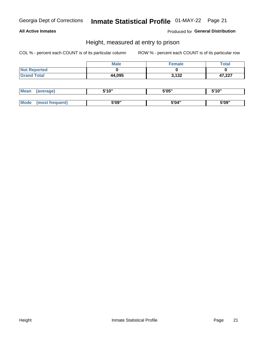### **All Active Inmates**

Produced for General Distribution

### Height, measured at entry to prison

COL % - percent each COUNT is of its particular column

|                     | <b>Male</b> | Female | <b>Total</b> |
|---------------------|-------------|--------|--------------|
| <b>Not Reported</b> |             |        |              |
| <b>Grand Total</b>  | 44,095      | 3,132  | 47,227       |

| <b>Mean</b> | erage) | 5'10" | 5'05" | <b>CIA AIL</b><br>. . |
|-------------|--------|-------|-------|-----------------------|
|             |        |       |       |                       |
| <b>Mode</b> |        | 5'09" | 5'04" | 5'09"                 |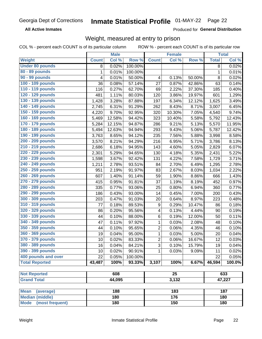**All Active Inmates** 

Produced for General Distribution

# Weight, measured at entry to prison

COL % - percent each COUNT is of its particular column

|                                |              | <b>Male</b> |         |                | <b>Female</b>   |        |              | <b>Total</b> |
|--------------------------------|--------------|-------------|---------|----------------|-----------------|--------|--------------|--------------|
| Weight                         | <b>Count</b> | Col %       | Row %   | <b>Count</b>   | Col %           | Row %  | <b>Total</b> | Col %        |
| <b>Under 80 pounds</b>         | 8            | 0.02%       | 100.00% |                |                 |        | 8            | 0.02%        |
| 80 - 89 pounds                 | 1            | 0.01%       | 100.00% |                |                 |        | $\mathbf 1$  | 0.01%        |
| 90 - 99 pounds                 | 4            | 0.01%       | 50.00%  | 4              | 0.13%           | 50.00% | 8            | 0.02%        |
| 100 - 109 pounds               | 36           | 0.08%       | 57.14%  | 27             | 0.87%           | 42.86% | 63           | 0.14%        |
| 110 - 119 pounds               | 116          | 0.27%       | 62.70%  | 69             | 2.22%           | 37.30% | 185          | 0.40%        |
| 120 - 129 pounds               | 481          | 1.11%       | 80.03%  | 120            | 3.86%           | 19.97% | 601          | 1.29%        |
| 130 - 139 pounds               | 1,428        | 3.28%       | 87.88%  | 197            | 6.34%           | 12.12% | 1,625        | 3.49%        |
| 140 - 149 pounds               | 2,745        | 6.31%       | 91.29%  | 262            | 8.43%           | 8.71%  | 3,007        | 6.45%        |
| 150 - 159 pounds               | 4,220        | 9.70%       | 92.95%  | 320            | 10.30%          | 7.05%  | 4,540        | 9.74%        |
| 160 - 169 pounds               | 5,469        | 12.58%      | 94.42%  | 323            | 10.40%          | 5.58%  | 5,792        | 12.43%       |
| 170 - 179 pounds               | 5,284        | 12.15%      | 94.87%  | 286            | 9.21%           | 5.13%  | 5,570        | 11.95%       |
| 180 - 189 pounds               | 5,494        | 12.63%      | 94.94%  | 293            | 9.43%           | 5.06%  | 5,787        | 12.42%       |
| 190 - 199 pounds               | 3,763        | 8.65%       | 94.12%  | 235            | 7.56%           | 5.88%  | 3,998        | 8.58%        |
| 200 - 209 pounds               | 3,570        | $8.21\%$    | 94.29%  | 216            | 6.95%           | 5.71%  | 3,786        | 8.13%        |
| 210 - 219 pounds               | 2,686        | 6.18%       | 94.95%  | 143            | 4.60%           | 5.05%  | 2,829        | 6.07%        |
| 220 - 229 pounds               | 2,301        | 5.29%       | 94.65%  | 130            | 4.18%           | 5.35%  | 2,431        | 5.22%        |
| 230 - 239 pounds               | 1,598        | 3.67%       | 92.42%  | 131            | 4.22%           | 7.58%  | 1,729        | 3.71%        |
| 240 - 249 pounds               | 1,211        | 2.78%       | 93.51%  | 84             | 2.70%           | 6.49%  | 1,295        | 2.78%        |
| 250 - 259 pounds               | 951          | 2.19%       | 91.97%  | 83             | 2.67%           | 8.03%  | 1,034        | 2.22%        |
| 260 - 269 pounds               | 607          | 1.40%       | 91.14%  | 59             | 1.90%           | 8.86%  | 666          | 1.43%        |
| 270 - 279 pounds               | 415          | 0.95%       | 91.81%  | 37             | 1.19%           | 8.19%  | 452          | 0.97%        |
| 280 - 289 pounds               | 335          | 0.77%       | 93.06%  | 25             | 0.80%           | 6.94%  | 360          | 0.77%        |
| 290 - 299 pounds               | 186          | 0.43%       | 93.00%  | 14             | 0.45%           | 7.00%  | 200          | 0.43%        |
| 300 - 309 pounds               | 203          | 0.47%       | 91.03%  | 20             | 0.64%           | 8.97%  | 223          | 0.48%        |
| 310 - 319 pounds               | 77           | 0.18%       | 89.53%  | 9              | 0.29%           | 10.47% | 86           | 0.18%        |
| 320 - 329 pounds               | 86           | 0.20%       | 95.56%  | 4              | 0.13%           | 4.44%  | 90           | 0.19%        |
| 330 - 339 pounds               | 44           | 0.10%       | 88.00%  | 6              | 0.19%           | 12.00% | 50           | 0.11%        |
| 340 - 349 pounds               | 47           | 0.11%       | 97.92%  | $\mathbf{1}$   | 0.03%           | 2.08%  | 48           | 0.10%        |
| 350 - 359 pounds               | 44           | 0.10%       | 95.65%  | $\mathbf 2$    | 0.06%           | 4.35%  | 46           | 0.10%        |
| 360 - 369 pounds               | 19           | 0.04%       | 95.00%  | 1              | 0.03%           | 5.00%  | 20           | 0.04%        |
| 370 - 379 pounds               | 10           | 0.02%       | 83.33%  | $\overline{2}$ | 0.06%           | 16.67% | 12           | 0.03%        |
| 380 - 389 pounds               | 16           | 0.04%       | 84.21%  | 3              | 0.10%           | 15.79% | 19           | 0.04%        |
| 390 - 399 pounds               | 10           | 0.02%       | 90.91%  | 1              | 0.03%           | 9.09%  | 11           | 0.02%        |
| 400 pounds and over            | 22           | 0.05%       | 100.00% |                |                 |        | 22           | 0.05%        |
| <b>Total Reported</b>          | 43,487       | 100%        | 93.33%  | 3,107          | 100%            | 6.67%  | 46,594       | 100.0%       |
|                                |              |             |         |                |                 |        |              |              |
| <b>Not Reported</b>            |              | 608         |         |                | $\overline{25}$ |        |              | 633          |
| <b>Grand Total</b>             |              | 44,095      |         | 3,132          |                 |        | 47,227       |              |
| <b>Mean</b><br>(average)       |              | 188         |         |                | 183             |        |              | 187          |
| <b>Median (middle)</b>         |              | 180         |         |                | 176             |        |              | 180          |
| <b>Mode</b><br>(most frequent) |              | 180         |         |                | 150             |        |              | 180          |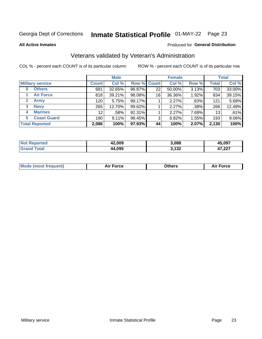# Inmate Statistical Profile 01-MAY-22 Page 23

**All Active Inmates** 

### Produced for General Distribution

### Veterans validated by Veteran's Administration

COL % - percent each COUNT is of its particular column

|                             |                 | <b>Male</b> |        |                    | <b>Female</b> |       |              | <b>Total</b> |
|-----------------------------|-----------------|-------------|--------|--------------------|---------------|-------|--------------|--------------|
| <b>Military service</b>     | <b>Count</b>    | Col %       |        | <b>Row % Count</b> | Col %         | Row % | <b>Total</b> | Col %        |
| <b>Others</b><br>0          | 681             | 32.65%      | 96.87% | 22                 | 50.00%        | 3.13% | 703          | 33.00%       |
| <b>Air Force</b>            | 818             | 39.21%      | 98.08% | 16                 | 36.36%        | 1.92% | 834          | 39.15%       |
| <b>Army</b><br>$\mathbf{2}$ | 120             | 5.75%       | 99.17% |                    | 2.27%         | .83%  | 121          | 5.68%        |
| <b>Navy</b><br>3            | 265             | 12.70%      | 99.62% |                    | 2.27%         | .38%  | 266          | 12.49%       |
| <b>Marines</b><br>4         | 12 <sup>2</sup> | .58%        | 92.31% |                    | 2.27%         | 7.69% | 13           | .61%         |
| <b>Coast Guard</b><br>5.    | 190             | 9.11%       | 98.45% | 3                  | 6.82%         | 1.55% | 193          | 9.06%        |
| <b>Total Reported</b>       | 2,086           | 100%        | 97.93% | 44                 | 100%          | 2.07% | 2,130        | 100%         |

| orted<br>NOT | 42,009 | 3,088        | 15.097           |
|--------------|--------|--------------|------------------|
|              | 44,095 | 2.122<br>1JZ | דממ דו<br>41,ZZI |

|  |  | <b>Mode (most frequent)</b> | <b>Force</b><br>Aır | วthers | orce |
|--|--|-----------------------------|---------------------|--------|------|
|--|--|-----------------------------|---------------------|--------|------|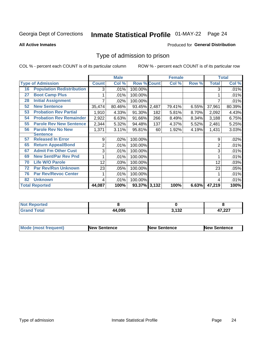# Inmate Statistical Profile 01-MAY-22 Page 24

**All Active Inmates** 

#### Produced for General Distribution

### Type of admission to prison

COL % - percent each COUNT is of its particular column

|    |                                  |              | <b>Male</b> |                    |     | <b>Female</b> |       |              | <b>Total</b> |
|----|----------------------------------|--------------|-------------|--------------------|-----|---------------|-------|--------------|--------------|
|    | <b>Type of Admission</b>         | <b>Count</b> | Col %       | <b>Row % Count</b> |     | Col %         | Row % | <b>Total</b> | Col %        |
| 16 | <b>Population Redistribution</b> | 3            | .01%        | 100.00%            |     |               |       | 3            | .01%         |
| 27 | <b>Boot Camp Plus</b>            |              | .01%        | 100.00%            |     |               |       |              | .01%         |
| 28 | <b>Initial Assignment</b>        |              | .02%        | 100.00%            |     |               |       |              | .01%         |
| 52 | <b>New Sentence</b>              | 35,474       | 80.46%      | 93.45% 2,487       |     | 79.41%        | 6.55% | 37,961       | 80.39%       |
| 53 | <b>Probation Rev Partial</b>     | 1,910        | 4.33%       | 91.30%             | 182 | 5.81%         | 8.70% | 2,092        | 4.43%        |
| 54 | <b>Probation Rev Remainder</b>   | 2,922        | 6.63%       | 91.66%             | 266 | 8.49%         | 8.34% | 3,188        | 6.75%        |
| 55 | <b>Parole Rev New Sentence</b>   | 2,344        | 5.32%       | 94.48%             | 137 | 4.37%         | 5.52% | 2,481        | 5.25%        |
| 56 | <b>Parole Rev No New</b>         | 1,371        | 3.11%       | 95.81%             | 60  | 1.92%         | 4.19% | 1,431        | 3.03%        |
|    | <b>Sentence</b>                  |              |             |                    |     |               |       |              |              |
| 57 | <b>Released In Error</b>         | 9            | .02%        | 100.00%            |     |               |       | 9            | .02%         |
| 65 | <b>Return Appeal/Bond</b>        | 2            | .01%        | 100.00%            |     |               |       | 2            | .01%         |
| 67 | <b>Admit Fm Other Cust</b>       | 3            | .01%        | 100.00%            |     |               |       | 3            | .01%         |
| 69 | <b>New Sent/Par Rev Pnd</b>      |              | .01%        | 100.00%            |     |               |       |              | .01%         |
| 70 | <b>Life W/O Parole</b>           | 12           | .03%        | 100.00%            |     |               |       | 12           | .03%         |
| 72 | <b>Par Rev/Rsn Unknown</b>       | 23           | .05%        | 100.00%            |     |               |       | 23           | .05%         |
| 76 | <b>Par Rev/Revoc Center</b>      |              | .01%        | 100.00%            |     |               |       |              | .01%         |
| 82 | <b>Unknown</b>                   | 4            | .01%        | 100.00%            |     |               |       | 4            | .01%         |
|    | <b>Total Reported</b>            | 44,087       | 100%        | 93.37% 3,132       |     | 100%          | 6.63% | 47,219       | 100%         |

| <b>Not</b><br><b>Not Reported</b> |        |        |        |
|-----------------------------------|--------|--------|--------|
| <b>Total</b>                      | 44.095 | う イクつ  | דמה דו |
| 'Grand                            |        | J, IJZ | .LL 1  |

| <b>Mode (most frequent)</b> | <b>New Sentence</b> | <b>New Sentence</b> | <b>New Sentence</b> |
|-----------------------------|---------------------|---------------------|---------------------|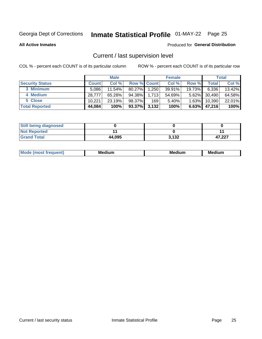# Inmate Statistical Profile 01-MAY-22 Page 25

**All Active Inmates** 

#### Produced for General Distribution

# Current / last supervision level

COL % - percent each COUNT is of its particular column

|                        |              | <b>Male</b> |                    |       | <b>Female</b> |          |        | <b>Total</b> |
|------------------------|--------------|-------------|--------------------|-------|---------------|----------|--------|--------------|
| <b>Security Status</b> | <b>Count</b> | Col %       | <b>Row % Count</b> |       | Col %         | Row %    | Total  | Col %        |
| 3 Minimum              | 5.086        | $11.54\%$   | 80.27%             | 1,250 | 39.91%        | 19.73%   | 6,336  | 13.42%       |
| 4 Medium               | 28,777       | 65.28%      | 94.38%             | 1,713 | 54.69%        | $5.62\%$ | 30,490 | 64.58%       |
| 5 Close                | 10.221       | 23.19%      | 98.37%             | 169   | 5.40%         | $1.63\%$ | 10,390 | 22.01%       |
| <b>Total Reported</b>  | 44,084       | 100%        | 93.37%             | 3,132 | 100%          | $6.63\%$ | 47,216 | 100%         |

| <b>Still being diagnosed</b> |        |       |        |
|------------------------------|--------|-------|--------|
| <b>Not Reported</b>          |        |       |        |
| <b>Grand Total</b>           | 44,095 | 3,132 | 47.227 |

| М | Мє<br>dium<br>_____ | Me<br>dium<br>____ | Med<br>dıum<br>$  -$ |
|---|---------------------|--------------------|----------------------|
|   |                     |                    |                      |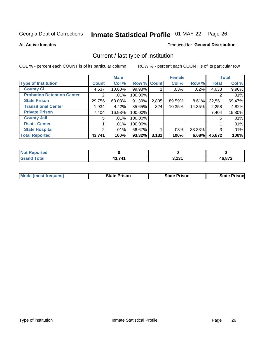# Inmate Statistical Profile 01-MAY-22 Page 26

**All Active Inmates** 

### **Produced for General Distribution**

# Current / last type of institution

COL % - percent each COUNT is of its particular column

|                                   |                | <b>Male</b> |             |       | <b>Female</b> |        |              | <b>Total</b> |
|-----------------------------------|----------------|-------------|-------------|-------|---------------|--------|--------------|--------------|
| <b>Type of Institution</b>        | <b>Count</b>   | Col %       | Row % Count |       | Col %         | Row %  | <b>Total</b> | Col %        |
| <b>County Ci</b>                  | 4,637          | 10.60%      | 99.98%      |       | .03%          | .02%   | 4,638        | 9.90%        |
| <b>Probation Detention Center</b> |                | .01%        | 100.00%     |       |               |        |              | .01%         |
| <b>State Prison</b>               | 29,756         | 68.03%      | 91.39%      | 2,805 | 89.59%        | 8.61%  | 32,561       | 69.47%       |
| <b>Transitional Center</b>        | 1,934          | 4.42%       | 85.65%      | 324   | 10.35%        | 14.35% | 2,258        | 4.82%        |
| <b>Private Prison</b>             | 7,404          | 16.93%      | 100.00%     |       |               |        | 7,404        | 15.80%       |
| <b>County Jail</b>                | 5              | .01%        | 100.00%     |       |               |        | 5            | .01%         |
| <b>Rsat - Center</b>              |                | $.01\%$     | 100.00%     |       |               |        |              | .01%         |
| <b>State Hospital</b>             | $\overline{2}$ | $.01\%$     | 66.67%      |       | .03%          | 33.33% | 3            | .01%         |
| <b>Total Reported</b>             | 43,741         | 100%        | $93.32\%$   | 3,131 | 100%          | 6.68%  | 46,872       | 100%         |

| <b>Not</b><br>Reported |        |                  |              |
|------------------------|--------|------------------|--------------|
| <b>Total</b>           | 12 711 | <b>2424</b><br>. | 16,872<br>ль |

| <b>Mode (most frequent)</b> | <b>State Prison</b> | <b>State Prison</b> | <b>State Prisonl</b> |
|-----------------------------|---------------------|---------------------|----------------------|
|                             |                     |                     |                      |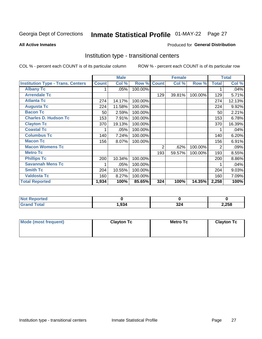# Inmate Statistical Profile 01-MAY-22 Page 27

#### **All Active Inmates**

### Produced for General Distribution

### Institution type - transitional centers

COL % - percent each COUNT is of its particular column

|                                          |              | <b>Male</b> |         |                | <b>Female</b> |         |              | <b>Total</b> |
|------------------------------------------|--------------|-------------|---------|----------------|---------------|---------|--------------|--------------|
| <b>Institution Type - Trans. Centers</b> | <b>Count</b> | Col %       | Row %   | <b>Count</b>   | Col %         | Row %   | <b>Total</b> | Col %        |
| <b>Albany Tc</b>                         |              | .05%        | 100.00% |                |               |         |              | .04%         |
| <b>Arrendale Tc</b>                      |              |             |         | 129            | 39.81%        | 100.00% | 129          | 5.71%        |
| <b>Atlanta Tc</b>                        | 274          | 14.17%      | 100.00% |                |               |         | 274          | 12.13%       |
| <b>Augusta Tc</b>                        | 224          | 11.58%      | 100.00% |                |               |         | 224          | 9.92%        |
| <b>Bacon Tc</b>                          | 50           | 2.59%       | 100.00% |                |               |         | 50           | 2.21%        |
| <b>Charles D. Hudson Tc</b>              | 153          | 7.91%       | 100.00% |                |               |         | 153          | 6.78%        |
| <b>Clayton Tc</b>                        | 370          | 19.13%      | 100.00% |                |               |         | 370          | 16.39%       |
| <b>Coastal Tc</b>                        |              | .05%        | 100.00% |                |               |         |              | .04%         |
| <b>Columbus Tc</b>                       | 140          | 7.24%       | 100.00% |                |               |         | 140          | 6.20%        |
| <b>Macon Tc</b>                          | 156          | 8.07%       | 100.00% |                |               |         | 156          | 6.91%        |
| <b>Macon Womens Tc</b>                   |              |             |         | $\overline{2}$ | .62%          | 100.00% | 2            | .09%         |
| <b>Metro Tc</b>                          |              |             |         | 193            | 59.57%        | 100.00% | 193          | 8.55%        |
| <b>Phillips Tc</b>                       | 200          | 10.34%      | 100.00% |                |               |         | 200          | 8.86%        |
| <b>Savannah Mens Tc</b>                  |              | .05%        | 100.00% |                |               |         |              | .04%         |
| <b>Smith Tc</b>                          | 204          | 10.55%      | 100.00% |                |               |         | 204          | 9.03%        |
| <b>Valdosta Tc</b>                       | 160          | 8.27%       | 100.00% |                |               |         | 160          | 7.09%        |
| <b>Total Reported</b>                    | 1,934        | 100%        | 85.65%  | 324            | 100%          | 14.35%  | 2,258        | 100%         |

| <b>Not Reported</b> |      |             |       |
|---------------------|------|-------------|-------|
| <b>Total</b>        | .934 | າາ<br>، ے ت | 2,258 |

| Mode (most frequent) | <b>Clayton Tc</b> | Metro Tc | <b>Clayton Tc</b> |
|----------------------|-------------------|----------|-------------------|
|                      |                   |          |                   |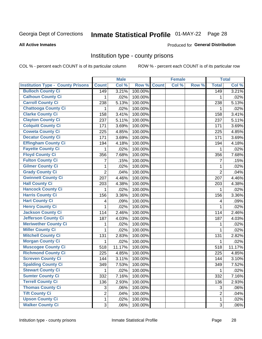# Inmate Statistical Profile 01-MAY-22 Page 28

#### **All Active Inmates**

#### Produced for General Distribution

### Institution type - county prisons

COL % - percent each COUNT is of its particular column

|                                          |                | <b>Male</b> |         |              | <b>Female</b> |       |                | <b>Total</b> |
|------------------------------------------|----------------|-------------|---------|--------------|---------------|-------|----------------|--------------|
| <b>Institution Type - County Prisons</b> | <b>Count</b>   | Col %       | Row %   | <b>Count</b> | Col %         | Row % | <b>Total</b>   | Col %        |
| <b>Bulloch County Ci</b>                 | 149            | 3.21%       | 100.00% |              |               |       | 149            | 3.21%        |
| <b>Calhoun County Ci</b>                 | 1              | .02%        | 100.00% |              |               |       | 1              | .02%         |
| <b>Carroll County Ci</b>                 | 238            | 5.13%       | 100.00% |              |               |       | 238            | 5.13%        |
| <b>Chattooga County Ci</b>               | 1              | .02%        | 100.00% |              |               |       | 1              | .02%         |
| <b>Clarke County Ci</b>                  | 158            | 3.41%       | 100.00% |              |               |       | 158            | 3.41%        |
| <b>Clayton County Ci</b>                 | 237            | 5.11%       | 100.00% |              |               |       | 237            | 5.11%        |
| <b>Colquitt County Ci</b>                | 171            | 3.69%       | 100.00% |              |               |       | 171            | 3.69%        |
| <b>Coweta County Ci</b>                  | 225            | 4.85%       | 100.00% |              |               |       | 225            | 4.85%        |
| <b>Decatur County Ci</b>                 | 171            | 3.69%       | 100.00% |              |               |       | 171            | 3.69%        |
| <b>Effingham County Ci</b>               | 194            | 4.18%       | 100.00% |              |               |       | 194            | 4.18%        |
| <b>Fayette County Ci</b>                 | 1              | .02%        | 100.00% |              |               |       | 1              | .02%         |
| <b>Floyd County Ci</b>                   | 356            | 7.68%       | 100.00% |              |               |       | 356            | 7.68%        |
| <b>Fulton County Ci</b>                  | $\overline{7}$ | .15%        | 100.00% |              |               |       | 7              | .15%         |
| <b>Gilmer County Ci</b>                  | $\mathbf{1}$   | .02%        | 100.00% |              |               |       | 1              | .02%         |
| <b>Grady County Ci</b>                   | $\overline{2}$ | .04%        | 100.00% |              |               |       | $\overline{2}$ | .04%         |
| <b>Gwinnett County Ci</b>                | 207            | 4.46%       | 100.00% |              |               |       | 207            | 4.46%        |
| <b>Hall County Ci</b>                    | 203            | 4.38%       | 100.00% |              |               |       | 203            | 4.38%        |
| <b>Hancock County Ci</b>                 | 1              | .02%        | 100.00% |              |               |       | 1              | .02%         |
| <b>Harris County Ci</b>                  | 156            | 3.36%       | 100.00% |              |               |       | 156            | 3.36%        |
| <b>Hart County Ci</b>                    | 4              | .09%        | 100.00% |              |               |       | 4              | .09%         |
| <b>Henry County Ci</b>                   | 1              | .02%        | 100.00% |              |               |       | $\mathbf{1}$   | .02%         |
| <b>Jackson County Ci</b>                 | 114            | 2.46%       | 100.00% |              |               |       | 114            | 2.46%        |
| <b>Jefferson County Ci</b>               | 187            | 4.03%       | 100.00% |              |               |       | 187            | 4.03%        |
| <b>Meriwether County Ci</b>              | 1              | .02%        | 100.00% |              |               |       | 1              | .02%         |
| <b>Miller County Ci</b>                  | 1              | .02%        | 100.00% |              |               |       | 1              | .02%         |
| <b>Mitchell County Ci</b>                | 131            | 2.83%       | 100.00% |              |               |       | 131            | 2.82%        |
| <b>Morgan County Ci</b>                  | 1              | .02%        | 100.00% |              |               |       | 1              | .02%         |
| <b>Muscogee County Ci</b>                | 518            | 11.17%      | 100.00% |              |               |       | 518            | 11.17%       |
| <b>Richmond County Ci</b>                | 225            | 4.85%       | 100.00% |              |               |       | 225            | 4.85%        |
| <b>Screven County Ci</b>                 | 144            | 3.11%       | 100.00% |              |               |       | 144            | 3.10%        |
| <b>Spalding County Ci</b>                | 349            | 7.53%       | 100.00% |              |               |       | 349            | 7.52%        |
| <b>Stewart County Ci</b>                 | $\mathbf{1}$   | .02%        | 100.00% |              |               |       | 1              | .02%         |
| <b>Sumter County Ci</b>                  | 332            | 7.16%       | 100.00% |              |               |       | 332            | 7.16%        |
| <b>Terrell County Ci</b>                 | 136            | 2.93%       | 100.00% |              |               |       | 136            | 2.93%        |
| <b>Thomas County Ci</b>                  | 3              | .06%        | 100.00% |              |               |       | 3              | .06%         |
| <b>Tift County Ci</b>                    | $\overline{2}$ | .04%        | 100.00% |              |               |       | $\overline{2}$ | .04%         |
| <b>Upson County Ci</b>                   | 1              | .02%        | 100.00% |              |               |       | $\mathbf 1$    | .02%         |
| <b>Walker County Ci</b>                  | 3              | .06%        | 100.00% |              |               |       | $\sqrt{3}$     | .06%         |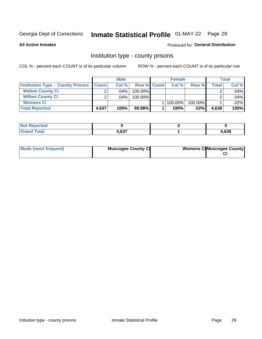# Inmate Statistical Profile 01-MAY-22 Page 29

**All Active Inmates** 

### Produced for General Distribution

### Institution type - county prisons

COL % - percent each COUNT is of its particular column

|                                          |              | <b>Male</b> |                    | <b>Female</b> |         |       | Total |
|------------------------------------------|--------------|-------------|--------------------|---------------|---------|-------|-------|
| <b>Institution Type - County Prisons</b> | <b>Count</b> | Col%        | <b>Row % Count</b> | Col%          | Row %   | Total | Col % |
| <b>Walton County Ci</b>                  | ⌒            | $.04\%$     | 100.00%            |               |         |       | .04%  |
| <b>Wilkes County Ci</b>                  | ⌒            | $.04\%$     | 100.00%            |               |         |       | .04%  |
| <b>Womens Ci</b>                         |              |             |                    | 100.00%       | 100.00% |       | .02%  |
| <b>Total Reported</b>                    | 4,637        | 100%        | $99.98\%$          | 100%          | .02%    | 4,638 | 100%  |

| rea<br>.<br>$\sim$ |              |      |
|--------------------|--------------|------|
| _____              | 0.27<br>1,vJ | ,638 |

| Mode (most frequent) | <b>Muscogee County Ci</b> | <b>Womens CilMuscogee County</b> |
|----------------------|---------------------------|----------------------------------|
|----------------------|---------------------------|----------------------------------|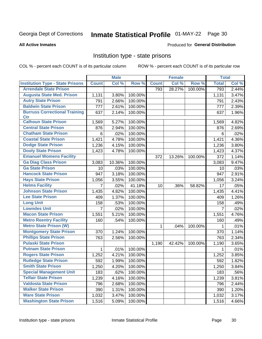# Inmate Statistical Profile 01-MAY-22 Page 30

#### **All Active Inmates**

### Produced for General Distribution

### Institution type - state prisons

COL % - percent each COUNT is of its particular column

|                                         |                | <b>Male</b> |         |              | <b>Female</b> |         | <b>Total</b>   |       |
|-----------------------------------------|----------------|-------------|---------|--------------|---------------|---------|----------------|-------|
| <b>Institution Type - State Prisons</b> | <b>Count</b>   | Col %       | Row %   | <b>Count</b> | Col %         | Row %   | <b>Total</b>   | Col % |
| <b>Arrendale State Prison</b>           |                |             |         | 793          | 28.27%        | 100.00% | 793            | 2.44% |
| <b>Augusta State Med. Prison</b>        | 1,131          | 3.80%       | 100.00% |              |               |         | 1,131          | 3.47% |
| <b>Autry State Prison</b>               | 791            | 2.66%       | 100.00% |              |               |         | 791            | 2.43% |
| <b>Baldwin State Prison</b>             | 777            | 2.61%       | 100.00% |              |               |         | 777            | 2.39% |
| <b>Burruss Correctional Training</b>    | 637            | 2.14%       | 100.00% |              |               |         | 637            | 1.96% |
| <b>Ctr</b>                              |                |             |         |              |               |         |                |       |
| <b>Calhoun State Prison</b>             | 1,569          | 5.27%       | 100.00% |              |               |         | 1,569          | 4.82% |
| <b>Central State Prison</b>             | 876            | 2.94%       | 100.00% |              |               |         | 876            | 2.69% |
| <b>Chatham State Prison</b>             | 6              | .02%        | 100.00% |              |               |         | 6              | .02%  |
| <b>Coastal State Prison</b>             | 1,421          | 4.78%       | 100.00% |              |               |         | 1,421          | 4.36% |
| <b>Dodge State Prison</b>               | 1,236          | 4.15%       | 100.00% |              |               |         | 1,236          | 3.80% |
| <b>Dooly State Prison</b>               | 1,423          | 4.78%       | 100.00% |              |               |         | 1,423          | 4.37% |
| <b>Emanuel Womens Facility</b>          |                |             |         | 372          | 13.26%        | 100.00% | 372            | 1.14% |
| <b>Ga Diag Class Prison</b>             | 3,083          | 10.36%      | 100.00% |              |               |         | 3,083          | 9.47% |
| <b>Ga State Prison</b>                  | 10             | .03%        | 100.00% |              |               |         | 10             | .03%  |
| <b>Hancock State Prison</b>             | 947            | 3.18%       | 100.00% |              |               |         | 947            | 2.91% |
| <b>Hays State Prison</b>                | 1,056          | 3.55%       | 100.00% |              |               |         | 1,056          | 3.24% |
| <b>Helms Facility</b>                   | 7              | .02%        | 41.18%  | 10           | .36%          | 58.82%  | 17             | .05%  |
| <b>Johnson State Prison</b>             | 1,435          | 4.82%       | 100.00% |              |               |         | 1,435          | 4.41% |
| <b>Lee State Prison</b>                 | 409            | 1.37%       | 100.00% |              |               |         | 409            | 1.26% |
| <b>Long Unit</b>                        | 158            | .53%        | 100.00% |              |               |         | 158            | .49%  |
| <b>Lowndes Unit</b>                     | $\overline{7}$ | .02%        | 100.00% |              |               |         | $\overline{7}$ | .02%  |
| <b>Macon State Prison</b>               | 1,551          | 5.21%       | 100.00% |              |               |         | 1,551          | 4.76% |
| <b>Metro Reentry Facility</b>           | 160            | .54%        | 100.00% |              |               |         | 160            | .49%  |
| <b>Metro State Prison (W)</b>           |                |             |         | $\mathbf 1$  | .04%          | 100.00% | 1              | .01%  |
| <b>Montgomery State Prison</b>          | 370            | 1.24%       | 100.00% |              |               |         | 370            | 1.14% |
| <b>Phillips State Prison</b>            | 763            | 2.56%       | 100.00% |              |               |         | 763            | 2.34% |
| <b>Pulaski State Prison</b>             |                |             |         | 1,190        | 42.42%        | 100.00% | 1,190          | 3.65% |
| <b>Putnam State Prison</b>              | $\mathbf{1}$   | .01%        | 100.00% |              |               |         | 1              | .01%  |
| <b>Rogers State Prison</b>              | 1,252          | 4.21%       | 100.00% |              |               |         | 1,252          | 3.85% |
| <b>Rutledge State Prison</b>            | 592            | 1.99%       | 100.00% |              |               |         | 592            | 1.82% |
| <b>Smith State Prison</b>               | 1,250          | 4.20%       | 100.00% |              |               |         | 1,250          | 3.84% |
| <b>Special Management Unit</b>          | 183            | .62%        | 100.00% |              |               |         | 183            | .56%  |
| <b>Telfair State Prison</b>             | 1,239          | 4.16%       | 100.00% |              |               |         | 1,239          | 3.81% |
| <b>Valdosta State Prison</b>            | 796            | 2.68%       | 100.00% |              |               |         | 796            | 2.44% |
| <b>Walker State Prison</b>              | 390            | 1.31%       | 100.00% |              |               |         | 390            | 1.20% |
| <b>Ware State Prison</b>                | 1,032          | 3.47%       | 100.00% |              |               |         | 1,032          | 3.17% |
| <b>Washington State Prison</b>          | 1,516          | 5.09%       | 100.00% |              |               |         | 1,516          | 4.66% |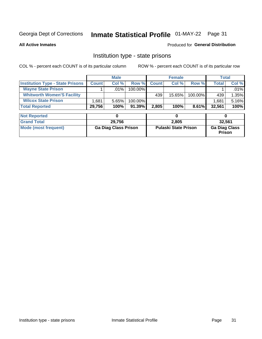# Inmate Statistical Profile 01-MAY-22 Page 31

**All Active Inmates** 

### **Produced for General Distribution**

### Institution type - state prisons

COL % - percent each COUNT is of its particular column

|                                         | <b>Male</b>  |         |            |              | <b>Female</b> | Total    |        |          |
|-----------------------------------------|--------------|---------|------------|--------------|---------------|----------|--------|----------|
| <b>Institution Type - State Prisons</b> | <b>Count</b> | Col %   | Row %I     | <b>Count</b> | Col %         | Row %    | Total  | Col %    |
| <b>Wayne State Prison</b>               |              | $.01\%$ | $100.00\%$ |              |               |          |        | $.01\%$  |
| <b>Whitworth Women'S Facility</b>       |              |         |            | 439          | 15.65%        | 100.00%  | 439    | $1.35\%$ |
| <b>Wilcox State Prison</b>              | .681         | 5.65%   | 100.00%    |              |               |          | 1,681  | 5.16%    |
| <b>Total Reported</b>                   | 29,756       | 100%    | $91.39\%$  | 2,805        | 100%          | $8.61\%$ | 32,561 | 100%     |

| <b>Not Reported</b>  |                             |                             |                                       |
|----------------------|-----------------------------|-----------------------------|---------------------------------------|
| <b>Grand Total</b>   | 29.756                      | 2.805                       | 32,561                                |
| Mode (most frequent) | <b>Ga Diag Class Prison</b> | <b>Pulaski State Prison</b> | <b>Ga Diag Class</b><br><b>Prison</b> |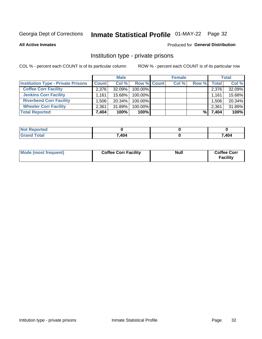# Inmate Statistical Profile 01-MAY-22 Page 32

**All Active Inmates** 

### Produced for General Distribution

### Institution type - private prisons

COL % - percent each COUNT is of its particular column

|                                           |              | <b>Male</b> |             | <b>Female</b> |       |              | <b>Total</b> |
|-------------------------------------------|--------------|-------------|-------------|---------------|-------|--------------|--------------|
| <b>Institution Type - Private Prisons</b> | <b>Count</b> | Col %       | Row % Count | Col %         | Row % | <b>Total</b> | Col %        |
| <b>Coffee Corr Facility</b>               | 2.376        | 32.09%      | 100.00%     |               |       | 2,376        | 32.09%       |
| <b>Jenkins Corr Facility</b>              | 1.161        | 15.68%      | 100.00%     |               |       | 1,161        | 15.68%       |
| <b>Riverbend Corr Facility</b>            | ا 506. ا     | $20.34\%$   | 100.00%     |               |       | 1,506        | 20.34%       |
| <b>Wheeler Corr Facility</b>              | 2.361        | 31.89%      | 100.00%     |               |       | 2,361        | 31.89%       |
| <b>Total Reported</b>                     | 7,404        | 100%        | $100\%$     |               | %     | 7,404        | 100%         |

| <b>Not</b><br><b>Reported</b> |       |       |
|-------------------------------|-------|-------|
| <b>otal</b>                   | 7,404 | 7,404 |

| Mode (most frequent) | <b>Coffee Corr Facility</b> | <b>Null</b> | <b>Coffee Corr</b><br><b>Facility</b> |
|----------------------|-----------------------------|-------------|---------------------------------------|
|----------------------|-----------------------------|-------------|---------------------------------------|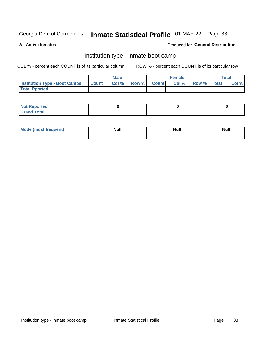# Inmate Statistical Profile 01-MAY-22 Page 33

**All Active Inmates** 

### Produced for General Distribution

### Institution type - inmate boot camp

COL % - percent each COUNT is of its particular column

|                                      |              | <b>Male</b> |               |              | <b>Female</b> |             | <b>Total</b> |
|--------------------------------------|--------------|-------------|---------------|--------------|---------------|-------------|--------------|
| <b>Institution Type - Boot Camps</b> | <b>Count</b> | Col %       | <b>Row %I</b> | <b>Count</b> | Col %         | Row % Total | Col %        |
| <b>Total Rported</b>                 |              |             |               |              |               |             |              |

| <b>Not Reported</b>            |  |  |
|--------------------------------|--|--|
| <b>Total</b><br>C <sub>r</sub> |  |  |

| Mod<br>uamo | Nul.<br>$- - - - - -$ | <b>Null</b> | <br>uu.<br>------ |
|-------------|-----------------------|-------------|-------------------|
|             |                       |             |                   |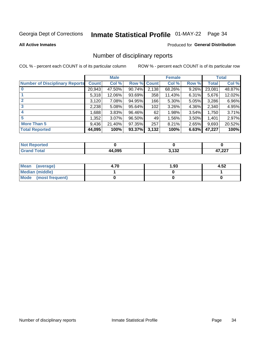# Inmate Statistical Profile 01-MAY-22 Page 34

#### **All Active Inmates**

### Produced for General Distribution

### Number of disciplinary reports

COL % - percent each COUNT is of its particular column

|                                       |              | <b>Male</b> |        |              | <b>Female</b> |          |              | <b>Total</b> |
|---------------------------------------|--------------|-------------|--------|--------------|---------------|----------|--------------|--------------|
| <b>Number of Disciplinary Reports</b> | <b>Count</b> | Col %       | Row %  | <b>Count</b> | Col %         | Row %    | <b>Total</b> | Col %        |
|                                       | 20,943       | 47.50%      | 90.74% | 2,138        | 68.26%        | 9.26%    | 23,081       | 48.87%       |
|                                       | 5,318        | 12.06%      | 93.69% | 358          | 11.43%        | $6.31\%$ | 5,676        | 12.02%       |
| $\mathbf{2}$                          | 3,120        | 7.08%       | 94.95% | 166          | 5.30%         | $5.05\%$ | 3,286        | 6.96%        |
| 3                                     | 2,238        | 5.08%       | 95.64% | 102          | 3.26%         | 4.36%    | 2,340        | 4.95%        |
| $\boldsymbol{4}$                      | 1,688        | 3.83%       | 96.46% | 62           | 1.98%         | 3.54%    | 1,750        | 3.71%        |
| 5                                     | 1,352        | $3.07\%$    | 96.50% | 49           | 1.56%         | 3.50%    | 1,401        | 2.97%        |
| <b>More Than 5</b>                    | 9,436        | 21.40%      | 97.35% | 257          | 8.21%         | $2.65\%$ | 9,693        | 20.52%       |
| <b>Total Reported</b>                 | 44,095       | 100%        | 93.37% | 3,132        | 100%          | 6.63%    | 47,227       | 100%         |

| <b>rted</b><br>NO |       |       |        |
|-------------------|-------|-------|--------|
| <b>Total</b>      | 4,095 | 2.122 | דממ דו |
|                   | ΔД    | 1 J L | ,44 I  |

| Mean (average)       | 4.70 | 1.93 | 4.52 |
|----------------------|------|------|------|
| Median (middle)      |      |      |      |
| Mode (most frequent) |      |      |      |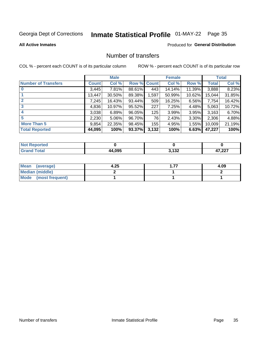# Inmate Statistical Profile 01-MAY-22 Page 35

#### **All Active Inmates**

### **Produced for General Distribution**

### Number of transfers

COL % - percent each COUNT is of its particular column

|                            |         | <b>Male</b> |        |              | <b>Female</b> |           |              | <b>Total</b> |
|----------------------------|---------|-------------|--------|--------------|---------------|-----------|--------------|--------------|
| <b>Number of Transfers</b> | Count l | Col %       | Row %  | <b>Count</b> | Col %         | Row %     | <b>Total</b> | Col %        |
|                            | 3,445   | 7.81%       | 88.61% | 443          | 14.14%        | 11.39%    | 3,888        | 8.23%        |
|                            | 13,447  | 30.50%      | 89.38% | 1,597        | 50.99%        | $10.62\%$ | 15,044       | 31.85%       |
| $\mathbf{2}$               | 7,245   | 16.43%      | 93.44% | 509          | 16.25%        | $6.56\%$  | 7,754        | 16.42%       |
| 3                          | 4,836   | 10.97%      | 95.52% | 227          | 7.25%         | 4.48%     | 5,063        | 10.72%       |
| 4                          | 3,038   | 6.89%       | 96.05% | 125          | 3.99%         | 3.95%     | 3,163        | 6.70%        |
| 5                          | 2,230   | $5.06\%$    | 96.70% | 76           | 2.43%         | 3.30%     | 2,306        | 4.88%        |
| <b>More Than 5</b>         | 9,854   | 22.35%      | 98.45% | 155          | 4.95%         | $1.55\%$  | 10,009       | 21.19%       |
| <b>Total Reported</b>      | 44,095  | 100%        | 93.37% | 3,132        | 100%          | 6.63%     | 47,227       | 100%         |

| <b>rted</b><br>NO |       |       |        |
|-------------------|-------|-------|--------|
| <b>Total</b>      | 4,095 | 2.122 | דממ דו |
|                   | ΔД    | 1 J L | ,44 I  |

| Mean (average)         | 4.25 | 4.09 |
|------------------------|------|------|
| <b>Median (middle)</b> |      |      |
| Mode (most frequent)   |      |      |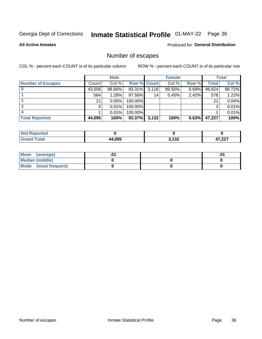# Inmate Statistical Profile 01-MAY-22 Page 36

**All Active Inmates** 

### Produced for General Distribution

# Number of escapes

COL % - percent each COUNT is of its particular column

|                          |              | <b>Male</b> |             |       | <b>Female</b> |          |        | <b>Total</b> |
|--------------------------|--------------|-------------|-------------|-------|---------------|----------|--------|--------------|
| <b>Number of Escapes</b> | <b>Count</b> | Col %       | Row % Count |       | Col %         | Row %    | Total  | Col %        |
|                          | 43,506       | 98.66%      | 93.31%      | 3,118 | 99.55%        | $6.69\%$ | 46,624 | 98.72%       |
|                          | 564          | 1.28%       | $97.58\%$   | 14    | 0.45%         | 2.42%    | 578    | 1.22%        |
|                          | 21           | 0.05%       | 100.00%     |       |               |          | 21     | 0.04%        |
|                          | 3            | 0.01%       | 100.00%     |       |               |          | 3      | 0.01%        |
|                          |              | 0.01%       | 100.00%     |       |               |          |        | 0.01%        |
| <b>Total Reported</b>    | 44,095       | 100%        | 93.37%      | 3,132 | 100%          | 6.63%    | 47,227 | 100%         |

| <b>Not Reported</b> |        |                 |                  |
|---------------------|--------|-----------------|------------------|
| <b>Total</b>        | 44.095 | 2.422<br>J. IJZ | דממ דו<br>, ZZ 1 |

| Mean (average)         |  | .0 <sup>4</sup> |
|------------------------|--|-----------------|
| <b>Median (middle)</b> |  |                 |
| Mode (most frequent)   |  |                 |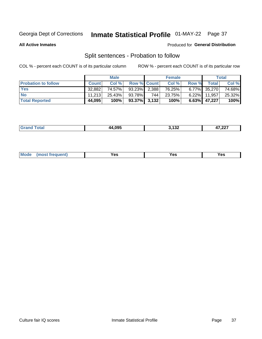# Inmate Statistical Profile 01-MAY-22 Page 37

**All Active Inmates** 

### Produced for General Distribution

# Split sentences - Probation to follow

COL % - percent each COUNT is of its particular column

|                            |              | <b>Male</b> |                 |     | <b>Female</b> |       |                 | <b>Total</b> |
|----------------------------|--------------|-------------|-----------------|-----|---------------|-------|-----------------|--------------|
| <b>Probation to follow</b> | <b>Count</b> | Col%        | Row % Count     |     | Col %         | Row % | <b>Total</b>    | Col %        |
| <b>Yes</b>                 | 32,882       | 74.57%      | $93.23\%$ 2.388 |     | 76.25%        |       | 6.77% 35,270    | 74.68%       |
| <b>No</b>                  | 11.213       | 25.43%      | 93.78%          | 744 | 23.75%        |       | $6.22\%$ 11,957 | 25.32%       |
| <b>Total Reported</b>      | 44,095       | 100%        | $93.37\%$ 3,132 |     | 100%          |       | $6.63\%$ 47,227 | 100%         |

| ________ | אמה ג | .<br>1 J L<br>___ | $\sim$<br>، عمر |
|----------|-------|-------------------|-----------------|
|          |       |                   |                 |

| $Moo$<br>requent<br>′es<br>Yes<br><b>YAC</b><br>. |
|---------------------------------------------------|
|---------------------------------------------------|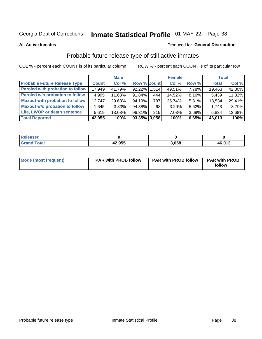# Inmate Statistical Profile 01-MAY-22 Page 38

**All Active Inmates** 

#### Produced for General Distribution

## Probable future release type of still active inmates

COL % - percent each COUNT is of its particular column

|                                         |              | <b>Male</b> |                    |     | <b>Female</b> |       | <b>Total</b> |        |
|-----------------------------------------|--------------|-------------|--------------------|-----|---------------|-------|--------------|--------|
| <b>Probable Future Release Type</b>     | <b>Count</b> | Col %       | <b>Row % Count</b> |     | Col %         | Row % | <b>Total</b> | Col %  |
| <b>Paroled with probation to follow</b> | 17,949       | 41.79%      | 92.22% 1,514       |     | 49.51%        | 7.78% | 19,463       | 42.30% |
| Paroled w/o probation to follow         | 4,995        | 11.63%      | 91.84%             | 444 | 14.52%        | 8.16% | 5,439        | 11.82% |
| <b>Maxout with probation to follow</b>  | 12.747       | 29.68%      | 94.19%             | 787 | 25.74%        | 5.81% | 13,534       | 29.41% |
| <b>Maxout w/o probation to follow</b>   | 1,645        | 3.83%       | 94.38%             | 98  | 3.20%         | 5.62% | 1,743        | 3.79%  |
| Life, LWOP or death sentence            | 5,619        | 13.08%      | 96.31%             | 215 | 7.03%         | 3.69% | 5,834        | 12.68% |
| <b>Total Reported</b>                   | 42,955       | 100%        | $93.35\%$ 3,058    |     | 100%          | 6.65% | 46,013       | 100%   |

| ased                  |        |       |        |
|-----------------------|--------|-------|--------|
| $f \wedge f \wedge f$ | 42,955 | 3.058 | 46,013 |

| <b>Mode (most frequent)</b> | <b>PAR with PROB follow</b> | <b>PAR with PROB follow</b> | <b>PAR with PROB</b> |
|-----------------------------|-----------------------------|-----------------------------|----------------------|
|                             |                             |                             | follow               |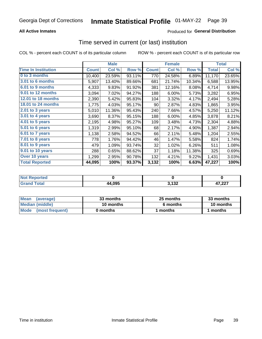### **All Active Inmates**

### **Produced for General Distribution**

### Time served in current (or last) institution

COL % - percent each COUNT is of its particular column

|                              |              | <b>Male</b> |        |              | <b>Female</b> |        |              | <b>Total</b> |  |
|------------------------------|--------------|-------------|--------|--------------|---------------|--------|--------------|--------------|--|
| <b>Time In Institution</b>   | <b>Count</b> | Col %       | Row %  | <b>Count</b> | Col %         | Row %  | <b>Total</b> | Col %        |  |
| 0 to 3 months                | 10,400       | 23.59%      | 93.11% | 770          | 24.58%        | 6.89%  | 11,170       | 23.65%       |  |
| <b>3.01 to 6 months</b>      | 5,907        | 13.40%      | 89.66% | 681          | 21.74%        | 10.34% | 6,588        | 13.95%       |  |
| 6.01 to 9 months             | 4,333        | 9.83%       | 91.92% | 381          | 12.16%        | 8.08%  | 4,714        | 9.98%        |  |
| 9.01 to 12 months            | 3,094        | 7.02%       | 94.27% | 188          | 6.00%         | 5.73%  | 3,282        | 6.95%        |  |
| 12.01 to 18 months           | 2,390        | 5.42%       | 95.83% | 104          | 3.32%         | 4.17%  | 2,494        | 5.28%        |  |
| <b>18.01 to 24 months</b>    | 1,775        | 4.03%       | 95.17% | 90           | 2.87%         | 4.83%  | 1,865        | 3.95%        |  |
| 2.01 to 3 years              | 5,010        | 11.36%      | 95.43% | 240          | 7.66%         | 4.57%  | 5,250        | 11.12%       |  |
| $3.01$ to 4 years            | 3,690        | 8.37%       | 95.15% | 188          | 6.00%         | 4.85%  | 3,878        | 8.21%        |  |
| 4.01 to 5 years              | 2,195        | 4.98%       | 95.27% | 109          | 3.48%         | 4.73%  | 2,304        | 4.88%        |  |
| $\overline{5.01}$ to 6 years | 1,319        | 2.99%       | 95.10% | 68           | 2.17%         | 4.90%  | 1,387        | 2.94%        |  |
| 6.01 to 7 years              | 1,138        | 2.58%       | 94.52% | 66           | 2.11%         | 5.48%  | 1,204        | 2.55%        |  |
| $7.01$ to 8 years            | 778          | 1.76%       | 94.42% | 46           | 1.47%         | 5.58%  | 824          | 1.74%        |  |
| 8.01 to 9 years              | 479          | 1.09%       | 93.74% | 32           | 1.02%         | 6.26%  | 511          | 1.08%        |  |
| 9.01 to 10 years             | 288          | 0.65%       | 88.62% | 37           | 1.18%         | 11.38% | 325          | 0.69%        |  |
| Over 10 years                | 1,299        | 2.95%       | 90.78% | 132          | 4.21%         | 9.22%  | 1,431        | 3.03%        |  |
| <b>Total Reported</b>        | 44,095       | 100%        | 93.37% | 3,132        | 100%          | 6.63%  | 47,227       | 100%         |  |

| horted<br><b>Not</b> |        |               |               |
|----------------------|--------|---------------|---------------|
| <b>otal</b>          | 44,095 | 122<br>$\sim$ | דממי<br>، عمر |

| <b>Mean</b><br>(average)     | 33 months | 25 months | 33 months |  |
|------------------------------|-----------|-----------|-----------|--|
| Median (middle)<br>10 months |           | 6 months  | 10 months |  |
| Mode<br>(most frequent)      | 0 months  | months    | months    |  |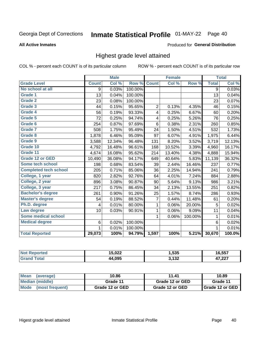#### Inmate Statistical Profile 01-MAY-22 Page 40

#### **All Active Inmates**

#### Produced for General Distribution

### Highest grade level attained

COL % - percent each COUNT is of its particular column

|                              | <b>Male</b>  |        | <b>Female</b> |                |        | <b>Total</b> |                |          |
|------------------------------|--------------|--------|---------------|----------------|--------|--------------|----------------|----------|
| <b>Grade Level</b>           | <b>Count</b> | Col %  | Row %         | <b>Count</b>   | Col %  | Row %        | <b>Total</b>   | Col %    |
| No school at all             | 9            | 0.03%  | 100.00%       |                |        |              | $\overline{9}$ | 0.03%    |
| <b>Grade 1</b>               | 13           | 0.04%  | 100.00%       |                |        |              | 13             | 0.04%    |
| <b>Grade 2</b>               | 23           | 0.08%  | 100.00%       |                |        |              | 23             | 0.07%    |
| Grade 3                      | 44           | 0.15%  | 95.65%        | $\overline{2}$ | 0.13%  | 4.35%        | 46             | 0.15%    |
| <b>Grade 4</b>               | 56           | 0.19%  | 93.33%        | 4              | 0.25%  | 6.67%        | 60             | 0.20%    |
| Grade 5                      | 72           | 0.25%  | 94.74%        | 4              | 0.25%  | 5.26%        | 76             | 0.25%    |
| <b>Grade 6</b>               | 254          | 0.87%  | 97.69%        | $6\phantom{a}$ | 0.38%  | 2.31%        | 260            | 0.85%    |
| <b>Grade 7</b>               | 508          | 1.75%  | 95.49%        | 24             | 1.50%  | 4.51%        | 532            | 1.73%    |
| Grade 8                      | 1,878        | 6.46%  | 95.09%        | 97             | 6.07%  | 4.91%        | 1,975          | 6.44%    |
| Grade 9                      | 3,588        | 12.34% | 96.48%        | 131            | 8.20%  | 3.52%        | 3,719          | 12.13%   |
| Grade 10                     | 4,792        | 16.48% | 96.61%        | 168            | 10.52% | 3.39%        | 4,960          | 16.17%   |
| Grade 11                     | 4,674        | 16.08% | 95.62%        | 214            | 13.40% | 4.38%        | 4,888          | 15.94%   |
| <b>Grade 12 or GED</b>       | 10,490       | 36.08% | 94.17%        | 649            | 40.64% | 5.83%        | 11,139         | 36.32%   |
| <b>Some tech school</b>      | 198          | 0.68%  | 83.54%        | 39             | 2.44%  | 16.46%       | 237            | 0.77%    |
| <b>Completed tech school</b> | 205          | 0.71%  | 85.06%        | 36             | 2.25%  | 14.94%       | 241            | 0.79%    |
| College, 1 year              | 820          | 2.82%  | 92.76%        | 64             | 4.01%  | 7.24%        | 884            | 2.88%    |
| College, 2 year              | 896          | 3.08%  | 90.87%        | 90             | 5.64%  | 9.13%        | 986            | $3.21\%$ |
| College, 3 year              | 217          | 0.75%  | 86.45%        | 34             | 2.13%  | 13.55%       | 251            | 0.82%    |
| <b>Bachelor's degree</b>     | 261          | 0.90%  | 91.26%        | 25             | 1.57%  | 8.74%        | 286            | 0.93%    |
| <b>Master's degree</b>       | 54           | 0.19%  | 88.52%        | 7              | 0.44%  | 11.48%       | 61             | 0.20%    |
| Ph.D. degree                 | 4            | 0.01%  | 80.00%        | $\mathbf{1}$   | 0.06%  | 20.00%       | 5              | 0.02%    |
| Law degree                   | 10           | 0.03%  | 90.91%        | $\mathbf{1}$   | 0.06%  | 9.09%        | 11             | 0.04%    |
| <b>Some medical school</b>   |              |        |               | 1              | 0.06%  | 100.00%      | 1              | 0.01%    |
| <b>Medical degree</b>        | 6            | 0.02%  | 100.00%       |                |        |              | 6              | 0.02%    |
|                              | $\mathbf 1$  | 0.01%  | 100.00%       |                |        |              | 1              | 0.01%    |
| <b>Total Reported</b>        | 29,073       | 100%   | 94.79%        | 1,597          | 100%   | 5.21%        | 30,670         | 100.0%   |

| $N$<br>Reported | 15,022 | 1,535 | 16,557 |
|-----------------|--------|-------|--------|
| Total           | 44,095 | 3,132 | 47,227 |

| <b>Mean</b><br>(average) | 10.86           | 11.41           | 10.89           |
|--------------------------|-----------------|-----------------|-----------------|
| Median (middle)          | Grade 11        | Grade 12 or GED | Grade 11        |
| Mode<br>(most frequent)  | Grade 12 or GED | Grade 12 or GED | Grade 12 or GED |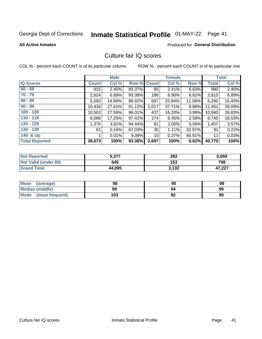# Inmate Statistical Profile 01-MAY-22 Page 41

#### **All Active Inmates**

### **Produced for General Distribution**

### Culture fair IQ scores

COL % - percent each COUNT is of its particular column

|                       |              | <b>Male</b> |             |       | <b>Female</b> |        |              | <b>Total</b> |
|-----------------------|--------------|-------------|-------------|-------|---------------|--------|--------------|--------------|
| <b>IQ Scores</b>      | <b>Count</b> | Col %       | Row % Count |       | Col %         | Row %  | <b>Total</b> | Col %        |
| $60 - 69$             | 915          | 2.40%       | 93.37%      | 65    | 2.41%         | 6.63%  | 980          | 2.40%        |
| $70 - 79$             | 2,624        | 6.89%       | 93.38%      | 186   | 6.90%         | 6.62%  | 2,810        | 6.89%        |
| $80 - 89$             | 5,593        | 14.69%      | 88.92%      | 697   | 25.84%        | 11.08% | 6,290        | 15.43%       |
| $90 - 99$             | 10,434       | 27.41%      | 91.12%      | 1,017 | 37.71%        | 8.88%  | 11,451       | 28.09%       |
| $100 - 109$           | 10,503       | 27.59%      | 96.01%      | 437   | 16.20%        | 3.99%  | 10,940       | 26.83%       |
| $110 - 119$           | 6,566        | 17.25%      | 97.42%      | 174   | 6.45%         | 2.58%  | 6,740        | 16.53%       |
| $120 - 129$           | 1,376        | 3.61%       | 94.44%      | 81    | 3.00%         | 5.56%  | 1,457        | 3.57%        |
| $130 - 139$           | 61           | 0.16%       | 67.03%      | 30    | 1.11%         | 32.97% | 91           | 0.22%        |
| 140 & Up              |              | 0.01%       | $9.09\%$    | 10    | 0.37%         | 90.91% | 11           | 0.03%        |
| <b>Total Reported</b> | 38,073       | 100%        | 93.38%      | 2,697 | 100%          | 6.62%  | 40,770       | 100%         |

| <b>Not Reported</b>         | 5,377  | 282   | 5,659  |
|-----------------------------|--------|-------|--------|
| <b>Not Valid (under 60)</b> | 645    | 153   | 798    |
| <b>Grand Total</b>          | 44,095 | 3,132 | 47,227 |

| <b>Mean</b><br>(average) | 98  | 95 | 98 |
|--------------------------|-----|----|----|
| Median (middle)          | 99  | 94 | 99 |
| Mode<br>(most frequent)  | 103 | 92 | 99 |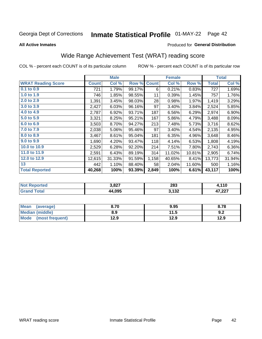# Inmate Statistical Profile 01-MAY-22 Page 42

**All Active Inmates** 

#### Produced for General Distribution

## Wide Range Achievement Test (WRAT) reading score

COL % - percent each COUNT is of its particular column

|                           |              | <b>Male</b> |        |              | <b>Female</b> |        |              | <b>Total</b> |
|---------------------------|--------------|-------------|--------|--------------|---------------|--------|--------------|--------------|
| <b>WRAT Reading Score</b> | <b>Count</b> | Col %       | Row %  | <b>Count</b> | Col %         | Row %  | <b>Total</b> | Col %        |
| $0.1$ to $0.9$            | 721          | 1.79%       | 99.17% | 6            | 0.21%         | 0.83%  | 727          | 1.69%        |
| 1.0 to 1.9                | 746          | 1.85%       | 98.55% | 11           | 0.39%         | 1.45%  | 757          | 1.76%        |
| 2.0 to 2.9                | 1,391        | 3.45%       | 98.03% | 28           | 0.98%         | 1.97%  | 1,419        | 3.29%        |
| 3.0 to 3.9                | 2,427        | 6.03%       | 96.16% | 97           | 3.40%         | 3.84%  | 2,524        | 5.85%        |
| 4.0 to 4.9                | 2,787        | 6.92%       | 93.71% | 187          | 6.56%         | 6.29%  | 2,974        | 6.90%        |
| 5.0 to 5.9                | 3,321        | 8.25%       | 95.21% | 167          | 5.86%         | 4.79%  | 3,488        | 8.09%        |
| 6.0 to 6.9                | 3,503        | 8.70%       | 94.27% | 213          | 7.48%         | 5.73%  | 3,716        | 8.62%        |
| 7.0 to 7.9                | 2,038        | 5.06%       | 95.46% | 97           | 3.40%         | 4.54%  | 2,135        | 4.95%        |
| 8.0 to 8.9                | 3,467        | 8.61%       | 95.04% | 181          | 6.35%         | 4.96%  | 3,648        | 8.46%        |
| 9.0 to 9.9                | 1,690        | 4.20%       | 93.47% | 118          | 4.14%         | 6.53%  | 1,808        | 4.19%        |
| 10.0 to 10.9              | 2,529        | 6.28%       | 92.20% | 214          | 7.51%         | 7.80%  | 2,743        | 6.36%        |
| 11.0 to 11.9              | 2,591        | 6.43%       | 89.19% | 314          | 11.02%        | 10.81% | 2,905        | 6.74%        |
| 12.0 to 12.9              | 12,615       | 31.33%      | 91.59% | 1,158        | 40.65%        | 8.41%  | 13,773       | 31.94%       |
| 13                        | 442          | 1.10%       | 88.40% | 58           | 2.04%         | 11.60% | 500          | 1.16%        |
| <b>Total Reported</b>     | 40,268       | 100%        | 93.39% | 2,849        | 100%          | 6.61%  | 43,117       | 100%         |

| -тес<br>NO | 2027<br>.J.OZ. | 283    | .110   |
|------------|----------------|--------|--------|
| $\sim$ 10  | 4,095          | , 199  | דממ דו |
|            | аа             | J, IJZ | . 221  |

| <b>Mean</b><br>(average)       | 8.70 | 9.95 | 8.78 |
|--------------------------------|------|------|------|
| Median (middle)                | 8.9  | 11.5 | 9.2  |
| <b>Mode</b><br>(most frequent) | 12.9 | 12.9 | 12.9 |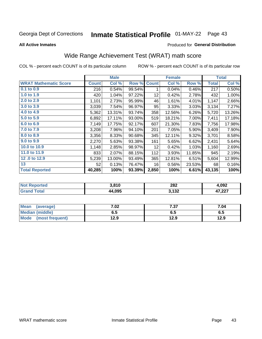# Inmate Statistical Profile 01-MAY-22 Page 43

**All Active Inmates** 

#### Produced for General Distribution

## Wide Range Achievement Test (WRAT) math score

COL % - percent each COUNT is of its particular column

|                              |              | <b>Male</b> |        |                 | <b>Female</b> |        |              | <b>Total</b> |
|------------------------------|--------------|-------------|--------|-----------------|---------------|--------|--------------|--------------|
| <b>WRAT Mathematic Score</b> | <b>Count</b> | Col %       | Row %  | <b>Count</b>    | Col %         | Row %  | <b>Total</b> | Col %        |
| 0.1 to 0.9                   | 216          | 0.54%       | 99.54% | 1               | 0.04%         | 0.46%  | 217          | 0.50%        |
| 1.0 to 1.9                   | 420          | 1.04%       | 97.22% | 12              | 0.42%         | 2.78%  | 432          | 1.00%        |
| 2.0 to 2.9                   | 1,101        | 2.73%       | 95.99% | 46              | 1.61%         | 4.01%  | 1,147        | 2.66%        |
| 3.0 to 3.9                   | 3,039        | 7.54%       | 96.97% | 95              | 3.33%         | 3.03%  | 3,134        | 7.27%        |
| 4.0 to 4.9                   | 5,362        | 13.31%      | 93.74% | 358             | 12.56%        | 6.26%  | 5,720        | 13.26%       |
| 5.0 to 5.9                   | 6,892        | 17.11%      | 93.00% | 519             | 18.21%        | 7.00%  | 7,411        | 17.18%       |
| 6.0 to 6.9                   | 7,149        | 17.75%      | 92.17% | 607             | 21.30%        | 7.83%  | 7,756        | 17.98%       |
| 7.0 to 7.9                   | 3,208        | 7.96%       | 94.10% | 201             | 7.05%         | 5.90%  | 3,409        | 7.90%        |
| 8.0 to 8.9                   | 3,356        | 8.33%       | 90.68% | 345             | 12.11%        | 9.32%  | 3,701        | 8.58%        |
| 9.0 to 9.9                   | 2,270        | 5.63%       | 93.38% | 161             | 5.65%         | 6.62%  | 2,431        | 5.64%        |
| 10.0 to 10.9                 | 1,148        | 2.85%       | 98.97% | 12 <sub>2</sub> | 0.42%         | 1.03%  | 1,160        | 2.69%        |
| 11.0 to 11.9                 | 833          | 2.07%       | 88.15% | 112             | 3.93%         | 11.85% | 945          | 2.19%        |
| 12.0 to 12.9                 | 5,239        | 13.00%      | 93.49% | 365             | 12.81%        | 6.51%  | 5,604        | 12.99%       |
| 13                           | 52           | 0.13%       | 76.47% | 16              | 0.56%         | 23.53% | 68           | 0.16%        |
| <b>Total Reported</b>        | 40,285       | 100%        | 93.39% | 2,850           | 100%          | 6.61%  | 43,135       | 100%         |

| Reported<br>∶N∩t | 3,810  | 282                   | l.092            |
|------------------|--------|-----------------------|------------------|
| <b>otal</b>      | 44.095 | う イクつ<br><b>J.IJZ</b> | דממ דו<br>41.ZZI |

| <b>Mean</b><br>(average) | 7.02 | 7.37 | 7.04 |
|--------------------------|------|------|------|
| Median (middle)          | כ.ס  | დ.ე  | ხ.მ  |
| Mode<br>(most frequent)  | 12.9 | 12.9 | 12.9 |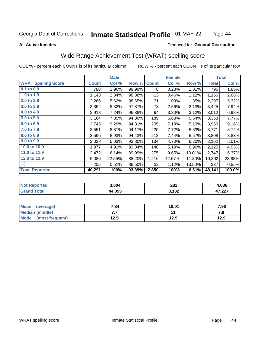#### Inmate Statistical Profile 01-MAY-22 Page 44

#### **All Active Inmates**

### **Produced for General Distribution**

### Wide Range Achievement Test (WRAT) spelling score

COL % - percent each COUNT is of its particular column

|                            |              | <b>Male</b> |        |              | <b>Female</b> |        |              | <b>Total</b> |
|----------------------------|--------------|-------------|--------|--------------|---------------|--------|--------------|--------------|
| <b>WRAT Spelling Score</b> | <b>Count</b> | Col %       | Row %  | <b>Count</b> | Col %         | Row %  | <b>Total</b> | Col %        |
| 0.1 to 0.9                 | 788          | 1.96%       | 98.99% | 8            | 0.28%         | 1.01%  | 796          | 1.85%        |
| 1.0 to 1.9                 | 1,143        | 2.84%       | 98.88% | 13           | 0.46%         | 1.12%  | 1,156        | 2.68%        |
| 2.0 to 2.9                 | 2,266        | 5.62%       | 98.65% | 31           | 1.09%         | 1.35%  | 2,297        | 5.32%        |
| 3.0 to 3.9                 | 3,352        | 8.32%       | 97.87% | 73           | 2.56%         | 2.13%  | 3,425        | 7.94%        |
| 4.0 to 4.9                 | 2,918        | 7.24%       | 96.88% | 94           | 3.30%         | 3.12%  | 3,012        | 6.98%        |
| 5.0 to 5.9                 | 3,164        | 7.85%       | 94.36% | 189          | 6.63%         | 5.64%  | 3,353        | 7.77%        |
| 6.0 to 6.9                 | 3,745        | 9.29%       | 94.81% | 205          | 7.19%         | 5.19%  | 3,950        | 9.16%        |
| 7.0 to 7.9                 | 3,551        | 8.81%       | 94.17% | 220          | 7.72%         | 5.83%  | 3,771        | 8.74%        |
| 8.0 to 8.9                 | 3,596        | 8.93%       | 94.43% | 212          | 7.44%         | 5.57%  | 3,808        | 8.83%        |
| 9.0 to 9.9                 | 2,028        | 5.03%       | 93.80% | 134          | 4.70%         | 6.20%  | 2,162        | 5.01%        |
| 10.0 to 10.9               | 1,977        | 4.91%       | 93.04% | 148          | 5.19%         | 6.96%  | 2,125        | 4.93%        |
| 11.0 to 11.9               | 2,472        | 6.14%       | 89.99% | 275          | 9.65%         | 10.01% | 2,747        | 6.37%        |
| 12.0 to 12.9               | 9,086        | 22.55%      | 88.20% | 1,216        | 42.67%        | 11.80% | 10,302       | 23.88%       |
| 13                         | 205          | 0.51%       | 86.50% | 32           | 1.12%         | 13.50% | 237          | 0.55%        |
| <b>Total Reported</b>      | 40,291       | 100%        | 93.39% | 2,850        | 100%          | 6.61%  | 43,141       | 100.0%       |

| <b>nted</b><br>NO | 3.804  | 282<br>____ | .086           |
|-------------------|--------|-------------|----------------|
| $T \sim$ follows: | 44,095 | 3,132       | 17.22<br>. 221 |

| <b>Mean</b><br>(average) | 7.84 | 10.01 | 7.98 |
|--------------------------|------|-------|------|
| Median (middle)          | .    |       | ه. ، |
| Mode (most frequent)     | 12.9 | 12.9  | 12.9 |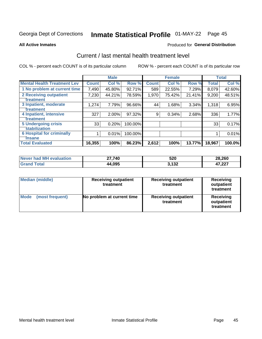# Inmate Statistical Profile 01-MAY-22 Page 45

#### **All Active Inmates**

#### Produced for General Distribution

### Current / last mental health treatment level

COL % - percent each COUNT is of its particular column

|                                    |              | <b>Male</b> |         |              | <b>Female</b> |          |              | <b>Total</b> |
|------------------------------------|--------------|-------------|---------|--------------|---------------|----------|--------------|--------------|
| <b>Mental Health Treatment Lev</b> | <b>Count</b> | Col%        | Row %   | <b>Count</b> | Col %         | Row %    | <b>Total</b> | Col %        |
| 1 No problem at current time       | 7,490        | 45.80%      | 92.71%  | 589          | 22.55%        | 7.29%    | 8,079        | 42.60%       |
| 2 Receiving outpatient             | 7,230        | 44.21%      | 78.59%  | 1,970        | 75.42%        | 21.41%   | 9,200        | 48.51%       |
| <b>Treatment</b>                   |              |             |         |              |               |          |              |              |
| 3 Inpatient, moderate              | 1,274        | 7.79%       | 96.66%  | 44           | 1.68%         | $3.34\%$ | 1,318        | 6.95%        |
| Treatment                          |              |             |         |              |               |          |              |              |
| 4 Inpatient, intensive             | 327          | 2.00%       | 97.32%  | 9            | 0.34%         | 2.68%    | 336          | 1.77%        |
| <b>Treatment</b>                   |              |             |         |              |               |          |              |              |
| 5 Undergoing crisis                | 33           | 0.20%       | 100.00% |              |               |          | 33           | 0.17%        |
| <b>stabilization</b>               |              |             |         |              |               |          |              |              |
| <b>6 Hospital for criminally</b>   |              | 0.01%       | 100.00% |              |               |          |              | 0.01%        |
| <b>Tinsane</b>                     |              |             |         |              |               |          |              |              |
| <b>Total Evaluated</b>             | 16,355       | 100%        | 86.23%  | 2,612        | 100%          | 13.77%   | 18,967       | 100.0%       |

| Never had MH evaluation | 27,740 | 520           | 28,260 |
|-------------------------|--------|---------------|--------|
| $\tau$ otal             | 44,095 | 122<br>J. IJZ | 17,227 |

| <b>Median (middle)</b>         | <b>Receiving outpatient</b><br>treatment | <b>Receiving outpatient</b><br>treatment | <b>Receiving</b><br>outpatient<br>treatment |  |
|--------------------------------|------------------------------------------|------------------------------------------|---------------------------------------------|--|
| <b>Mode</b><br>(most frequent) | No problem at current time               | <b>Receiving outpatient</b><br>treatment | Receiving<br>outpatient<br>treatment        |  |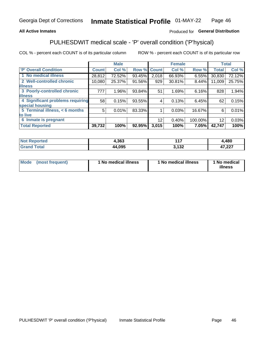#### **All Active Inmates**

### Produced for General Distribution

## PULHESDWIT medical scale - 'P' overall condition ('P'hysical)

COL % - percent each COUNT is of its particular column

|                                  |              | <b>Male</b> |        |                 | <b>Female</b> |         |                 | <b>Total</b> |
|----------------------------------|--------------|-------------|--------|-----------------|---------------|---------|-----------------|--------------|
| 'P' Overall Condition            | <b>Count</b> | Col %       | Row %  | <b>Count</b>    | Col %         | Row %   | <b>Total</b>    | Col %        |
| 1 No medical illness             | 28,812       | 72.52%      | 93.45% | 2,018           | 66.93%        | 6.55%   | 30,830          | 72.12%       |
| 2 Well-controlled chronic        | 10,080       | 25.37%      | 91.56% | 929             | 30.81%        | 8.44%   | 11,009          | 25.75%       |
| <b>illness</b>                   |              |             |        |                 |               |         |                 |              |
| 3 Poorly-controlled chronic      | 777          | $1.96\%$    | 93.84% | 51              | 1.69%         | 6.16%   | 828             | 1.94%        |
| <b>illness</b>                   |              |             |        |                 |               |         |                 |              |
| 4 Significant problems requiring | 58           | 0.15%       | 93.55% | 4               | 0.13%         | 6.45%   | 62              | 0.15%        |
| special housing                  |              |             |        |                 |               |         |                 |              |
| 5 Terminal illness, < 6 months   | 5            | 0.01%       | 83.33% |                 | 0.03%         | 16.67%  | 6               | 0.01%        |
| to live                          |              |             |        |                 |               |         |                 |              |
| 6 Inmate is pregnant             |              |             |        | 12 <sup>2</sup> | 0.40%         | 100.00% | 12 <sup>2</sup> | 0.03%        |
| <b>Total Reported</b>            | 39,732       | 100%        | 92.95% | 3,015           | 100%          | 7.05%   | 42,747          | 100%         |

| Teo    | 1,363 | 147<br>. .     | ,480    |
|--------|-------|----------------|---------|
| $\sim$ | 4,095 | $\overline{A}$ | $-0.07$ |
|        | л л   | 4 J L          | 11,441  |

| Mode | (most frequent) | 1 No medical illness | 1 No medical illness | 1 No medical<br>illness |
|------|-----------------|----------------------|----------------------|-------------------------|
|------|-----------------|----------------------|----------------------|-------------------------|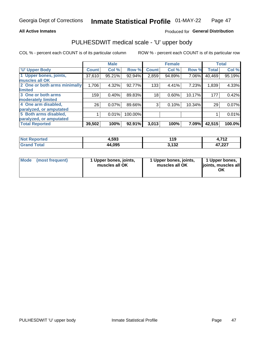#### **All Active Inmates**

### Produced for General Distribution

## PULHESDWIT medical scale - 'U' upper body

COL % - percent each COUNT is of its particular column

|                              |              | <b>Male</b> |         |              | <b>Female</b> |        |              | <b>Total</b> |
|------------------------------|--------------|-------------|---------|--------------|---------------|--------|--------------|--------------|
| <b>U' Upper Body</b>         | <b>Count</b> | Col %       | Row %   | <b>Count</b> | Col %         | Row %  | <b>Total</b> | Col %        |
| 1 Upper bones, joints,       | 37,610       | 95.21%      | 92.94%  | 2,859        | 94.89%        | 7.06%  | 40,469       | 95.19%       |
| muscles all OK               |              |             |         |              |               |        |              |              |
| 2 One or both arms minimally | 1,706        | 4.32%       | 92.77%  | 133          | 4.41%         | 7.23%  | 1,839        | 4.33%        |
| limited                      |              |             |         |              |               |        |              |              |
| 3 One or both arms           | 159          | 0.40%       | 89.83%  | 18           | 0.60%         | 10.17% | 177          | 0.42%        |
| <b>moderately limited</b>    |              |             |         |              |               |        |              |              |
| 4 One arm disabled,          | 26           | 0.07%       | 89.66%  | 3            | 0.10%         | 10.34% | 29           | 0.07%        |
| paralyzed, or amputated      |              |             |         |              |               |        |              |              |
| 5 Both arms disabled,        |              | 0.01%       | 100.00% |              |               |        |              | 0.01%        |
| paralyzed, or amputated      |              |             |         |              |               |        |              |              |
| <b>Total Reported</b>        | 39,502       | 100%        | 92.91%  | 3,013        | 100%          | 7.09%  | 42,515       | 100.0%       |

| <b>Not Reported</b>          | 4,593  | 19            | <b>740</b><br>. |
|------------------------------|--------|---------------|-----------------|
| <b>Total</b><br><b>Grand</b> | 44,095 | 2122<br>J.IJZ | 47,227          |

| Mode (most frequent) | 1 Upper bones, joints,<br>muscles all OK | 1 Upper bones, joints,<br>muscles all OK | 1 Upper bones,<br>joints, muscles all<br>ΟK |
|----------------------|------------------------------------------|------------------------------------------|---------------------------------------------|
|----------------------|------------------------------------------|------------------------------------------|---------------------------------------------|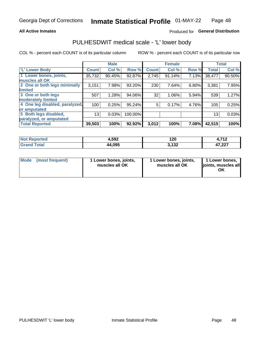#### **All Active Inmates**

### Produced for General Distribution

### PULHESDWIT medical scale - 'L' lower body

COL % - percent each COUNT is of its particular column

|                                |              | <b>Male</b> |         |              | <b>Female</b> |       |                 | <b>Total</b> |
|--------------------------------|--------------|-------------|---------|--------------|---------------|-------|-----------------|--------------|
| 'L' Lower Body                 | <b>Count</b> | Col %       | Row %   | <b>Count</b> | Col %         | Row % | <b>Total</b>    | Col %        |
| 1 Lower bones, joints,         | 35,732       | 90.45%      | 92.87%  | 2,745        | 91.14%        | 7.13% | 38,477          | 90.50%       |
| muscles all OK                 |              |             |         |              |               |       |                 |              |
| 2 One or both legs minimally   | 3,151        | 7.98%       | 93.20%  | 230          | 7.64%         | 6.80% | 3,381           | 7.95%        |
| limited                        |              |             |         |              |               |       |                 |              |
| 3 One or both legs             | 507          | 1.28%       | 94.06%  | 32           | 1.06%         | 5.94% | 539             | 1.27%        |
| moderately limited             |              |             |         |              |               |       |                 |              |
| 4 One leg disabled, paralyzed, | 100          | 0.25%       | 95.24%  | 5            | 0.17%         | 4.76% | 105             | 0.25%        |
| or amputated                   |              |             |         |              |               |       |                 |              |
| 5 Both legs disabled,          | 13           | 0.03%       | 100.00% |              |               |       | 13 <sub>1</sub> | 0.03%        |
| paralyzed, or amputated        |              |             |         |              |               |       |                 |              |
| <b>Total Reported</b>          | 39,503       | 100%        | 92.92%  | 3,012        | 100%          | 7.08% | 42,515          | 100%         |

| <b>Not Reported</b> | 4,592  | 120    | <b>740</b><br>-- |
|---------------------|--------|--------|------------------|
| Total               | 44,095 | -422   | דממ דו           |
| Grand               |        | J. IJZ | 41,221           |

|  | Mode (most frequent) | 1 Lower bones, joints,<br>muscles all OK | 1 Lower bones, joints,<br>muscles all OK | 1 Lower bones,<br>joints, muscles all<br>ΟK |
|--|----------------------|------------------------------------------|------------------------------------------|---------------------------------------------|
|--|----------------------|------------------------------------------|------------------------------------------|---------------------------------------------|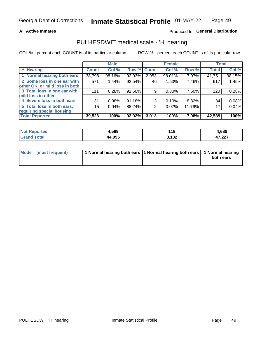#### **All Active Inmates**

### Produced for General Distribution

### PULHESDWIT medical scale - 'H' hearing

COL % - percent each COUNT is of its particular column

|                                |              | <b>Male</b> |        |                    | <b>Female</b> |        | <b>Total</b> |        |
|--------------------------------|--------------|-------------|--------|--------------------|---------------|--------|--------------|--------|
| <b>'H' Hearing</b>             | <b>Count</b> | Col %       |        | <b>Row % Count</b> | Col %         | Row %  | <b>Total</b> | Col %  |
| 1 Normal hearing both ears     | 38,798       | 98.16%      | 92.93% | 2,953              | 98.01%        | 7.07%  | 41,751       | 98.15% |
| 2 Some loss in one ear with    | 571          | 1.44%       | 92.54% | 46                 | 1.53%         | 7.46%  | 617          | 1.45%  |
| other OK, or mild loss in both |              |             |        |                    |               |        |              |        |
| 3 Total loss in one ear with   | 111          | 0.28%       | 92.50% | 9                  | 0.30%         | 7.50%  | 120          | 0.28%  |
| mild loss in other             |              |             |        |                    |               |        |              |        |
| 4 Severe loss in both ears     | 31           | 0.08%       | 91.18% | 3                  | $0.10\%$      | 8.82%  | 34           | 0.08%  |
| 5 Total loss in both ears,     | 15           | 0.04%       | 88.24% | 2                  | 0.07%         | 11.76% | 17           | 0.04%  |
| requiring special housing      |              |             |        |                    |               |        |              |        |
| <b>Total Reported</b>          | 39,526       | 100%        | 92.92% | 3,013              | 100%          | 7.08%  | 42,539       | 100%   |

| neo | 1,569  | 44<br>19       | 1,688            |
|-----|--------|----------------|------------------|
|     | 44.095 | つ イワク<br>J.IJZ | ハフ へへつ<br>41.ZZI |

| Mode (most frequent) | 1 Normal hearing both ears 1 Normal hearing both ears 1 Normal hearing | both ears |
|----------------------|------------------------------------------------------------------------|-----------|
|                      |                                                                        |           |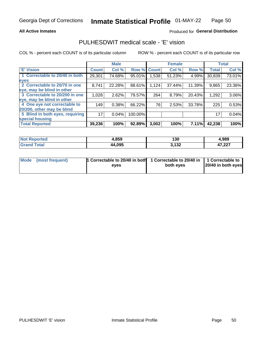#### **All Active Inmates**

### Produced for General Distribution

### PULHESDWIT medical scale - 'E' vision

COL % - percent each COUNT is of its particular column

|                                 |              | <b>Male</b> |             |       | <b>Female</b> |        |              | <b>Total</b> |
|---------------------------------|--------------|-------------|-------------|-------|---------------|--------|--------------|--------------|
| 'E' Vision                      | <b>Count</b> | Col %       | Row % Count |       | Col %         | Row %  | <b>Total</b> | Col %        |
| 1 Correctable to 20/40 in both  | 29,301       | 74.68%      | 95.01%      | .538  | 51.23%        | 4.99%  | 30,839       | 73.01%       |
| eyes                            |              |             |             |       |               |        |              |              |
| 2 Correctable to 20/70 in one   | 8,741        | 22.28%      | 88.61%      | 1,124 | 37.44%        | 11.39% | 9,865        | 23.36%       |
| eye, may be blind in other      |              |             |             |       |               |        |              |              |
| 3 Correctable to 20/200 in one  | 1,028        | 2.62%       | 79.57%      | 264   | 8.79%         | 20.43% | 1,292        | 3.06%        |
| eye, may be blind in other      |              |             |             |       |               |        |              |              |
| 4 One eye not correctable to    | 149          | 0.38%       | 66.22%      | 76    | 2.53%         | 33.78% | 225          | 0.53%        |
| 20/200, other may be blind      |              |             |             |       |               |        |              |              |
| 5 Blind in both eyes, requiring | 17           | 0.04%       | 100.00%     |       |               |        | 17           | 0.04%        |
| special housing                 |              |             |             |       |               |        |              |              |
| <b>Total Reported</b>           | 39,236       | 100%        | 92.89%      | 3,002 | 100%          | 7.11%  | 42,238       | 100%         |

| <b>Not Reported</b> | 4,859  | 130                   | 4,989            |
|---------------------|--------|-----------------------|------------------|
| <b>fota</b>         | 44,095 | <b>2422</b><br>J, IJZ | 17 777<br>41,ZZI |

| Mode (most frequent) | 1 Correctable to 20/40 in both<br>eves | 1 Correctable to 20/40 in   1 Correctable to  <br>both eves | 20/40 in both eyes |
|----------------------|----------------------------------------|-------------------------------------------------------------|--------------------|
|                      |                                        |                                                             |                    |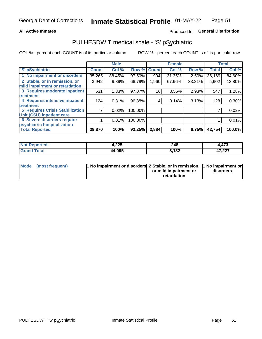#### **All Active Inmates**

### Produced for General Distribution

## PULHESDWIT medical scale - 'S' pSychiatric

COL % - percent each COUNT is of its particular column

|                                        |              | <b>Male</b> |         |              | <b>Female</b> |        |              | <b>Total</b> |
|----------------------------------------|--------------|-------------|---------|--------------|---------------|--------|--------------|--------------|
| 'S' pSychiatric                        | <b>Count</b> | Col %       | Row %   | <b>Count</b> | Col %         | Row %  | <b>Total</b> | Col %        |
| 1 No impairment or disorders           | 35,265       | 88.45%      | 97.50%  | 904          | 31.35%        | 2.50%  | 36,169       | 84.60%       |
| 2 Stable, or in remission, or          | 3,942        | 9.89%       | 66.79%  | 1,960        | 67.96%        | 33.21% | 5,902        | 13.80%       |
| mild impairment or retardation         |              |             |         |              |               |        |              |              |
| 3 Requires moderate inpatient          | 531          | 1.33%       | 97.07%  | 16           | 0.55%         | 2.93%  | 547          | 1.28%        |
| treatment                              |              |             |         |              |               |        |              |              |
| 4 Requires intensive inpatient         | 124          | 0.31%       | 96.88%  | 4            | 0.14%         | 3.13%  | 128          | 0.30%        |
| treatment                              |              |             |         |              |               |        |              |              |
| <b>5 Requires Crisis Stabilization</b> |              | 0.02%       | 100.00% |              |               |        |              | 0.02%        |
| Unit (CSU) inpatient care              |              |             |         |              |               |        |              |              |
| <b>6 Severe disorders require</b>      |              | 0.01%       | 100.00% |              |               |        |              | 0.01%        |
| psychiatric hospitalization            |              |             |         |              |               |        |              |              |
| <b>Total Reported</b>                  | 39,870       | 100%        | 93.25%  | 2,884        | 100%          | 6.75%  | 42,754       | 100.0%       |

| <b>Not Reported</b>        | 4,225  | 248   | 473،،           |
|----------------------------|--------|-------|-----------------|
| <b>Total</b><br><b>Cre</b> | 44.095 | 3,132 | 17.22<br>41.LLI |

| Mode | (most frequent) | 1 No impairment or disorders 2 Stable, or in remission, 1 No impairment or |                       |           |
|------|-----------------|----------------------------------------------------------------------------|-----------------------|-----------|
|      |                 |                                                                            | or mild impairment or | disorders |
|      |                 |                                                                            | retardation           |           |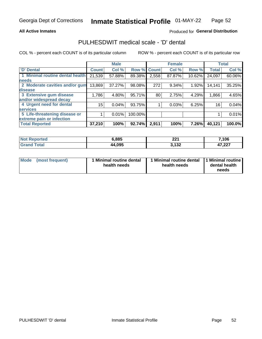#### **All Active Inmates**

### Produced for General Distribution

### PULHESDWIT medical scale - 'D' dental

COL % - percent each COUNT is of its particular column

|                                 |              | <b>Male</b> |         |              | <b>Female</b> |        |              | <b>Total</b> |
|---------------------------------|--------------|-------------|---------|--------------|---------------|--------|--------------|--------------|
| <b>D'</b> Dental                | <b>Count</b> | Col %       | Row %   | <b>Count</b> | Col %         | Row %  | <b>Total</b> | Col %        |
| 1 Minimal routine dental health | 21,539       | 57.88%      | 89.38%  | 2,558        | 87.87%        | 10.62% | 24,097       | 60.06%       |
| <b>needs</b>                    |              |             |         |              |               |        |              |              |
| 2 Moderate cavities and/or gum  | 13,869       | 37.27%      | 98.08%  | 272          | 9.34%         | 1.92%  | 14,141       | 35.25%       |
| disease                         |              |             |         |              |               |        |              |              |
| 3 Extensive gum disease         | 1,786        | 4.80%       | 95.71%  | 80           | 2.75%         | 4.29%  | 1,866        | 4.65%        |
| and/or widespread decay         |              |             |         |              |               |        |              |              |
| 4 Urgent need for dental        | 15           | 0.04%       | 93.75%  |              | 0.03%         | 6.25%  | 16           | 0.04%        |
| <b>services</b>                 |              |             |         |              |               |        |              |              |
| 5 Life-threatening disease or   |              | 0.01%       | 100.00% |              |               |        |              | 0.01%        |
| extreme pain or infection       |              |             |         |              |               |        |              |              |
| <b>Total Reported</b>           | 37,210       | 100%        | 92.74%  | 2,911        | 100%          | 7.26%  | 40,121       | 100.0%       |

| <b>Not Reported</b>          | 6,885  | 224<br>ZZ : | 7,106            |
|------------------------------|--------|-------------|------------------|
| <b>Total</b><br><b>Grand</b> | 44,095 | 3,132       | オフ つつフ<br>41.ZZ1 |

| Mode<br><b>Minimal routine dental</b><br>(most frequent)<br>health needs | 1 Minimal routine dental<br>health needs | 1 Minimal routine<br>dental health<br>needs |
|--------------------------------------------------------------------------|------------------------------------------|---------------------------------------------|
|--------------------------------------------------------------------------|------------------------------------------|---------------------------------------------|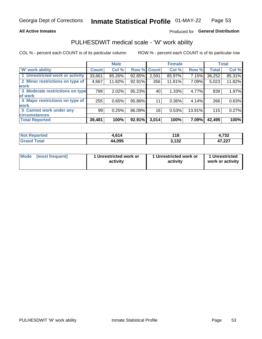#### **All Active Inmates**

### Produced for General Distribution

### PULHESDWIT medical scale - 'W' work ability

COL % - percent each COUNT is of its particular column

|                                 |              | <b>Male</b> |        |             | <b>Female</b> |        |              | <b>Total</b> |
|---------------------------------|--------------|-------------|--------|-------------|---------------|--------|--------------|--------------|
| 'W' work ability                | <b>Count</b> | Col %       |        | Row % Count | Col %         | Row %  | <b>Total</b> | Col %        |
| 1 Unrestricted work or activity | 33,661       | 85.26%      | 92.85% | 2,591       | 85.97%        | 7.15%  | 36,252       | 85.31%       |
| 2 Minor restrictions on type of | 4,667        | 11.82%      | 92.91% | 356         | 11.81%        | 7.09%  | 5,023        | 11.82%       |
| <b>work</b>                     |              |             |        |             |               |        |              |              |
| 3 Moderate restrictions on type | 799          | 2.02%       | 95.23% | 40          | 1.33%         | 4.77%  | 839          | 1.97%        |
| lof work                        |              |             |        |             |               |        |              |              |
| 4 Major restrictions on type of | 255          | 0.65%       | 95.86% | 11          | 0.36%         | 4.14%  | 266          | 0.63%        |
| <b>work</b>                     |              |             |        |             |               |        |              |              |
| 5 Cannot work under any         | 99           | 0.25%       | 86.09% | 16          | 0.53%         | 13.91% | 115          | 0.27%        |
| <b>circumstances</b>            |              |             |        |             |               |        |              |              |
| <b>Total Reported</b>           | 39,481       | 100%        | 92.91% | 3,014       | 100%          | 7.09%  | 42,495       | 100%         |

| <b>Not Reported</b> | 614    | 440    | フクク    |
|---------------------|--------|--------|--------|
|                     | .v.    | . I C  | 4,7 JZ |
| <b>Total</b>        | 44,095 | 2.422  | 17 777 |
| <b>Grand</b>        |        | J. IJZ | 41,221 |

| Mode            | 1 Unrestricted work or | 1 Unrestricted work or | 1 Unrestricted   |
|-----------------|------------------------|------------------------|------------------|
| (most frequent) | activity               | activity               | work or activity |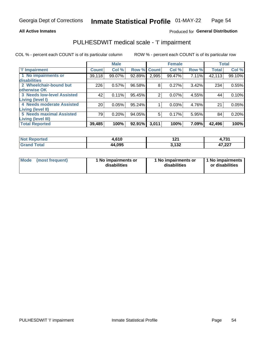#### **All Active Inmates**

### Produced for General Distribution

## PULHESDWIT medical scale - 'I' impairment

COL % - percent each COUNT is of its particular column

|                                                      |              | <b>Male</b> |        |             | <b>Female</b> |       |              | <b>Total</b> |
|------------------------------------------------------|--------------|-------------|--------|-------------|---------------|-------|--------------|--------------|
| <b>T' Impairment</b>                                 | <b>Count</b> | Col %       |        | Row % Count | Col %         | Row % | <b>Total</b> | Col %        |
| 1 No impairments or<br>disabilities                  | 39,118       | 99.07%      | 92.89% | 2,995       | 99.47%        | 7.11% | 42,113       | 99.10%       |
| 2 Wheelchair-bound but<br>otherwise OK               | 226          | 0.57%       | 96.58% | 8           | 0.27%         | 3.42% | 234          | 0.55%        |
| <b>3 Needs low-level Assisted</b>                    | 42           | 0.11%       | 95.45% | 2           | 0.07%         | 4.55% | 44           | 0.10%        |
| Living (level I)<br>4 Needs moderate Assisted        | 20           | 0.05%       | 95.24% |             | 0.03%         | 4.76% | 21           | 0.05%        |
| Living (level II)<br><b>5 Needs maximal Assisted</b> | 79           | 0.20%       | 94.05% | 5           | 0.17%         | 5.95% | 84           | 0.20%        |
| <b>Living (level III)</b><br><b>Total Reported</b>   | 39,485       | 100%        | 92.91% | 3,011       | 100%          | 7.09% | 42,496       | 100%         |

| <b>Reported</b><br>NO | 0.015<br>. U<br>. | י הי<br>.                       | 724<br>4,7J)    |
|-----------------------|-------------------|---------------------------------|-----------------|
| ™ota⊾                 | 44,095            | $\overline{100}$<br>1 J 4<br>w. | 17.22<br>41,221 |

| <b>Mode</b> | (most frequent) | <b>No impairments or</b><br>disabilities | 1 No impairments or<br>disabilities | 1 No impairments<br>or disabilities |
|-------------|-----------------|------------------------------------------|-------------------------------------|-------------------------------------|
|-------------|-----------------|------------------------------------------|-------------------------------------|-------------------------------------|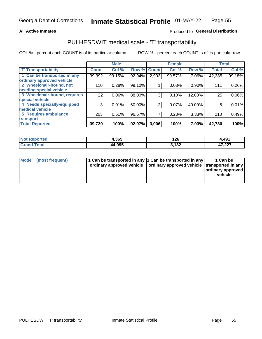#### **All Active Inmates**

### Produced fo General Distribution

### PULHESDWIT medical scale - 'T' transportability

COL % - percent each COUNT is of its particular column

|                              |              | <b>Male</b> |        |              | <b>Female</b> |          | <b>Total</b> |          |
|------------------------------|--------------|-------------|--------|--------------|---------------|----------|--------------|----------|
| <b>T' Transportability</b>   | <b>Count</b> | Col %       | Row %  | <b>Count</b> | Col %         | Row %    | <b>Total</b> | Col %    |
| 1 Can be transported in any  | 39,392       | 99.15%      | 92.94% | 2,993        | 99.57%        | 7.06%    | 42,385       | 99.18%   |
| ordinary approved vehicle    |              |             |        |              |               |          |              |          |
| 2 Wheelchair-bound, not      | 110          | 0.28%       | 99.10% |              | 0.03%         | $0.90\%$ | 111          | 0.26%    |
| needing special vehicle      |              |             |        |              |               |          |              |          |
| 3 Wheelchair-bound, requires | 22           | 0.06%       | 88.00% | 3            | 0.10%         | 12.00%   | 25           | $0.06\%$ |
| special vehicle              |              |             |        |              |               |          |              |          |
| 4 Needs specially-equipped   | 3            | 0.01%       | 60.00% | 2            | 0.07%         | 40.00%   | 5            | 0.01%    |
| medical vehicle              |              |             |        |              |               |          |              |          |
| <b>5 Requires ambulance</b>  | 203          | 0.51%       | 96.67% | 7            | 0.23%         | 3.33%    | 210          | 0.49%    |
| transport                    |              |             |        |              |               |          |              |          |
| <b>Total Reported</b>        | 39,730       | 100%        | 92.97% | 3,006        | 100%          | 7.03%    | 42,736       | 100%     |

| <b>Not</b><br>Reported | 1,365  | 126<br>$\sim$                  | 4,491           |
|------------------------|--------|--------------------------------|-----------------|
| ™ota⊾                  | 44,095 | $\overline{100}$<br>1 J 4<br>ີ | 17.22<br>41,ZZI |

|  | Mode (most frequent) | 1 Can be transported in any 1 Can be transported in any<br>ordinary approved vehicle   ordinary approved vehicle   transported in any |  | 1 Can be<br>  ordinary approved  <br>vehicle |
|--|----------------------|---------------------------------------------------------------------------------------------------------------------------------------|--|----------------------------------------------|
|--|----------------------|---------------------------------------------------------------------------------------------------------------------------------------|--|----------------------------------------------|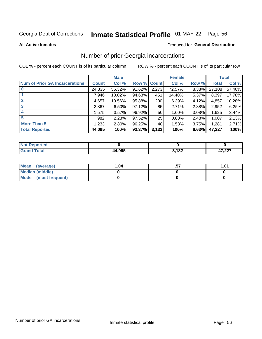# Inmate Statistical Profile 01-MAY-22 Page 56

**All Active Inmates** 

#### Produced for General Distribution

### Number of prior Georgia incarcerations

COL % - percent each COUNT is of its particular column

|                                       |              | <b>Male</b> |             |       | <b>Female</b> |       |        | <b>Total</b> |
|---------------------------------------|--------------|-------------|-------------|-------|---------------|-------|--------|--------------|
| <b>Num of Prior GA Incarcerations</b> | <b>Count</b> | Col %       | Row % Count |       | Col %         | Row % | Total  | Col %        |
| $\bf{0}$                              | 24,835       | 56.32%      | 91.62%      | 2,273 | 72.57%        | 8.38% | 27,108 | 57.40%       |
|                                       | 7,946        | 18.02%      | 94.63%      | 451   | 14.40%        | 5.37% | 8,397  | 17.78%       |
| $\mathbf{2}$                          | 4,657        | 10.56%      | 95.88%      | 200   | 6.39%         | 4.12% | 4,857  | 10.28%       |
| 3                                     | 2,867        | 6.50%       | 97.12%      | 85    | 2.71%         | 2.88% | 2,952  | 6.25%        |
| $\boldsymbol{4}$                      | 1,575        | 3.57%       | 96.92%      | 50    | 1.60%         | 3.08% | 1,625  | 3.44%        |
| 5                                     | 982          | 2.23%       | 97.52%      | 25    | 0.80%         | 2.48% | 1,007  | 2.13%        |
| <b>More Than 5</b>                    | 1,233        | 2.80%       | 96.25%      | 48    | 1.53%         | 3.75% | 1,281  | 2.71%        |
| <b>Total Reported</b>                 | 44,095       | 100%        | 93.37%      | 3,132 | 100%          | 6.63% | 47,227 | 100%         |

| orted<br>Nt |        |              |                |
|-------------|--------|--------------|----------------|
| <b>ota</b>  | 44.095 | 122<br>1 J 4 | , ממ<br>11,441 |

| Mean (average)       | 1.04 | ں. | 1.01 |
|----------------------|------|----|------|
| Median (middle)      |      |    |      |
| Mode (most frequent) |      |    |      |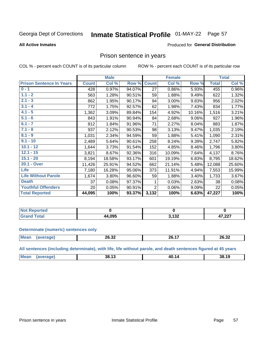#### **Inmate Statistical Profile 01-MAY-22** Page 57

#### **All Active Inmates**

### **Produced for General Distribution**

### Prison sentence in years

COL % - percent each COUNT is of its particular column

ROW % - percent each COUNT is of its particular row

|                                 |              | <b>Male</b> |        |                | <b>Female</b> |        |              | <b>Total</b> |
|---------------------------------|--------------|-------------|--------|----------------|---------------|--------|--------------|--------------|
| <b>Prison Sentence In Years</b> | <b>Count</b> | Col %       | Row %  | <b>Count</b>   | Col %         | Row %  | <b>Total</b> | Col %        |
| $0 - 1$                         | 428          | 0.97%       | 94.07% | 27             | 0.86%         | 5.93%  | 455          | 0.96%        |
| $1.1 - 2$                       | 563          | 1.28%       | 90.51% | 59             | 1.88%         | 9.49%  | 622          | 1.32%        |
| $2.1 - 3$                       | 862          | 1.95%       | 90.17% | 94             | 3.00%         | 9.83%  | 956          | 2.02%        |
| $3.1 - 4$                       | 772          | 1.75%       | 92.57% | 62             | 1.98%         | 7.43%  | 834          | 1.77%        |
| $4.1 - 5$                       | 1,362        | 3.09%       | 89.84% | 154            | 4.92%         | 10.16% | 1,516        | 3.21%        |
| $5.1 - 6$                       | 843          | 1.91%       | 90.94% | 84             | 2.68%         | 9.06%  | 927          | 1.96%        |
| $6.1 - 7$                       | 812          | 1.84%       | 91.96% | 71             | 2.27%         | 8.04%  | 883          | 1.87%        |
| $7.1 - 8$                       | 937          | 2.12%       | 90.53% | 98             | 3.13%         | 9.47%  | 1,035        | 2.19%        |
| $8.1 - 9$                       | 1,031        | 2.34%       | 94.59% | 59             | 1.88%         | 5.41%  | 1,090        | 2.31%        |
| $9.1 - 10$                      | 2,489        | 5.64%       | 90.61% | 258            | 8.24%         | 9.39%  | 2,747        | 5.82%        |
| $10.1 - 12$                     | 1,644        | 3.73%       | 91.54% | 152            | 4.85%         | 8.46%  | 1,796        | 3.80%        |
| $12.1 - 15$                     | 3,821        | 8.67%       | 92.36% | 316            | 10.09%        | 7.64%  | 4,137        | 8.76%        |
| $15.1 - 20$                     | 8,194        | 18.58%      | 93.17% | 601            | 19.19%        | 6.83%  | 8,795        | 18.62%       |
| 20.1 - Over                     | 11,426       | 25.91%      | 94.52% | 662            | 21.14%        | 5.48%  | 12,088       | 25.60%       |
| <b>Life</b>                     | 7,180        | 16.28%      | 95.06% | 373            | 11.91%        | 4.94%  | 7,553        | 15.99%       |
| <b>Life Without Parole</b>      | 1,674        | 3.80%       | 96.60% | 59             | 1.88%         | 3.40%  | 1,733        | 3.67%        |
| <b>Death</b>                    | 37           | 0.08%       | 97.37% |                | 0.03%         | 2.63%  | 38           | 0.08%        |
| <b>Youthful Offenders</b>       | 20           | 0.05%       | 90.91% | $\overline{2}$ | 0.06%         | 9.09%  | 22           | 0.05%        |
| <b>Total Reported</b>           | 44,095       | 100%        | 93.37% | 3,132          | 100%          | 6.63%  | 47,227       | 100%         |

| ported<br>I NOT |      |              |                 |
|-----------------|------|--------------|-----------------|
|                 | .095 | 122<br>1 J 4 | 17.22<br>41,ZZI |

#### **Determinate (numeric) sentences only**

| <b>Mean</b><br>$\cdots$ | 26.32 | $\rightarrow$<br>26<br>$\sim$ | 26.32 |
|-------------------------|-------|-------------------------------|-------|
|                         |       |                               |       |

All sentences (including determinate), with life, life without parole, and death sentences figured at 45 years

| <b>Me</b> | $\overline{\phantom{a}}$<br>38.<br>ن ا | 40<br>14<br>______ | 38.19 |
|-----------|----------------------------------------|--------------------|-------|
|           |                                        |                    |       |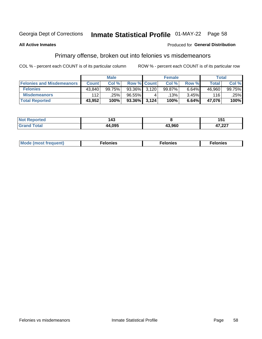## Inmate Statistical Profile 01-MAY-22 Page 58

#### **All Active Inmates**

#### Produced for General Distribution

### Primary offense, broken out into felonies vs misdemeanors

COL % - percent each COUNT is of its particular column

|                                  | <b>Male</b>  |        |                 | <b>Female</b> |        |          | Total  |        |  |
|----------------------------------|--------------|--------|-----------------|---------------|--------|----------|--------|--------|--|
| <b>Felonies and Misdemeanors</b> | <b>Count</b> | Col %  | Row % Count     |               | Col %  | Row %    | Total  | Col%   |  |
| <b>Felonies</b>                  | 43,840       | 99.75% | $93.36\%$ 3.120 |               | 99.87% | $6.64\%$ | 46,960 | 99.75% |  |
| <b>Misdemeanors</b>              | 112          | .25%   | 96.55%          |               | .13%   | $3.45\%$ | 116    | .25%   |  |
| <b>Total Reported</b>            | 43,952       | 100%   | $93.36\%$ 3,124 |               | 100%   | 6.64%    | 47,076 | 100%   |  |

| <b>Not Reported</b> | .<br>143      |        | I J I           |
|---------------------|---------------|--------|-----------------|
| Grar<br>`otal       | <i>AA</i> NQF | 43.960 | 17.02<br>41.ZZT |

| M      | .    | nes | onies |
|--------|------|-----|-------|
| nuenti | ____ | .   | .     |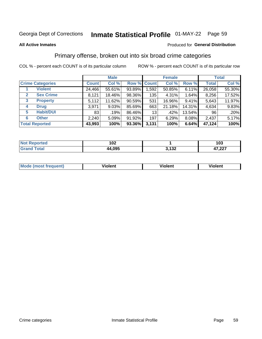## Inmate Statistical Profile 01-MAY-22 Page 59

#### **All Active Inmates**

#### Produced for General Distribution

### Primary offense, broken out into six broad crime categories

COL % - percent each COUNT is of its particular column

|                         |                  | <b>Male</b>  |          |           | <b>Female</b> |        |        | <b>Total</b> |        |
|-------------------------|------------------|--------------|----------|-----------|---------------|--------|--------|--------------|--------|
| <b>Crime Categories</b> |                  | <b>Count</b> | Col %    |           | Row % Count   | Col %  | Row %  | <b>Total</b> | Col %  |
|                         | <b>Violent</b>   | 24,466       | 55.61%   | 93.89%    | 1,592         | 50.85% | 6.11%  | 26,058       | 55.30% |
| $\mathbf{2}$            | <b>Sex Crime</b> | 8,121        | 18.46%   | 98.36%    | 135           | 4.31%  | 1.64%  | 8,256        | 17.52% |
| 3                       | <b>Property</b>  | 5,112        | 11.62%   | $90.59\%$ | 531           | 16.96% | 9.41%  | 5,643        | 11.97% |
| 4                       | <b>Drug</b>      | 3,971        | $9.03\%$ | 85.69%    | 663           | 21.18% | 14.31% | 4,634        | 9.83%  |
| 5                       | <b>Habit/DUI</b> | 83           | .19%     | 86.46%    | 13            | .42%   | 13.54% | 96           | .20%   |
| 6                       | <b>Other</b>     | 2,240        | 5.09%    | 91.92%    | 197           | 6.29%  | 8.08%  | 2,437        | 5.17%  |
| <b>Total Reported</b>   |                  | 43,993       | 100%     | 93.36%    | 3,131         | 100%   | 6.64%  | 47,124       | 100%   |

| <b>orted</b><br>' NO)<br>. | 102    |                 | 103              |
|----------------------------|--------|-----------------|------------------|
| <b>Total</b>               | 44,095 | , 199<br>J, IJ∠ | דמה דו<br>41.LLI |

| Mode<br>freauent)<br>anst tr | .<br>/iolent | <br>Violent | .<br><b>Tiolent</b> |
|------------------------------|--------------|-------------|---------------------|
|                              |              |             |                     |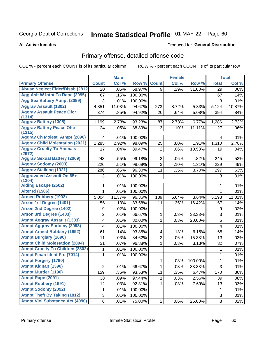# Inmate Statistical Profile 01-MAY-22 Page 60

#### **All Active Inmates**

### **Produced for General Distribution**

### Primary offense, detailed offense code

COL % - percent each COUNT is of its particular column

|                                            |                | <b>Male</b> |         |                | <b>Female</b> |         |                         | <b>Total</b> |
|--------------------------------------------|----------------|-------------|---------|----------------|---------------|---------|-------------------------|--------------|
| <b>Primary Offense</b>                     | <b>Count</b>   | Col %       | Row %   | <b>Count</b>   | Col %         | Row %   | <b>Total</b>            | Col %        |
| <b>Abuse Neglect Elder/Disab (2812)</b>    | 20             | .05%        | 68.97%  | 9              | .29%          | 31.03%  | 29                      | .06%         |
| Agg Aslt W Intnt To Rape (2095)            | 67             | .15%        | 100.00% |                |               |         | 67                      | .14%         |
| <b>Agg Sex Battery Atmpt (2099)</b>        | 3              | .01%        | 100.00% |                |               |         | 3                       | .01%         |
| <b>Aggrav Assault (1302)</b>               | 4,851          | 11.03%      | 94.67%  | 273            | 8.72%         | 5.33%   | 5,124                   | 10.87%       |
| <b>Aggrav Assault Peace Ofcr</b>           | 374            | .85%        | 94.92%  | 20             | .64%          | 5.08%   | 394                     | .84%         |
| (1314)                                     |                |             |         |                |               |         |                         |              |
| <b>Aggrav Battery (1305)</b>               | 1,199          | 2.73%       | 93.23%  | 87             | 2.78%         | 6.77%   | 1,286                   | 2.73%        |
| <b>Aggrav Battery Peace Ofcr</b><br>(1315) | 24             | .05%        | 88.89%  | 3              | .10%          | 11.11%  | 27                      | .06%         |
| <b>Aggrav Ch Molest Atmpt (2096)</b>       | 4              | .01%        | 100.00% |                |               |         | 4                       | .01%         |
| <b>Aggrav Child Molestation (2021)</b>     | 1,285          | 2.92%       | 98.09%  | 25             | .80%          | 1.91%   | 1,310                   | 2.78%        |
| <b>Aggrav Cruelty To Animals</b><br>(2972) | 17             | .04%        | 89.47%  | $\overline{2}$ | .06%          | 10.53%  | 19                      | .04%         |
| <b>Aggrav Sexual Battery (2009)</b>        | 243            | .55%        | 99.18%  | $\overline{2}$ | .06%          | .82%    | 245                     | .52%         |
| <b>Aggrav Sodomy (2003)</b>                | 226            | .51%        | 98.69%  | 3              | .10%          | 1.31%   | 229                     | .49%         |
| <b>Aggrav Stalking (1321)</b>              | 286            | .65%        | 96.30%  | 11             | .35%          | 3.70%   | 297                     | .63%         |
| <b>Aggravated Assault On 65+</b>           | 3              | .01%        | 100.00% |                |               |         | 3                       | .01%         |
| (1304)                                     |                |             |         |                |               |         |                         |              |
| <b>Aiding Escape (2502)</b>                | 1              | .01%        | 100.00% |                |               |         | 1                       | .01%         |
| <b>Alter Id (1506)</b>                     | $\mathbf{1}$   | .01%        | 100.00% |                |               |         | $\mathbf{1}$            | .01%         |
| <b>Armed Robbery (1902)</b>                | 5,004          | 11.37%      | 96.36%  | 189            | 6.04%         | 3.64%   | 5,193                   | 11.02%       |
| Arson 1st Degree (1401)                    | 56             | .13%        | 83.58%  | 11             | .35%          | 16.42%  | 67                      | .14%         |
| <b>Arson 2nd Degree (1402)</b>             | 9              | .02%        | 100.00% |                |               |         | 9                       | .02%         |
| <b>Arson 3rd Degree (1403)</b>             | $\overline{2}$ | .01%        | 66.67%  | 1              | .03%          | 33.33%  | 3                       | .01%         |
| <b>Atmpt Aggrav Assault (1303)</b>         | 4              | .01%        | 80.00%  | 1              | .03%          | 20.00%  | 5                       | .01%         |
| <b>Atmpt Aggrav Sodomy (2093)</b>          | 4              | .01%        | 100.00% |                |               |         | $\overline{\mathbf{4}}$ | .01%         |
| <b>Atmpt Armed Robbery (1992)</b>          | 61             | .14%        | 93.85%  | 4              | .13%          | 6.15%   | 65                      | .14%         |
| <b>Atmpt Burglary (1690)</b>               | 11             | .03%        | 84.62%  | $\overline{2}$ | .06%          | 15.38%  | 13                      | .03%         |
| <b>Atmpt Child Molestation (2094)</b>      | 31             | .07%        | 96.88%  | 1              | .03%          | 3.13%   | 32                      | .07%         |
| <b>Atmpt Cruelty To Children (2802)</b>    | 1              | .01%        | 100.00% |                |               |         | 1                       | .01%         |
| <b>Atmpt Finan Ident Frd (7014)</b>        | 1              | .01%        | 100.00% |                |               |         | 1                       | .01%         |
| <b>Atmpt Forgery (1790)</b>                |                |             |         | 1              | .03%          | 100.00% | 1                       | .01%         |
| <b>Atmpt Kidnap (1390)</b>                 | $\overline{c}$ | .01%        | 66.67%  | $\mathbf 1$    | .03%          | 33.33%  | $\overline{3}$          | .01%         |
| <b>Atmpt Murder (1190)</b>                 | 159            | .36%        | 93.53%  | 11             | .35%          | 6.47%   | 170                     | $.36\%$      |
| Atmpt Rape (2091)                          | 38             | .09%        | 97.44%  | 1              | .03%          | 2.56%   | 39                      | .08%         |
| <b>Atmpt Robbery (1991)</b>                | 12             | .03%        | 92.31%  | 1              | .03%          | 7.69%   | 13                      | .03%         |
| <b>Atmpt Sodomy (2092)</b>                 | 1              | .01%        | 100.00% |                |               |         | 1                       | .01%         |
| <b>Atmpt Theft By Taking (1812)</b>        | 3              | .01%        | 100.00% |                |               |         | 3                       | .01%         |
| <b>Atmpt Viol Substance Act (4090)</b>     | 6              | .01%        | 75.00%  | $\mathbf{2}$   | .06%          | 25.00%  | 8                       | .02%         |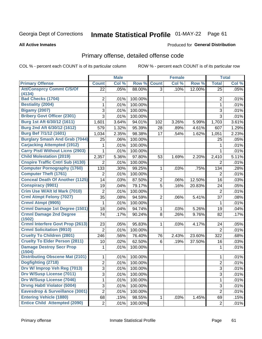# Inmate Statistical Profile 01-MAY-22 Page 61

Produced for General Distribution

#### **All Active Inmates**

## Primary offense, detailed offense code

COL % - percent each COUNT is of its particular column

|                                         |                | <b>Male</b>  |                    |                | <b>Female</b> |        |                | <b>Total</b> |
|-----------------------------------------|----------------|--------------|--------------------|----------------|---------------|--------|----------------|--------------|
| <b>Primary Offense</b>                  | <b>Count</b>   | Col %        | Row %              | <b>Count</b>   | Col %         | Row %  | <b>Total</b>   | Col %        |
| <b>Att/Consprcy Commt C/S/Of</b>        | 22             | .05%         | 88.00%             | 3              | .10%          | 12.00% | 25             | .05%         |
| (4134)<br><b>Bad Checks (1704)</b>      |                |              |                    |                |               |        |                |              |
| <b>Bestiality (2004)</b>                | 2              | .01%<br>.01% | 100.00%<br>100.00% |                |               |        | 2              | .01%<br>.01% |
| <b>Bigamy (2007)</b>                    | 1              |              |                    |                |               |        | $\mathbf{1}$   |              |
| <b>Bribery Govt Officer (2301)</b>      | 3              | .01%         | 100.00%            |                |               |        | 3              | .01%         |
| Burg 1st Aft 6/30/12 (1611)             | 3              | .01%         | 100.00%            |                |               |        | 3              | .01%         |
|                                         | 1,601          | 3.64%        | 94.01%             | 102            | 3.26%         | 5.99%  | 1,703          | 3.61%        |
| Burg 2nd Aft 6/30/12 (1612)             | 579            | 1.32%        | 95.39%             | 28             | .89%          | 4.61%  | 607            | 1.29%        |
| <b>Burg Bef 7/1/12 (1601)</b>           | 1,034          | 2.35%        | 98.38%             | 17             | .54%          | 1.62%  | 1,051          | 2.23%        |
| <b>Burglary Smash And Grab (7044)</b>   | 25             | .06%         | 100.00%            |                |               |        | 25             | .05%         |
| <b>Carjacking Attempted (1912)</b>      | 1              | .01%         | 100.00%            |                |               |        | 1              | .01%         |
| <b>Carry Pistl Without Licns (2903)</b> | 1              | .01%         | 100.00%            |                |               |        | $\mathbf{1}$   | .01%         |
| <b>Child Molestation (2019)</b>         | 2,357          | 5.36%        | 97.80%             | 53             | 1.69%         | 2.20%  | 2,410          | 5.11%        |
| <b>Cnspire Traffic Cntrl Sub (4130)</b> | 2              | .01%         | 100.00%            |                |               |        | 2              | .01%         |
| <b>Computer Pornography (1760)</b>      | 133            | .30%         | 99.25%             | $\mathbf{1}$   | .03%          | .75%   | 134            | .28%         |
| <b>Computer Theft (1761)</b>            | 2              | .01%         | 100.00%            |                |               |        | 2              | .01%         |
| <b>Conceal Death Of Another (1125)</b>  | 14             | .03%         | 87.50%             | $\overline{2}$ | .06%          | 12.50% | 16             | .03%         |
| <b>Conspiracy (9901)</b>                | 19             | .04%         | 79.17%             | $\overline{5}$ | .16%          | 20.83% | 24             | .05%         |
| Crim Use W/Alt Id Mark (7010)           | $\overline{2}$ | .01%         | 100.00%            |                |               |        | $\overline{2}$ | .01%         |
| <b>Crml Atmpt Felony (7027)</b>         | 35             | .08%         | 94.59%             | $\overline{2}$ | .06%          | 5.41%  | 37             | .08%         |
| Crmnl Atmpt (9905)                      | 1              | .01%         | 100.00%            |                |               |        | 1              | .01%         |
| Crmnl Damage 1st Degree (1501)          | 18             | .04%         | 94.74%             | $\mathbf{1}$   | .03%          | 5.26%  | 19             | .04%         |
| <b>Crmnl Damage 2nd Degree</b>          | 74             | .17%         | 90.24%             | 8              | .26%          | 9.76%  | 82             | .17%         |
| (1502)                                  |                |              |                    |                |               |        |                |              |
| <b>Crmnl Interfere Govt Prop (2613)</b> | 23             | .05%         | 95.83%             | 1              | .03%          | 4.17%  | 24             | .05%         |
| <b>Crmnl Solicitation (9910)</b>        | $\overline{2}$ | .01%         | 100.00%            |                |               |        | $\overline{2}$ | .01%         |
| <b>Cruelty To Children (2801)</b>       | 246            | .56%         | 76.40%             | 76             | 2.43%         | 23.60% | 322            | .68%         |
| <b>Cruelty To Elder Person (2811)</b>   | 10             | .02%         | 62.50%             | 6              | .19%          | 37.50% | 16             | .03%         |
| <b>Damage Destroy Secr Prop</b>         | 1              | .01%         | 100.00%            |                |               |        | 1              | .01%         |
| (1504)                                  |                |              |                    |                |               |        |                |              |
| <b>Distributing Obscene Mat (2101)</b>  | 1              | .01%         | 100.00%            |                |               |        | 1              | .01%         |
| Dogfighting (2718)                      | $\overline{2}$ | .01%         | 100.00%            |                |               |        | $\overline{2}$ | .01%         |
| Drv W/ Improp Veh Reg (7013)            | 3              | .01%         | 100.00%            |                |               |        | 3              | .01%         |
| <b>Drv W/Susp License (7011)</b>        | $\overline{3}$ | .01%         | 100.00%            |                |               |        | 3              | .01%         |
| <b>Drv W/Susp License (7046)</b>        | $\mathbf{1}$   | $.01\%$      | 100.00%            |                |               |        | $\mathbf{1}$   | .01%         |
| <b>Drvng Habtl Violator (5004)</b>      | 3              | .01%         | 100.00%            |                |               |        | 3              | .01%         |
| Eavesdrop & Surveillance (3001)         | $\overline{2}$ | .01%         | 100.00%            |                |               |        | $\overline{2}$ | .01%         |
| <b>Entering Vehicle (1880)</b>          | 68             | .15%         | 98.55%             | 1              | .03%          | 1.45%  | 69             | .15%         |
| <b>Entice Child Attempted (2090)</b>    | $\overline{2}$ | .01%         | 100.00%            |                |               |        | $\overline{2}$ | .01%         |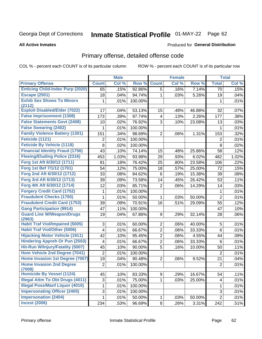# Inmate Statistical Profile 01-MAY-22 Page 62

**All Active Inmates** 

#### Produced for General Distribution

## Primary offense, detailed offense code

COL % - percent each COUNT is of its particular column

|                                                                                   |                         | <b>Male</b> |         |                | <b>Female</b> |        |                | <b>Total</b> |
|-----------------------------------------------------------------------------------|-------------------------|-------------|---------|----------------|---------------|--------|----------------|--------------|
| <b>Primary Offense</b>                                                            | <b>Count</b>            | Col %       | Row %   | <b>Count</b>   | Col %         | Row %  | <b>Total</b>   | Col %        |
| <b>Enticing Child-Indec Purp (2020)</b>                                           | 65                      | .15%        | 92.86%  | $\overline{5}$ | .16%          | 7.14%  | 70             | .15%         |
| <b>Escape (2501)</b>                                                              | 18                      | .04%        | 94.74%  | 1              | .03%          | 5.26%  | 19             | .04%         |
| <b>Exhib Sex Shows To Minors</b>                                                  | 1                       | .01%        | 100.00% |                |               |        | 1              | .01%         |
| (2112)                                                                            |                         |             |         |                |               |        |                |              |
| <b>Exploit Disabled/Elder (7022)</b>                                              | 17                      | .04%        | 53.13%  | 15             | .48%          | 46.88% | 32             | .07%         |
| <b>False Imprisonment (1308)</b>                                                  | 173                     | .39%        | 97.74%  | 4              | .13%          | 2.26%  | 177            | .38%         |
| <b>False Statements Govt (2408)</b>                                               | 10                      | .02%        | 76.92%  | 3              | .10%          | 23.08% | 13             | .03%         |
| <b>False Swearing (2402)</b>                                                      | 1                       | .01%        | 100.00% |                |               |        | 1              | .01%         |
| <b>Family Violence Battery (1301)</b>                                             | 151                     | .34%        | 98.69%  | $\overline{2}$ | .06%          | 1.31%  | 153            | .32%         |
| Feticide (1121)                                                                   | 2                       | .01%        | 100.00% |                |               |        | 2              | .01%         |
| <b>Feticide By Vehicle (1118)</b>                                                 | 8                       | .02%        | 100.00% |                |               |        | 8              | .02%         |
| <b>Financial Identity Fraud (1756)</b>                                            | 43                      | .10%        | 74.14%  | 15             | .48%          | 25.86% | 58             | .12%         |
| <b>Fleeing/Eluding Police (2316)</b>                                              | 453                     | 1.03%       | 93.98%  | 29             | .93%          | 6.02%  | 482            | 1.02%        |
| Forg 1st Aft 6/30/12 (1711)                                                       | 81                      | .18%        | 76.42%  | 25             | .80%          | 23.58% | 106            | .22%         |
| Forg 1st Bef 7/1/12 (1701)                                                        | 54                      | .12%        | 75.00%  | 18             | .57%          | 25.00% | 72             | .15%         |
| Forg 2nd Aft 6/30/12 (1712)                                                       | 33                      | .08%        | 84.62%  | 6              | .19%          | 15.38% | 39             | .08%         |
| Forg 3rd Aft 6/30/12 (1713)                                                       | 39                      | .09%        | 73.58%  | 14             | .45%          | 26.42% | 53             | .11%         |
| Forg 4th Aft 6/30/12 (1714)                                                       | 12                      | .03%        | 85.71%  | $\overline{2}$ | .06%          | 14.29% | 14             | .03%         |
| <b>Forgery Credit Card (1752)</b>                                                 | 1                       | .01%        | 100.00% |                |               |        | 1              | .01%         |
| <b>Fraudulent Checks (1750)</b>                                                   | 1                       | .01%        | 50.00%  | 1              | .03%          | 50.00% | $\overline{2}$ | .01%         |
| <b>Fraudulent Credit Card (1753)</b>                                              | 39                      | .09%        | 70.91%  | 16             | .51%          | 29.09% | 55             | .12%         |
| <b>Gang Participation (9914)</b>                                                  | 47                      | .11%        | 100.00% |                |               |        | 47             | .10%         |
| <b>Guard Line W/Weapon/Drugs</b>                                                  | 19                      | .04%        | 67.86%  | 9              | .29%          | 32.14% | 28             | .06%         |
| (2963)                                                                            |                         |             |         |                |               |        |                |              |
| <b>Habit Traf Viol/Impaired (5005)</b>                                            | 3                       | .01%        | 60.00%  | $\overline{2}$ | .06%          | 40.00% | 5              | .01%         |
| <b>Habit Traf Viol/Other (5006)</b>                                               | $\overline{\mathbf{4}}$ | .01%        | 66.67%  | $\overline{2}$ | .06%          | 33.33% | 6              | .01%         |
| <b>Hijacking Motor Vehicle (1911)</b>                                             | 42                      | .10%        | 95.45%  | $\overline{2}$ | .06%          | 4.55%  | 44             | .09%         |
| <b>Hindering Appreh Or Pun (2503)</b>                                             | 4                       | .01%        | 66.67%  | $\overline{2}$ | .06%          | 33.33% | 6              | .01%         |
| Hit-Run W/Injury/Fatality (5007)                                                  | 45                      | .10%        | 90.00%  | 5              | .16%          | 10.00% | 50             | .11%         |
| Hom Vehicle 2nd Degree (7041)                                                     | $\overline{2}$          | .01%        | 100.00% |                |               |        | $\overline{2}$ | .01%         |
| Home Invasion 1st Degree (7007)                                                   | 19                      | .04%        | 90.48%  | $\overline{2}$ | .06%          | 9.52%  | 21             | .04%         |
| <b>Home Invasion 2nd Degree</b>                                                   | $\overline{2}$          | .01%        | 100.00% |                |               |        | $\overline{c}$ | .01%         |
| (7008)<br><b>Homicide By Vessel (1124)</b>                                        |                         |             |         |                |               |        |                |              |
|                                                                                   | 45                      | .10%        | 83.33%  | 9 <sup>1</sup> | .29%          | 16.67% | 54             | .11%         |
| <b>Illegal Attm To Obt Drugs (4011)</b><br><b>Illegal Poss/Manf Liquor (4010)</b> | $\sqrt{3}$              | .01%        | 75.00%  | 1.             | .03%          | 25.00% | 4              | .01%         |
|                                                                                   | 1                       | .01%        | 100.00% |                |               |        | 1              | .01%         |
| <b>Impersonating Officer (2405)</b><br><b>Impersonation (2404)</b>                | 3                       | .01%        | 100.00% |                |               |        | 3              | .01%         |
|                                                                                   | 1                       | .01%        | 50.00%  | 1              | .03%          | 50.00% | $\overline{2}$ | .01%         |
| <b>Incest (2006)</b>                                                              | 234                     | .53%        | 96.69%  | 8 <sup>1</sup> | .26%          | 3.31%  | 242            | .51%         |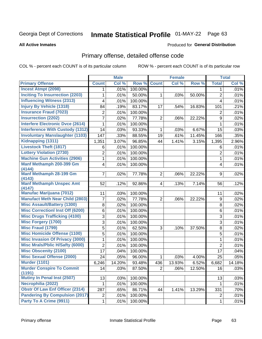# Inmate Statistical Profile 01-MAY-22 Page 63

#### **All Active Inmates**

#### Produced for General Distribution

## Primary offense, detailed offense code

COL % - percent each COUNT is of its particular column

|                                            |                | <b>Male</b> |         |                | <b>Female</b> |        |                | <b>Total</b> |
|--------------------------------------------|----------------|-------------|---------|----------------|---------------|--------|----------------|--------------|
| <b>Primary Offense</b>                     | <b>Count</b>   | Col %       | Row %   | <b>Count</b>   | Col %         | Row %  | <b>Total</b>   | Col %        |
| <b>Incest Atmpt (2098)</b>                 | $\mathbf 1$    | .01%        | 100.00% |                |               |        | 1              | .01%         |
| <b>Inciting To Insurrection (2203)</b>     | 1              | .01%        | 50.00%  | 1              | .03%          | 50.00% | $\overline{2}$ | .01%         |
| <b>Influencing Witness (2313)</b>          | 4              | .01%        | 100.00% |                |               |        | 4              | .01%         |
| <b>Injury By Vehicle (1318)</b>            | 84             | .19%        | 83.17%  | 17             | .54%          | 16.83% | 101            | .21%         |
| <b>Insurance Fraud (7023)</b>              | $\overline{2}$ | .01%        | 100.00% |                |               |        | $\overline{2}$ | .01%         |
| <b>Insurrection (2202)</b>                 | $\overline{7}$ | .02%        | 77.78%  | $\overline{2}$ | .06%          | 22.22% | 9              | .02%         |
| <b>Interfere Electronic Dvce (2614)</b>    | 1              | .01%        | 100.00% |                |               |        | 1              | .01%         |
| <b>Interference With Custody (1312)</b>    | 14             | .03%        | 93.33%  | 1              | .03%          | 6.67%  | 15             | .03%         |
| <b>Involuntary Manslaughter (1103)</b>     | 147            | .33%        | 88.55%  | 19             | .61%          | 11.45% | 166            | .35%         |
| Kidnapping (1311)                          | 1,351          | 3.07%       | 96.85%  | 44             | 1.41%         | 3.15%  | 1,395          | 2.96%        |
| <b>Livestock Theft (1817)</b>              | 6              | .01%        | 100.00% |                |               |        | 6              | .01%         |
| <b>Lottery Violation (2730)</b>            | 2              | .01%        | 100.00% |                |               |        | $\overline{2}$ | .01%         |
| <b>Machine Gun Activities (2906)</b>       | 1              | .01%        | 100.00% |                |               |        | $\mathbf{1}$   | .01%         |
| Manf Methamph 200-399 Gm<br>(4144)         | 4              | .01%        | 100.00% |                |               |        | 4              | .01%         |
| Manf Methamph 28-199 Gm                    | $\overline{7}$ | .02%        | 77.78%  | $\overline{2}$ | .06%          | 22.22% | 9              | .02%         |
| (4143)<br><b>Manf Methamph Unspec Amt</b>  | 52             | .12%        | 92.86%  | $\overline{4}$ | .13%          | 7.14%  | 56             | .12%         |
| (4147)                                     |                |             |         |                |               |        |                |              |
| <b>Manufac Marijuana (7012)</b>            | 11             | .03%        | 100.00% |                |               |        | 11             | .02%         |
| <b>Manufact Meth Near Child (2803)</b>     | 7              | .02%        | 77.78%  | $\overline{2}$ | .06%          | 22.22% | 9              | .02%         |
| <b>Misc Assault/Battery (1300)</b>         | 8              | .02%        | 100.00% |                |               |        | 8              | .02%         |
| <b>Misc Correctionl Inst Off (6200)</b>    | $\,6$          | .01%        | 100.00% |                |               |        | 6              | .01%         |
| <b>Misc Drugs Trafficking (4100)</b>       | 3              | .01%        | 100.00% |                |               |        | 3              | .01%         |
| <b>Misc Forgery (1700)</b>                 | 3              | .01%        | 100.00% |                |               |        | 3              | .01%         |
| <b>Misc Fraud (1799)</b>                   | 5              | .01%        | 62.50%  | 3              | .10%          | 37.50% | 8              | .02%         |
| <b>Misc Homicide Offense (1100)</b>        | 5              | .01%        | 100.00% |                |               |        | 5              | .01%         |
| <b>Misc Invasion Of Privacy (3000)</b>     | 1              | .01%        | 100.00% |                |               |        | 1              | .01%         |
| <b>Misc Mrals/Pblic H/Safty (6000)</b>     | $\overline{2}$ | .01%        | 100.00% |                |               |        | $\overline{2}$ | .01%         |
| <b>Misc Obscenity (2100)</b>               | 17             | .04%        | 100.00% |                |               |        | 17             | .04%         |
| <b>Misc Sexual Offense (2000)</b>          | 24             | .05%        | 96.00%  | 1              | .03%          | 4.00%  | 25             | .05%         |
| <b>Murder (1101)</b>                       | 6,246          | 14.20%      | 93.48%  | 436            | 13.93%        | 6.52%  | 6,682          | 14.18%       |
| <b>Murder Conspire To Commit</b><br>(1191) | 14             | .03%        | 87.50%  | 2              | .06%          | 12.50% | 16             | .03%         |
| <b>Mutiny In Penal Inst (2507)</b>         | 13             | .03%        | 100.00% |                |               |        | 13             | .03%         |
| Necrophilia (2022)                         | 1              | .01%        | 100.00% |                |               |        | $\mathbf{1}$   | .01%         |
| <b>Obstr Of Law Enf Officer (2314)</b>     | 287            | .65%        | 86.71%  | 44             | 1.41%         | 13.29% | 331            | .70%         |
| <b>Pandering By Compulsion (2017)</b>      | $\overline{c}$ | .01%        | 100.00% |                |               |        | $\overline{c}$ | .01%         |
| Party To A Crime (9911)                    | $\mathbf{1}$   | .01%        | 100.00% |                |               |        | $\mathbf{1}$   | .01%         |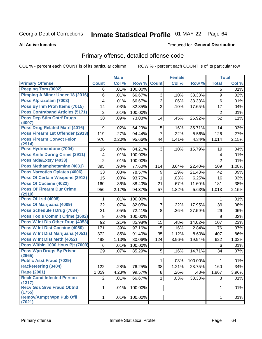# Inmate Statistical Profile 01-MAY-22 Page 64

#### **All Active Inmates**

### **Produced for General Distribution**

### Primary offense, detailed offense code

COL % - percent each COUNT is of its particular column

|                                            |                | <b>Male</b> |         |                 | <b>Female</b> |         |                  | <b>Total</b> |
|--------------------------------------------|----------------|-------------|---------|-----------------|---------------|---------|------------------|--------------|
| <b>Primary Offense</b>                     | <b>Count</b>   | Col %       | Row %   | <b>Count</b>    | Col %         | Row %   | <b>Total</b>     | Col %        |
| <b>Peeping Tom (3002)</b>                  | 6              | .01%        | 100.00% |                 |               |         | 6                | .01%         |
| Pimping A Minor Under 18 (2016)            | 6              | .01%        | 66.67%  | 3               | .10%          | 33.33%  | $\boldsymbol{9}$ | .02%         |
| Poss Alprazolam (7003)                     | 4              | .01%        | 66.67%  | $\overline{2}$  | .06%          | 33.33%  | 6                | .01%         |
| Poss By Inm Proh Items (7015)              | 14             | .03%        | 82.35%  | 3               | .10%          | 17.65%  | 17               | .04%         |
| <b>Poss Contraband Articles (5171)</b>     | $\overline{2}$ | .01%        | 100.00% |                 |               |         | $\overline{2}$   | .01%         |
| <b>Poss Dep Stim Cntrf Drugs</b><br>(4007) | 38             | .09%        | 73.08%  | 14              | .45%          | 26.92%  | 52               | .11%         |
| Poss Drug Related Matrl (4016)             | 9              | .02%        | 64.29%  | 5               | .16%          | 35.71%  | 14               | .03%         |
| Poss Firearm 1st Offender (2913)           | 119            | .27%        | 94.44%  | $\overline{7}$  | .22%          | 5.56%   | 126              | .27%         |
| <b>Poss Firearm Convct Felon</b><br>(2914) | 970            | 2.20%       | 95.66%  | 44              | 1.41%         | 4.34%   | 1,014            | 2.15%        |
| Poss Hydrocodone (7004)                    | 16             | .04%        | 84.21%  | 3               | .10%          | 15.79%  | 19               | .04%         |
| <b>Poss Knife During Crime (2911)</b>      | 4              | .01%        | 100.00% |                 |               |         | 4                | .01%         |
| Poss Mda/Extsy (4033)                      | 2              | .01%        | 100.00% |                 |               |         | $\overline{2}$   | .01%         |
| Poss Methamphetamine (4031)                | 395            | .90%        | 77.60%  | 114             | 3.64%         | 22.40%  | 509              | 1.08%        |
| <b>Poss Narcotics Opiates (4006)</b>       | 33             | .08%        | 78.57%  | 9               | .29%          | 21.43%  | 42               | .09%         |
| <b>Poss Of Certain Weapons (2912)</b>      | 15             | .03%        | 93.75%  | 1               | .03%          | 6.25%   | 16               | .03%         |
| <b>Poss Of Cocaine (4022)</b>              | 160            | .36%        | 88.40%  | 21              | .67%          | 11.60%  | 181              | .38%         |
| <b>Poss Of Firearm Dur Crime</b>           | 956            | 2.17%       | 94.37%  | 57              | 1.82%         | 5.63%   | 1,013            | 2.15%        |
| (2910)                                     |                |             |         |                 |               |         |                  |              |
| <b>Poss Of Lsd (4008)</b>                  | 1              | .01%        | 100.00% |                 |               |         | 1                | .01%         |
| Poss Of Marijuana (4009)                   | 32             | .07%        | 82.05%  | $\overline{7}$  | .22%          | 17.95%  | 39               | .08%         |
| Poss Schedule I Drug (7034)                | 21             | .05%        | 72.41%  | 8               | .26%          | 27.59%  | 29               | .06%         |
| <b>Poss Tools Commit Crime (1602)</b>      | 9              | .02%        | 100.00% |                 |               |         | 9                | .02%         |
| Poss W Int Dis Other Drug (4053)           | 92             | .21%        | 85.98%  | 15              | .48%          | 14.02%  | 107              | .23%         |
| <b>Poss W Int Dist Cocaine (4050)</b>      | 171            | .39%        | 97.16%  | 5               | .16%          | 2.84%   | 176              | .37%         |
| Poss W Int Dist Marijuana (4051)           | 372            | .85%        | 91.40%  | 35              | 1.12%         | 8.60%   | 407              | .86%         |
| Poss W Int Dist Meth (4052)                | 498            | 1.13%       | 80.06%  | 124             | 3.96%         | 19.94%  | 622              | 1.32%        |
| Poss Within 1000 Hous Pjt (7009)           | 6              | .01%        | 100.00% |                 |               |         | 6                | .01%         |
| <b>Poss Wpn Drugs By Prisnr</b>            | 29             | .07%        | 85.29%  | 5               | .16%          | 14.71%  | 34               | .07%         |
| (2965)<br><b>Public Asst Fraud (7029)</b>  |                |             |         |                 |               | 100.00% |                  |              |
|                                            |                |             |         | 1               | .03%          |         | 1                | .01%         |
| Racketeering (3404)                        | 122            | .28%        | 76.25%  | $\overline{38}$ | 1.21%         | 23.75%  | 160              | .34%         |
| <b>Rape (2001)</b>                         | 1,859          | 4.23%       | 99.57%  | 8               | .26%          | .43%    | 1,867            | 3.96%        |
| <b>Reck Cond Infected Person</b><br>(1317) | $\overline{2}$ | .01%        | 66.67%  | $\mathbf 1$     | .03%          | 33.33%  | 3                | .01%         |
| <b>Recv Gds Srvs Fraud Obtnd</b><br>(1755) | 1              | .01%        | 100.00% |                 |               |         | 1                | .01%         |
| <b>Remov/Atmpt Wpn Pub Offl</b><br>(7021)  | 1              | .01%        | 100.00% |                 |               |         | 1                | .01%         |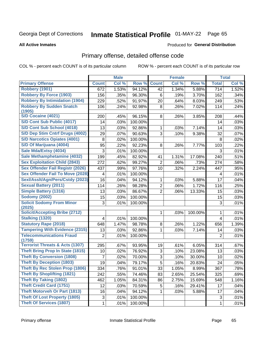# Inmate Statistical Profile 01-MAY-22 Page 65

**Produced for General Distribution** 

#### **All Active Inmates**

### Primary offense, detailed offense code

COL % - percent each COUNT is of its particular column

|                                            |              | <b>Male</b> |         |                | <b>Female</b> |         |                | <b>Total</b> |
|--------------------------------------------|--------------|-------------|---------|----------------|---------------|---------|----------------|--------------|
| <b>Primary Offense</b>                     | <b>Count</b> | Col %       | Row %   | <b>Count</b>   | Col %         | Row %   | <b>Total</b>   | Col %        |
| <b>Robbery (1901)</b>                      | 672          | 1.53%       | 94.12%  | 42             | 1.34%         | 5.88%   | 714            | 1.52%        |
| <b>Robbery By Force (1903)</b>             | 156          | .35%        | 96.30%  | 6              | .19%          | 3.70%   | 162            | .34%         |
| <b>Robbery By Intimidation (1904)</b>      | 229          | .52%        | 91.97%  | 20             | .64%          | 8.03%   | 249            | .53%         |
| <b>Robbery By Sudden Snatch</b>            | 106          | .24%        | 92.98%  | 8              | .26%          | 7.02%   | 114            | .24%         |
| (1905)                                     |              |             |         |                |               |         |                |              |
| <b>S/D Cocaine (4021)</b>                  | 200          | .45%        | 96.15%  | 8              | .26%          | 3.85%   | 208            | .44%         |
| S/D Cont Sub Public (4017)                 | 14           | .03%        | 100.00% |                |               |         | 14             | .03%         |
| S/D Cont Sub School (4018)                 | 13           | .03%        | 92.86%  | 1              | .03%          | 7.14%   | 14             | .03%         |
| S/D Dep Stim Cntrf Drugs (4002)            | 29           | .07%        | 90.63%  | 3              | .10%          | 9.38%   | 32             | .07%         |
| <b>S/D Narcotics Opiates (4001)</b>        | 8            | .02%        | 100.00% |                |               |         | 8              | .02%         |
| S/D Of Marijuana (4004)                    | 95           | .22%        | 92.23%  | 8              | .26%          | 7.77%   | 103            | .22%         |
| Sale Mda/Extsy (4034)                      | 3            | .01%        | 100.00% |                |               |         | 3              | .01%         |
| Sale Methamphetamine (4032)                | 199          | .45%        | 82.92%  | 41             | 1.31%         | 17.08%  | 240            | .51%         |
| <b>Sex Exploitation Child (2843)</b>       | 272          | .62%        | 99.27%  | $\overline{2}$ | .06%          | .73%    | 274            | .58%         |
| <b>Sex Offender Fail Registr (2026)</b>    | 437          | .99%        | 97.76%  | 10             | .32%          | 2.24%   | 447            | .95%         |
| <b>Sex Offender Fail To Move (2028)</b>    | 4            | .01%        | 100.00% |                |               |         | 4              | .01%         |
| Sexl/Asslt/Agn/Pers/Cstdy (2023)           | 16           | .04%        | 94.12%  | 1              | .03%          | 5.88%   | 17             | .04%         |
| <b>Sexual Battery (2011)</b>               | 114          | .26%        | 98.28%  | $\overline{2}$ | .06%          | 1.72%   | 116            | .25%         |
| <b>Simple Battery (1316)</b>               | 13           | .03%        | 86.67%  | $\overline{2}$ | .06%          | 13.33%  | 15             | .03%         |
| <b>Sodomy (2002)</b>                       | 15           | .03%        | 100.00% |                |               |         | 15             | .03%         |
| <b>Solicit Sodomy From Minor</b><br>(2025) | 3            | .01%        | 100.00% |                |               |         | 3              | .01%         |
| <b>Solicit/Accepting Bribe (2712)</b>      |              |             |         | 1              | .03%          | 100.00% | 1              | .01%         |
| <b>Stalking (1320)</b>                     | 4            | .01%        | 100.00% |                |               |         | 4              | .01%         |
| <b>Statutory Rape (2018)</b>               | 648          | 1.47%       | 98.78%  | 8              | .26%          | 1.22%   | 656            | 1.39%        |
| <b>Tampering With Evidence (2315)</b>      | 13           | .03%        | 92.86%  | 1              | .03%          | 7.14%   | 14             | .03%         |
| <b>Telecommunications Fraud</b><br>(1759)  | 2            | .01%        | 100.00% |                |               |         | $\overline{2}$ | .01%         |
| <b>Terrorist Threats &amp; Acts (1307)</b> | 295          | .67%        | 93.95%  | 19             | .61%          | 6.05%   | 314            | .67%         |
| <b>Theft Bring Prop In State (1815)</b>    | 10           | .02%        | 76.92%  | 3              | .10%          | 23.08%  | 13             | .03%         |
| <b>Theft By Conversion (1808)</b>          | 7            | .02%        | 70.00%  | 3              | .10%          | 30.00%  | 10             | .02%         |
| <b>Theft By Deception (1803)</b>           | 19           | .04%        | 79.17%  | $\overline{5}$ | .16%          | 20.83%  | 24             | .05%         |
| Theft By Rec Stolen Prop (1806)            | 334          | .76%        | 91.01%  | 33             | 1.05%         | 8.99%   | 367            | .78%         |
| <b>Theft By Shoplifting (1821)</b>         | 242          | .55%        | 74.46%  | 83             | 2.65%         | 25.54%  | 325            | .69%         |
| <b>Theft By Taking (1802)</b>              | 462          | 1.05%       | 84.31%  | 86             | 2.75%         | 15.69%  | 548            | 1.16%        |
| <b>Theft Credit Card (1751)</b>            | 12           | .03%        | 70.59%  | 5              | .16%          | 29.41%  | 17             | .04%         |
| <b>Theft Motorveh Or Part (1813)</b>       | 16           | .04%        | 94.12%  |                | .03%          | 5.88%   | 17             | .04%         |
| <b>Theft Of Lost Property (1805)</b>       | 3            | .01%        | 100.00% |                |               |         | 3              | .01%         |
| <b>Theft Of Services (1807)</b>            | 1            | .01%        | 100.00% |                |               |         | $\mathbf{1}$   | .01%         |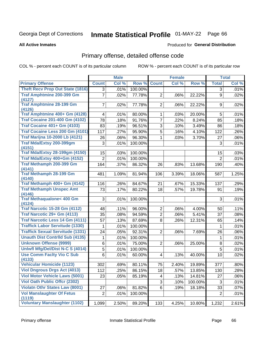# Inmate Statistical Profile 01-MAY-22 Page 66

#### **All Active Inmates**

#### Produced for General Distribution

## Primary offense, detailed offense code

COL % - percent each COUNT is of its particular column

|                                               |                | <b>Male</b> |         |                | <b>Female</b> |         |                | <b>Total</b> |
|-----------------------------------------------|----------------|-------------|---------|----------------|---------------|---------|----------------|--------------|
| <b>Primary Offense</b>                        | <b>Count</b>   | Col %       | Row %   | <b>Count</b>   | Col %         | Row %   | <b>Total</b>   | Col %        |
| <b>Theft Recv Prop Out State (1816)</b>       | 3              | .01%        | 100.00% |                |               |         | 3              | .01%         |
| <b>Traf Amphtmine 200-399 Gm</b><br>(4127)    | $\overline{7}$ | .02%        | 77.78%  | $\overline{2}$ | .06%          | 22.22%  | 9              | .02%         |
| <b>Traf Amphtmine 28-199 Gm</b><br>(4126)     | 7              | .02%        | 77.78%  | $\overline{2}$ | .06%          | 22.22%  | 9              | .02%         |
| Traf Amphtmine 400+ Gm (4128)                 | 4              | .01%        | 80.00%  | $\mathbf{1}$   | .03%          | 20.00%  | 5              | .01%         |
| <b>Traf Cocaine 201-400 Gm (4102)</b>         | 78             | .18%        | 91.76%  | $\overline{7}$ | .22%          | 8.24%   | 85             | .18%         |
| <b>Traf Cocaine 401+ Gm (4103)</b>            | 83             | .19%        | 96.51%  | 3              | .10%          | 3.49%   | 86             | .18%         |
| Traf Cocaine Less 200 Gm (4101)               | 117            | .27%        | 95.90%  | $\overline{5}$ | .16%          | 4.10%   | 122            | .26%         |
| <b>Traf Marijna 10-2000 Lb (4121)</b>         | 26             | .06%        | 96.30%  | 1              | .03%          | 3.70%   | 27             | $.06\%$      |
| Traf Mda/Extsy 200-399gm<br>(4151)            | 3              | .01%        | 100.00% |                |               |         | 3              | .01%         |
| <b>Traf Mda/Extsy 28-199gm (4150)</b>         | 15             | .03%        | 100.00% |                |               |         | 15             | .03%         |
| Traf Mda/Extsy 400+Gm (4152)                  | $\overline{2}$ | .01%        | 100.00% |                |               |         | $\overline{2}$ | .01%         |
| Traf Methamph 200-399 Gm<br>(4141)            | 164            | .37%        | 86.32%  | 26             | .83%          | 13.68%  | 190            | .40%         |
| <b>Traf Methamph 28-199 Gm</b><br>(4140)      | 481            | 1.09%       | 81.94%  | 106            | 3.39%         | 18.06%  | 587            | 1.25%        |
| Traf Methamph 400+ Gm (4142)                  | 116            | .26%        | 84.67%  | 21             | .67%          | 15.33%  | 137            | .29%         |
| <b>Traf Methamph Unspec Amt</b>               | 73             | .17%        | 80.22%  | 18             | .57%          | 19.78%  | 91             | .19%         |
| (4146)                                        |                |             |         |                |               |         |                |              |
| <b>Traf Methaqualone&lt; 400 Gm</b><br>(4124) | 3              | .01%        | 100.00% |                |               |         | 3              | .01%         |
| <b>Traf Narcotic 15-28 Gm (4112)</b>          | 48             | .11%        | 96.00%  | $\overline{2}$ | .06%          | 4.00%   | 50             | .11%         |
| Traf Narcotic 29+ Gm (4113)                   | 35             | .08%        | 94.59%  | $\overline{2}$ | .06%          | 5.41%   | 37             | .08%         |
| <b>Traf Narcotic Less 14 Gm (4111)</b>        | 57             | .13%        | 87.69%  | 8              | .26%          | 12.31%  | 65             | .14%         |
| <b>Traffick Labor Servitude (1330)</b>        | 1              | .01%        | 100.00% |                |               |         | $\mathbf 1$    | .01%         |
| <b>Traffick Sexual Servitude (1331)</b>       | 24             | .05%        | 92.31%  | $\overline{2}$ | .06%          | 7.69%   | 26             | .06%         |
| <b>Unauth Dist Contrild Sub (4135)</b>        | 1              | .01%        | 100.00% |                |               |         | $\mathbf{1}$   | .01%         |
| <b>Unknown Offense (9999)</b>                 | 6              | .01%        | 75.00%  | $\overline{2}$ | .06%          | 25.00%  | 8              | .02%         |
| Uniwfl Mfg/Del/Dist N-C S (4014)              | 5              | .01%        | 100.00% |                |               |         | 5              | .01%         |
| <b>Use Comm Facity Vio C Sub</b><br>(4133)    | 6              | .01%        | 60.00%  | $\overline{4}$ | .13%          | 40.00%  | 10             | .02%         |
| <b>Vehicular Homicide (1123)</b>              | 302            | .69%        | 80.11%  | 75             | 2.40%         | 19.89%  | 377            | .80%         |
| <b>Viol Dngrous Drgs Act (4013)</b>           | 112            | .25%        | 86.15%  | 18             | .57%          | 13.85%  | 130            | .28%         |
| <b>Viol Motor Vehicle Laws (5001)</b>         | 23             | .05%        | 85.19%  | 4              | .13%          | 14.81%  | 27             | .06%         |
| <b>Viol Oath Public Offcr (2302)</b>          |                |             |         | 3              | .10%          | 100.00% | 3              | .01%         |
| <b>Violatn Othr States Law (8001)</b>         | 27             | .06%        | 81.82%  | 6              | .19%          | 18.18%  | 33             | .07%         |
| <b>Vol Manslaughter Of Fetus</b><br>(1119)    | $\overline{c}$ | .01%        | 100.00% |                |               |         | $\overline{2}$ | .01%         |
| <b>Voluntary Manslaughter (1102)</b>          | 1,099          | 2.50%       | 89.20%  | 133            | 4.25%         | 10.80%  | 1,232          | 2.61%        |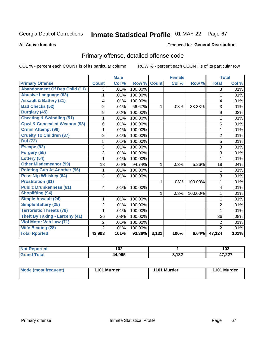# Inmate Statistical Profile 01-MAY-22 Page 67

#### **All Active Inmates**

#### Produced for General Distribution

## Primary offense, detailed offense code

COL % - percent each COUNT is of its particular column

|                                         |                | <b>Male</b> |         |              | <b>Female</b> |         |                | <b>Total</b> |
|-----------------------------------------|----------------|-------------|---------|--------------|---------------|---------|----------------|--------------|
| <b>Primary Offense</b>                  | <b>Count</b>   | Col %       | Row %   | <b>Count</b> | Col %         | Row %   | <b>Total</b>   | Col %        |
| <b>Abandonment Of Dep Child (11)</b>    | $\overline{3}$ | .01%        | 100.00% |              |               |         | $\overline{3}$ | .01%         |
| <b>Abusive Language (63)</b>            | 1              | .01%        | 100.00% |              |               |         | 1              | .01%         |
| <b>Assault &amp; Battery (21)</b>       | 4              | .01%        | 100.00% |              |               |         | 4              | .01%         |
| <b>Bad Checks (52)</b>                  | $\overline{2}$ | .01%        | 66.67%  | 1.           | .03%          | 33.33%  | 3              | .01%         |
| <b>Burglary (45)</b>                    | 9              | .02%        | 100.00% |              |               |         | 9              | .02%         |
| <b>Cheating &amp; Swindling (51)</b>    | 1              | .01%        | 100.00% |              |               |         | 1              | .01%         |
| <b>Cpwl &amp; Concealed Weapon (93)</b> | 6              | .01%        | 100.00% |              |               |         | 6              | .01%         |
| <b>Crmnl Attempt (98)</b>               | 1              | .01%        | 100.00% |              |               |         | 1              | .01%         |
| <b>Cruelty To Children (37)</b>         | $\overline{2}$ | .01%        | 100.00% |              |               |         | $\overline{2}$ | .01%         |
| <b>Dui</b> (72)                         | $\overline{5}$ | .01%        | 100.00% |              |               |         | 5              | .01%         |
| Escape (92)                             | 3              | .01%        | 100.00% |              |               |         | 3              | .01%         |
| Forgery (55)                            | 3              | .01%        | 100.00% |              |               |         | 3              | .01%         |
| Lottery (54)                            | 1              | .01%        | 100.00% |              |               |         | 1              | .01%         |
| <b>Other Misdemeanor (99)</b>           | 18             | .04%        | 94.74%  | 1            | .03%          | 5.26%   | 19             | .04%         |
| <b>Pointing Gun At Another (96)</b>     | 1              | .01%        | 100.00% |              |               |         | 1              | .01%         |
| <b>Poss Ntp Whiskey (64)</b>            | 3              | .01%        | 100.00% |              |               |         | 3              | .01%         |
| <b>Prostitution (81)</b>                |                |             |         | 1            | .03%          | 100.00% | 1              | .01%         |
| <b>Public Drunkenness (61)</b>          | 4              | .01%        | 100.00% |              |               |         | 4              | .01%         |
| <b>Shoplifting (94)</b>                 |                |             |         | 1            | .03%          | 100.00% | 1              | .01%         |
| <b>Simple Assault (24)</b>              | 1              | .01%        | 100.00% |              |               |         | 1              | .01%         |
| <b>Simple Battery (25)</b>              | $\overline{2}$ | .01%        | 100.00% |              |               |         | $\overline{2}$ | .01%         |
| <b>Terroristic Threats (78)</b>         | 1              | .01%        | 100.00% |              |               |         | 1              | .01%         |
| <b>Theft By Taking - Larceny (41)</b>   | 36             | .08%        | 100.00% |              |               |         | 36             | .08%         |
| Viol Motor Veh Law (71)                 | 2              | .01%        | 100.00% |              |               |         | $\overline{2}$ | .01%         |
| <b>Wife Beating (28)</b>                | $\overline{2}$ | .01%        | 100.00% |              |               |         | $\overline{2}$ | .01%         |
| <b>Total Rported</b>                    | 43,993         | 101%        | 93.36%  | 3,131        | 100%          | 6.64%   | 47,124         | 101%         |

| Reported | 102    |                 | ,                |
|----------|--------|-----------------|------------------|
| $\sim$   | 1 V 4  |                 | 1 U J            |
| 'ota.    | 44,095 | 200 פ<br>J, IJZ | , 227<br>، 24, 1 |

| Mode (most frequent) | 1101 Murder | 1101 Murder | 1101 Murder |
|----------------------|-------------|-------------|-------------|
|                      |             |             |             |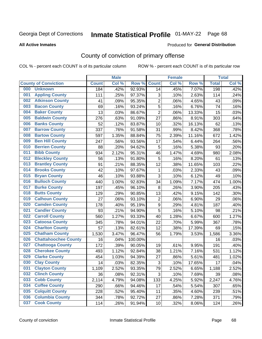# Inmate Statistical Profile 01-MAY-22 Page 68

**All Active Inmates** 

#### Produced for General Distribution

## County of conviction of primary offense

COL % - percent each COUNT is of its particular column

|     |                             |              | <b>Male</b> |         |                | <b>Female</b> |        |              | <b>Total</b> |
|-----|-----------------------------|--------------|-------------|---------|----------------|---------------|--------|--------------|--------------|
|     | <b>County of Conviction</b> | <b>Count</b> | Col %       | Row %   | <b>Count</b>   | Col %         | Row %  | <b>Total</b> | Col %        |
| 000 | <b>Unknown</b>              | 184          | .42%        | 92.93%  | 14             | .45%          | 7.07%  | 198          | .42%         |
| 001 | <b>Appling County</b>       | 111          | .25%        | 97.37%  | 3              | .10%          | 2.63%  | 114          | .24%         |
| 002 | <b>Atkinson County</b>      | 41           | .09%        | 95.35%  | $\overline{2}$ | .06%          | 4.65%  | 43           | .09%         |
| 003 | <b>Bacon County</b>         | 69           | .16%        | 93.24%  | 5              | .16%          | 6.76%  | 74           | .16%         |
| 004 | <b>Baker County</b>         | 13           | .03%        | 86.67%  | $\overline{2}$ | .06%          | 13.33% | 15           | .03%         |
| 005 | <b>Baldwin County</b>       | 276          | .63%        | 91.09%  | 27             | .86%          | 8.91%  | 303          | .64%         |
| 006 | <b>Banks County</b>         | 52           | .12%        | 83.87%  | 10             | .32%          | 16.13% | 62           | .13%         |
| 007 | <b>Barrow County</b>        | 337          | .76%        | 91.58%  | 31             | .99%          | 8.42%  | 368          | .78%         |
| 008 | <b>Bartow County</b>        | 597          | 1.35%       | 88.84%  | 75             | 2.39%         | 11.16% | 672          | 1.42%        |
| 009 | <b>Ben Hill County</b>      | 247          | .56%        | 93.56%  | 17             | .54%          | 6.44%  | 264          | .56%         |
| 010 | <b>Berrien County</b>       | 88           | .20%        | 94.62%  | 5              | .16%          | 5.38%  | 93           | .20%         |
| 011 | <b>Bibb County</b>          | 934          | 2.12%       | 95.31%  | 46             | 1.47%         | 4.69%  | 980          | 2.08%        |
| 012 | <b>Bleckley County</b>      | 56           | .13%        | 91.80%  | 5              | .16%          | 8.20%  | 61           | .13%         |
| 013 | <b>Brantley County</b>      | 91           | .21%        | 88.35%  | 12             | .38%          | 11.65% | 103          | .22%         |
| 014 | <b>Brooks County</b>        | 42           | .10%        | 97.67%  | $\mathbf 1$    | .03%          | 2.33%  | 43           | .09%         |
| 015 | <b>Bryan County</b>         | 46           | .10%        | 93.88%  | 3              | .10%          | 6.12%  | 49           | .10%         |
| 016 | <b>Bulloch County</b>       | 440          | 1.00%       | 92.83%  | 34             | 1.09%         | 7.17%  | 474          | 1.00%        |
| 017 | <b>Burke County</b>         | 197          | .45%        | 96.10%  | 8              | .26%          | 3.90%  | 205          | .43%         |
| 018 | <b>Butts County</b>         | 129          | .29%        | 90.85%  | 13             | .42%          | 9.15%  | 142          | .30%         |
| 019 | <b>Calhoun County</b>       | 27           | .06%        | 93.10%  | $\overline{2}$ | .06%          | 6.90%  | 29           | .06%         |
| 020 | <b>Camden County</b>        | 178          | .40%        | 95.19%  | $\mathsf g$    | .29%          | 4.81%  | 187          | .40%         |
| 021 | <b>Candler County</b>       | 93           | .21%        | 94.90%  | $\overline{5}$ | .16%          | 5.10%  | 98           | .21%         |
| 022 | <b>Carroll County</b>       | 560          | 1.27%       | 93.33%  | 40             | 1.28%         | 6.67%  | 600          | 1.27%        |
| 023 | <b>Catoosa County</b>       | 345          | .78%        | 94.01%  | 22             | .70%          | 5.99%  | 367          | .78%         |
| 024 | <b>Charlton County</b>      | 57           | .13%        | 82.61%  | 12             | .38%          | 17.39% | 69           | .15%         |
| 025 | <b>Chatham County</b>       | 1,530        | 3.47%       | 96.47%  | 56             | 1.79%         | 3.53%  | 1,586        | 3.36%        |
| 026 | <b>Chattahoochee County</b> | 16           | .04%        | 100.00% |                |               |        | 16           | .03%         |
| 027 | <b>Chattooga County</b>     | 172          | .39%        | 90.05%  | 19             | .61%          | 9.95%  | 191          | .40%         |
| 028 | <b>Cherokee County</b>      | 493          | 1.12%       | 92.84%  | 38             | 1.21%         | 7.16%  | 531          | 1.12%        |
| 029 | <b>Clarke County</b>        | 454          | 1.03%       | 94.39%  | 27             | .86%          | 5.61%  | 481          | 1.02%        |
| 030 | <b>Clay County</b>          | 14           | .03%        | 82.35%  | 3              | .10%          | 17.65% | 17           | .04%         |
| 031 | <b>Clayton County</b>       | 1,109        | 2.52%       | 93.35%  | 79             | 2.52%         | 6.65%  | 1,188        | 2.52%        |
| 032 | <b>Clinch County</b>        | 36           | .08%        | 92.31%  | 3              | .10%          | 7.69%  | 39           | .08%         |
| 033 | <b>Cobb County</b>          | 2,114        | 4.79%       | 94.08%  | 133            | 4.25%         | 5.92%  | 2,247        | 4.76%        |
| 034 | <b>Coffee County</b>        | 290          | .66%        | 94.46%  | 17             | .54%          | 5.54%  | 307          | .65%         |
| 035 | <b>Colquitt County</b>      | 228          | .52%        | 95.40%  | 11             | .35%          | 4.60%  | 239          | .51%         |
| 036 | <b>Columbia County</b>      | 344          | .78%        | 92.72%  | 27             | .86%          | 7.28%  | 371          | .79%         |
| 037 | <b>Cook County</b>          | 114          | .26%        | 91.94%  | 10             | .32%          | 8.06%  | 124          | .26%         |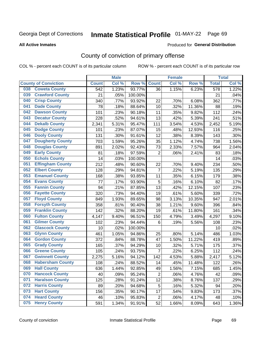# Inmate Statistical Profile 01-MAY-22 Page 69

Produced for General Distribution

#### **All Active Inmates**

## County of conviction of primary offense

COL % - percent each COUNT is of its particular column

|     |                             |              | <b>Male</b> |         |                | <b>Female</b> |        |                  | <b>Total</b> |
|-----|-----------------------------|--------------|-------------|---------|----------------|---------------|--------|------------------|--------------|
|     | <b>County of Conviction</b> | <b>Count</b> | Col %       | Row %   | <b>Count</b>   | Col %         | Row %  | <b>Total</b>     | Col %        |
| 038 | <b>Coweta County</b>        | 542          | 1.23%       | 93.77%  | 36             | 1.15%         | 6.23%  | $\overline{578}$ | 1.22%        |
| 039 | <b>Crawford County</b>      | 21           | .05%        | 100.00% |                |               |        | 21               | .04%         |
| 040 | <b>Crisp County</b>         | 340          | .77%        | 93.92%  | 22             | .70%          | 6.08%  | 362              | .77%         |
| 041 | <b>Dade County</b>          | 78           | .18%        | 88.64%  | 10             | .32%          | 11.36% | 88               | .19%         |
| 042 | <b>Dawson County</b>        | 101          | .23%        | 90.18%  | 11             | .35%          | 9.82%  | 112              | .24%         |
| 043 | <b>Decatur County</b>       | 228          | .52%        | 94.61%  | 13             | .42%          | 5.39%  | 241              | .51%         |
| 044 | <b>Dekalb County</b>        | 2,341        | 5.31%       | 95.47%  | 111            | 3.54%         | 4.53%  | 2,452            | 5.19%        |
| 045 | <b>Dodge County</b>         | 101          | .23%        | 87.07%  | 15             | .48%          | 12.93% | 116              | .25%         |
| 046 | <b>Dooly County</b>         | 131          | .30%        | 91.61%  | 12             | .38%          | 8.39%  | 143              | .30%         |
| 047 | <b>Dougherty County</b>     | 703          | 1.59%       | 95.26%  | 35             | 1.12%         | 4.74%  | 738              | 1.56%        |
| 048 | <b>Douglas County</b>       | 891          | 2.02%       | 92.43%  | 73             | 2.33%         | 7.57%  | 964              | 2.04%        |
| 049 | <b>Early County</b>         | 81           | .18%        | 97.59%  | $\overline{2}$ | .06%          | 2.41%  | 83               | .18%         |
| 050 | <b>Echols County</b>        | 14           | .03%        | 100.00% |                |               |        | 14               | .03%         |
| 051 | <b>Effingham County</b>     | 212          | .48%        | 90.60%  | 22             | .70%          | 9.40%  | 234              | .50%         |
| 052 | <b>Elbert County</b>        | 128          | .29%        | 94.81%  | $\overline{7}$ | .22%          | 5.19%  | 135              | .29%         |
| 053 | <b>Emanuel County</b>       | 168          | .38%        | 93.85%  | 11             | .35%          | 6.15%  | 179              | .38%         |
| 054 | <b>Evans County</b>         | 77           | .17%        | 93.90%  | 5              | .16%          | 6.10%  | 82               | .17%         |
| 055 | <b>Fannin County</b>        | 94           | .21%        | 87.85%  | 13             | .42%          | 12.15% | 107              | .23%         |
| 056 | <b>Fayette County</b>       | 320          | .73%        | 94.40%  | 19             | .61%          | 5.60%  | 339              | .72%         |
| 057 | <b>Floyd County</b>         | 849          | 1.93%       | 89.65%  | 98             | 3.13%         | 10.35% | 947              | 2.01%        |
| 058 | <b>Forsyth County</b>       | 358          | .81%        | 90.40%  | 38             | 1.21%         | 9.60%  | 396              | .84%         |
| 059 | <b>Franklin County</b>      | 142          | .32%        | 88.20%  | 19             | .61%          | 11.80% | 161              | .34%         |
| 060 | <b>Fulton County</b>        | 4,147        | 9.40%       | 96.51%  | 150            | 4.79%         | 3.49%  | 4,297            | 9.10%        |
| 061 | <b>Gilmer County</b>        | 102          | .23%        | 94.44%  | $\,6$          | .19%          | 5.56%  | 108              | .23%         |
| 062 | <b>Glascock County</b>      | 10           | .02%        | 100.00% |                |               |        | 10               | .02%         |
| 063 | <b>Glynn County</b>         | 461          | 1.05%       | 94.86%  | 25             | .80%          | 5.14%  | 486              | 1.03%        |
| 064 | <b>Gordon County</b>        | 372          | .84%        | 88.78%  | 47             | 1.50%         | 11.22% | 419              | .89%         |
| 065 | <b>Grady County</b>         | 165          | .37%        | 94.29%  | 10             | .32%          | 5.71%  | 175              | .37%         |
| 066 | <b>Greene County</b>        | 105          | .24%        | 93.75%  | $\overline{7}$ | .22%          | 6.25%  | 112              | .24%         |
| 067 | <b>Gwinnett County</b>      | 2,275        | 5.16%       | 94.12%  | 142            | 4.53%         | 5.88%  | 2,417            | 5.12%        |
| 068 | <b>Habersham County</b>     | 108          | .24%        | 88.52%  | 14             | .45%          | 11.48% | 122              | .26%         |
| 069 | <b>Hall County</b>          | 636          | 1.44%       | 92.85%  | 49             | 1.56%         | 7.15%  | 685              | 1.45%        |
| 070 | <b>Hancock County</b>       | 40           | .09%        | 95.24%  | $\overline{2}$ | .06%          | 4.76%  | 42               | .09%         |
| 071 | <b>Haralson County</b>      | 125          | .28%        | 91.24%  | 12             | .38%          | 8.76%  | 137              | .29%         |
| 072 | <b>Harris County</b>        | 89           | .20%        | 94.68%  | 5              | .16%          | 5.32%  | 94               | .20%         |
| 073 | <b>Hart County</b>          | 156          | .35%        | 90.17%  | 17             | .54%          | 9.83%  | 173              | .37%         |
| 074 | <b>Heard County</b>         | 46           | .10%        | 95.83%  | $\overline{2}$ | .06%          | 4.17%  | 48               | .10%         |
| 075 | <b>Henry County</b>         | 591          | 1.34%       | 91.91%  | 52             | 1.66%         | 8.09%  | 643              | 1.36%        |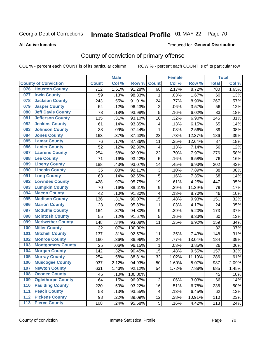# Inmate Statistical Profile 01-MAY-22 Page 70

#### **All Active Inmates**

#### **Produced for General Distribution**

## County of conviction of primary offense

COL % - percent each COUNT is of its particular column

|                                 |                  | <b>Male</b> |         |                         | <b>Female</b> |        |              | <b>Total</b> |
|---------------------------------|------------------|-------------|---------|-------------------------|---------------|--------|--------------|--------------|
| <b>County of Conviction</b>     | <b>Count</b>     | Col %       | Row %   | <b>Count</b>            | Col %         | Row %  | <b>Total</b> | Col%         |
| <b>Houston County</b><br>076    | $\overline{712}$ | 1.61%       | 91.28%  | 68                      | 2.17%         | 8.72%  | 780          | 1.65%        |
| <b>Irwin County</b><br>077      | 59               | .13%        | 98.33%  | 1                       | .03%          | 1.67%  | 60           | .13%         |
| <b>Jackson County</b><br>078    | 243              | .55%        | 91.01%  | 24                      | .77%          | 8.99%  | 267          | .57%         |
| <b>Jasper County</b><br>079     | 54               | .12%        | 96.43%  | $\overline{2}$          | .06%          | 3.57%  | 56           | .12%         |
| <b>Jeff Davis County</b><br>080 | 78               | .18%        | 93.98%  | $\overline{5}$          | .16%          | 6.02%  | 83           | .18%         |
| 081<br><b>Jefferson County</b>  | 135              | .31%        | 93.10%  | 10                      | .32%          | 6.90%  | 145          | .31%         |
| <b>Jenkins County</b><br>082    | 61               | .14%        | 93.85%  | $\overline{\mathbf{4}}$ | .13%          | 6.15%  | 65           | .14%         |
| <b>Johnson County</b><br>083    | 38               | .09%        | 97.44%  | $\mathbf{1}$            | .03%          | 2.56%  | 39           | .08%         |
| <b>Jones County</b><br>084      | 163              | .37%        | 87.63%  | 23                      | .73%          | 12.37% | 186          | .39%         |
| <b>Lamar County</b><br>085      | 76               | .17%        | 87.36%  | 11                      | .35%          | 12.64% | 87           | .18%         |
| <b>Lanier County</b><br>086     | 52               | .12%        | 92.86%  | $\overline{\mathbf{4}}$ | .13%          | 7.14%  | 56           | .12%         |
| <b>Laurens County</b><br>087    | 254              | .58%        | 92.03%  | 22                      | .70%          | 7.97%  | 276          | .58%         |
| <b>Lee County</b><br>088        | 71               | .16%        | 93.42%  | 5                       | .16%          | 6.58%  | 76           | .16%         |
| <b>Liberty County</b><br>089    | 188              | .43%        | 93.07%  | 14                      | .45%          | 6.93%  | 202          | .43%         |
| <b>Lincoln County</b><br>090    | 35               | .08%        | 92.11%  | 3                       | .10%          | 7.89%  | 38           | .08%         |
| <b>Long County</b><br>091       | 63               | .14%        | 92.65%  | 5                       | .16%          | 7.35%  | 68           | .14%         |
| <b>Lowndes County</b><br>092    | 428              | .97%        | 95.75%  | 19                      | .61%          | 4.25%  | 447          | .95%         |
| <b>Lumpkin County</b><br>093    | 70               | .16%        | 88.61%  | 9                       | .29%          | 11.39% | 79           | .17%         |
| <b>Macon County</b><br>094      | 42               | .10%        | 91.30%  | 4                       | .13%          | 8.70%  | 46           | .10%         |
| <b>Madison County</b><br>095    | 136              | .31%        | 90.07%  | 15                      | .48%          | 9.93%  | 151          | .32%         |
| <b>Marion County</b><br>096     | 23               | .05%        | 95.83%  | 1                       | .03%          | 4.17%  | 24           | .05%         |
| <b>Mcduffie County</b><br>097   | 164              | .37%        | 94.80%  | $\boldsymbol{9}$        | .29%          | 5.20%  | 173          | .37%         |
| <b>Mcintosh County</b><br>098   | 55               | .12%        | 91.67%  | $\overline{5}$          | .16%          | 8.33%  | 60           | .13%         |
| <b>Meriwether County</b><br>099 | 148              | .34%        | 93.08%  | 11                      | .35%          | 6.92%  | 159          | .34%         |
| <b>Miller County</b><br>100     | 32               | .07%        | 100.00% |                         |               |        | 32           | .07%         |
| <b>Mitchell County</b><br>101   | 137              | .31%        | 92.57%  | 11                      | .35%          | 7.43%  | 148          | .31%         |
| <b>Monroe County</b><br>102     | 160              | .36%        | 86.96%  | 24                      | .77%          | 13.04% | 184          | .39%         |
| <b>Montgomery County</b><br>103 | 25               | .06%        | 96.15%  | 1                       | .03%          | 3.85%  | 26           | .06%         |
| <b>Morgan County</b><br>104     | 142              | .32%        | 90.45%  | 15                      | .48%          | 9.55%  | 157          | .33%         |
| <b>Murray County</b><br>105     | 254              | .58%        | 88.81%  | 32                      | 1.02%         | 11.19% | 286          | .61%         |
| <b>Muscogee County</b><br>106   | 937              | 2.12%       | 94.93%  | 50                      | 1.60%         | 5.07%  | 987          | 2.09%        |
| 107<br><b>Newton County</b>     | 631              | 1.43%       | 92.12%  | 54                      | 1.72%         | 7.88%  | 685          | 1.45%        |
| <b>Oconee County</b><br>108     | 45               | .10%        | 100.00% |                         |               |        | 45           | .10%         |
| 109<br><b>Oglethorpe County</b> | 64               | .15%        | 96.97%  | $\overline{2}$          | .06%          | 3.03%  | 66           | .14%         |
| <b>Paulding County</b><br>110   | 220              | .50%        | 93.22%  | 16                      | .51%          | 6.78%  | 236          | .50%         |
| <b>Peach County</b><br>111      | 58               | .13%        | 93.55%  | 4                       | .13%          | 6.45%  | 62           | .13%         |
| <b>Pickens County</b><br>112    | 98               | .22%        | 89.09%  | 12                      | .38%          | 10.91% | 110          | .23%         |
| <b>Pierce County</b><br>113     | 108              | .24%        | 95.58%  | 5                       | .16%          | 4.42%  | 113          | .24%         |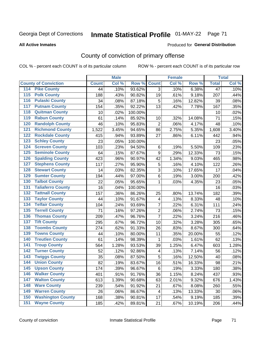# Inmate Statistical Profile 01-MAY-22 Page 71

#### **All Active Inmates**

#### Produced for General Distribution

## County of conviction of primary offense

COL % - percent each COUNT is of its particular column

|                                        |              | <b>Male</b> |         |                         | <b>Female</b> |        |                 | <b>Total</b> |
|----------------------------------------|--------------|-------------|---------|-------------------------|---------------|--------|-----------------|--------------|
| <b>County of Conviction</b>            | <b>Count</b> | Col %       | Row %   | <b>Count</b>            | Col %         | Row %  | <b>Total</b>    | Col %        |
| <b>Pike County</b><br>114              | 44           | .10%        | 93.62%  | 3                       | .10%          | 6.38%  | $\overline{47}$ | .10%         |
| <b>Polk County</b><br>$\overline{115}$ | 188          | .43%        | 90.82%  | 19                      | .61%          | 9.18%  | 207             | .44%         |
| <b>Pulaski County</b><br>116           | 34           | .08%        | 87.18%  | 5                       | .16%          | 12.82% | 39              | .08%         |
| <b>Putnam County</b><br>117            | 154          | .35%        | 92.22%  | 13                      | .42%          | 7.78%  | 167             | .35%         |
| 118<br><b>Quitman County</b>           | 10           | .02%        | 100.00% |                         |               |        | 10              | .02%         |
| <b>Rabun County</b><br>119             | 61           | .14%        | 85.92%  | 10                      | .32%          | 14.08% | 71              | .15%         |
| <b>Randolph County</b><br>120          | 46           | .10%        | 95.83%  | $\overline{2}$          | .06%          | 4.17%  | 48              | .10%         |
| <b>Richmond County</b><br>121          | 1,522        | 3.45%       | 94.65%  | 86                      | 2.75%         | 5.35%  | 1,608           | 3.40%        |
| <b>Rockdale County</b><br>122          | 415          | .94%        | 93.89%  | 27                      | .86%          | 6.11%  | 442             | .94%         |
| <b>Schley County</b><br>123            | 23           | .05%        | 100.00% |                         |               |        | 23              | .05%         |
| <b>Screven County</b><br>124           | 103          | .23%        | 94.50%  | $\,6$                   | .19%          | 5.50%  | 109             | .23%         |
| <b>Seminole County</b><br>125          | 64           | .15%        | 87.67%  | 9                       | .29%          | 12.33% | 73              | .15%         |
| 126<br><b>Spalding County</b>          | 423          | .96%        | 90.97%  | 42                      | 1.34%         | 9.03%  | 465             | .98%         |
| 127<br><b>Stephens County</b>          | 117          | .27%        | 95.90%  | 5                       | .16%          | 4.10%  | 122             | .26%         |
| <b>Stewart County</b><br>128           | 14           | .03%        | 82.35%  | 3                       | .10%          | 17.65% | 17              | .04%         |
| <b>Sumter County</b><br>129            | 194          | .44%        | 97.00%  | 6                       | .19%          | 3.00%  | 200             | .42%         |
| <b>Talbot County</b><br>130            | 22           | .05%        | 95.65%  | 1                       | .03%          | 4.35%  | 23              | .05%         |
| <b>Taliaferro County</b><br>131        | 16           | .04%        | 100.00% |                         |               |        | 16              | .03%         |
| <b>Tattnall County</b><br>132          | 157          | .36%        | 86.26%  | 25                      | .80%          | 13.74% | 182             | .39%         |
| <b>Taylor County</b><br>133            | 44           | .10%        | 91.67%  | 4                       | .13%          | 8.33%  | 48              | .10%         |
| <b>Telfair County</b><br>134           | 104          | .24%        | 93.69%  | $\overline{7}$          | .22%          | 6.31%  | 111             | .24%         |
| <b>Terrell County</b><br>135           | 71           | .16%        | 97.26%  | $\overline{2}$          | .06%          | 2.74%  | 73              | .15%         |
| <b>Thomas County</b><br>136            | 209          | .47%        | 96.76%  | $\overline{7}$          | .22%          | 3.24%  | 216             | .46%         |
| <b>Tift County</b><br>137              | 295          | .67%        | 96.72%  | 10                      | .32%          | 3.28%  | 305             | .65%         |
| <b>Toombs County</b><br>138            | 274          | .62%        | 91.33%  | 26                      | .83%          | 8.67%  | 300             | .64%         |
| <b>Towns County</b><br>139             | 44           | .10%        | 80.00%  | 11                      | .35%          | 20.00% | 55              | .12%         |
| <b>Treutlen County</b><br>140          | 61           | .14%        | 98.39%  | 1                       | .03%          | 1.61%  | 62              | .13%         |
| <b>Troup County</b><br>141             | 564          | 1.28%       | 93.53%  | 39                      | 1.25%         | 6.47%  | 603             | 1.28%        |
| <b>Turner County</b><br>142            | 52           | .12%        | 92.86%  | $\overline{\mathbf{4}}$ | .13%          | 7.14%  | 56              | .12%         |
| <b>Twiggs County</b><br>143            | 35           | .08%        | 87.50%  | 5                       | .16%          | 12.50% | 40              | .08%         |
| <b>Union County</b><br>144             | 82           | .19%        | 83.67%  | 16                      | .51%          | 16.33% | 98              | .21%         |
| 145<br><b>Upson County</b>             | 174          | .39%        | 96.67%  | 6                       | .19%          | 3.33%  | 180             | .38%         |
| <b>Walker County</b><br>146            | 401          | .91%        | 91.76%  | 36                      | 1.15%         | 8.24%  | 437             | .93%         |
| <b>Walton County</b><br>147            | 613          | 1.39%       | 90.68%  | 63                      | 2.01%         | 9.32%  | 676             | 1.43%        |
| <b>Ware County</b><br>148              | 239          | .54%        | 91.92%  | 21                      | .67%          | 8.08%  | 260             | .55%         |
| <b>Warren County</b><br>149            | 26           | .06%        | 86.67%  | 4                       | .13%          | 13.33% | 30              | .06%         |
| <b>Washington County</b><br>150        | 168          | .38%        | 90.81%  | 17                      | .54%          | 9.19%  | 185             | .39%         |
| <b>Wayne County</b><br>151             | 185          | .42%        | 89.81%  | 21                      | .67%          | 10.19% | 206             | .44%         |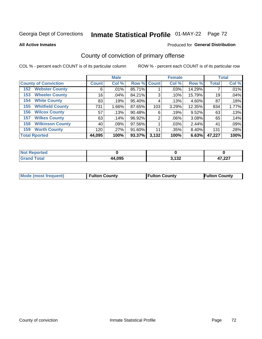# Inmate Statistical Profile 01-MAY-22 Page 72

**All Active Inmates** 

#### Produced for General Distribution

## County of conviction of primary offense

COL % - percent each COUNT is of its particular column

|                                |              | <b>Male</b> |             |       | <b>Female</b> |          |              | <b>Total</b> |
|--------------------------------|--------------|-------------|-------------|-------|---------------|----------|--------------|--------------|
| <b>County of Conviction</b>    | <b>Count</b> | Col %       | Row % Count |       | Col %         | Row %    | <b>Total</b> | Col %        |
| <b>Webster County</b><br>152   | 6            | $.01\%$     | 85.71%      |       | $.03\%$       | 14.29%   |              | .01%         |
| <b>Wheeler County</b><br>153   | 16           | .04%        | 84.21%      | 3     | .10%          | 15.79%   | 19           | .04%         |
| <b>White County</b><br>154     | 83           | .19%        | 95.40%      | 4     | .13%          | $4.60\%$ | 87           | .18%         |
| <b>Whitfield County</b><br>155 | 731          | $1.66\%$    | 87.65%      | 103   | 3.29%         | 12.35%   | 834          | 1.77%        |
| <b>Wilcox County</b><br>156    | 57           | .13%        | 90.48%      | 6     | .19%          | 9.52%    | 63           | .13%         |
| <b>Wilkes County</b><br>157    | 63           | .14%        | 96.92%      | 2     | $.06\%$       | 3.08%    | 65           | .14%         |
| <b>Wilkinson County</b><br>158 | 40           | .09%        | 97.56%      |       | .03%          | 2.44%    | 41           | .09%         |
| <b>Worth County</b><br>159     | 120          | .27%        | 91.60%      | 11    | .35%          | 8.40%    | 131          | .28%         |
| <b>Total Rported</b>           | 44,095       | 100%        | 93.37%      | 3,132 | 100%          | 6.63%    | 47,227       | 100%         |

| <b>Not</b><br>Reported |        |                     |                   |
|------------------------|--------|---------------------|-------------------|
| <b>Total</b>           | 44.095 | 200 מ<br><b>_</b> u | דמה דו<br>ا عمر ا |

| <b>Mode (most frequent)</b> | <b>Fulton County</b> | <b>Fulton County</b> | <b>Fulton County</b> |
|-----------------------------|----------------------|----------------------|----------------------|
|                             |                      |                      |                      |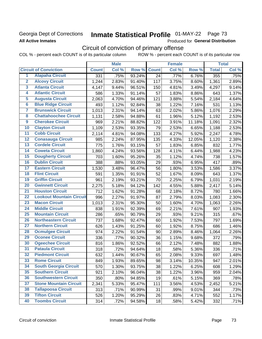### Georgia Dept of Corrections **All Active Inmates**

# Inmate Statistical Profile 01-MAY-22 Page 73

Produced for General Distribution

## Circuit of conviction of primary offense

COL % - percent each COUNT is of its particular column ROW % - percent each COUNT is of its particular row

|                         |                                 | <b>Male</b>  |       |        | <b>Female</b>   |       |        | <b>Total</b> |       |
|-------------------------|---------------------------------|--------------|-------|--------|-----------------|-------|--------|--------------|-------|
|                         | <b>Circuit of Conviction</b>    | <b>Count</b> | Col % | Row %  | <b>Count</b>    | Col % | Row %  | <b>Total</b> | Col % |
| 1                       | <b>Alapaha Circuit</b>          | 331          | .75%  | 93.24% | $\overline{24}$ | .77%  | 6.76%  | 355          | .75%  |
| $\overline{2}$          | <b>Alcovy Circuit</b>           | 1,244        | 2.83% | 91.40% | 117             | 3.75% | 8.60%  | 1,361        | 2.89% |
| $\overline{\mathbf{3}}$ | <b>Atlanta Circuit</b>          | 4,147        | 9.44% | 96.51% | 150             | 4.81% | 3.49%  | 4,297        | 9.14% |
| 4                       | <b>Atlantic Circuit</b>         | 586          | 1.33% | 91.14% | 57              | 1.83% | 8.86%  | 643          | 1.37% |
| $\overline{5}$          | <b>Augusta Circuit</b>          | 2,063        | 4.70% | 94.46% | 121             | 3.88% | 5.54%  | 2,184        | 4.64% |
| $\overline{\bf{6}}$     | <b>Blue Ridge Circuit</b>       | 493          | 1.12% | 92.84% | 38              | 1.22% | 7.16%  | 531          | 1.13% |
| 7                       | <b>Brunswick Circuit</b>        | 1,013        | 2.31% | 94.14% | 63              | 2.02% | 5.86%  | 1,076        | 2.29% |
| $\overline{\mathbf{8}}$ | <b>Chattahoochee Circuit</b>    | 1,131        | 2.58% | 94.88% | 61              | 1.96% | 5.12%  | 1,192        | 2.53% |
| $\overline{9}$          | <b>Cherokee Circuit</b>         | 969          | 2.21% | 88.82% | 122             | 3.91% | 11.18% | 1,091        | 2.32% |
| 10                      | <b>Clayton Circuit</b>          | 1,109        | 2.53% | 93.35% | 79              | 2.53% | 6.65%  | 1,188        | 2.53% |
| $\overline{11}$         | <b>Cobb Circuit</b>             | 2,114        | 4.81% | 94.08% | 133             | 4.27% | 5.92%  | 2,247        | 4.78% |
| $\overline{12}$         | <b>Conasauga Circuit</b>        | 985          | 2.24% | 87.95% | 135             | 4.33% | 12.05% | 1,120        | 2.38% |
| 13                      | <b>Cordele Circuit</b>          | 775          | 1.76% | 93.15% | 57              | 1.83% | 6.85%  | 832          | 1.77% |
| $\overline{14}$         | <b>Coweta Circuit</b>           | 1,860        | 4.24% | 93.56% | 128             | 4.11% | 6.44%  | 1,988        | 4.23% |
| 15                      | <b>Dougherty Circuit</b>        | 703          | 1.60% | 95.26% | 35              | 1.12% | 4.74%  | 738          | 1.57% |
| 16                      | <b>Dublin Circuit</b>           | 388          | .88%  | 93.05% | 29              | .93%  | 6.95%  | 417          | .89%  |
| 17                      | <b>Eastern Circuit</b>          | 1,530        | 3.48% | 96.47% | 56              | 1.80% | 3.53%  | 1,586        | 3.37% |
| $\overline{18}$         | <b>Flint Circuit</b>            | 591          | 1.35% | 91.91% | 52              | 1.67% | 8.09%  | 643          | 1.37% |
| 19                      | <b>Griffin Circuit</b>          | 961          | 2.19% | 93.21% | 70              | 2.25% | 6.79%  | 1,031        | 2.19% |
| $\overline{20}$         | <b>Gwinnett Circuit</b>         | 2,275        | 5.18% | 94.12% | 142             | 4.55% | 5.88%  | 2,417        | 5.14% |
| $\overline{21}$         | <b>Houston Circuit</b>          | 712          | 1.62% | 91.28% | 68              | 2.18% | 8.72%  | 780          | 1.66% |
| $\overline{22}$         | <b>Lookout Mountain Circuit</b> | 996          | 2.27% | 91.97% | 87              | 2.79% | 8.03%  | 1,083        | 2.30% |
| 23                      | <b>Macon Circuit</b>            | 1,013        | 2.31% | 95.30% | 50              | 1.60% | 4.70%  | 1,063        | 2.26% |
| $\overline{24}$         | <b>Middle Circuit</b>           | 838          | 1.91% | 92.39% | 69              | 2.21% | 7.61%  | 907          | 1.93% |
| $\overline{25}$         | <b>Mountain Circuit</b>         | 286          | .65%  | 90.79% | 29              | .93%  | 9.21%  | 315          | .67%  |
| 26                      | <b>Northeastern Circuit</b>     | 737          | 1.68% | 92.47% | 60              | 1.92% | 7.53%  | 797          | 1.69% |
| $\overline{27}$         | <b>Northern Circuit</b>         | 626          | 1.43% | 91.25% | 60              | 1.92% | 8.75%  | 686          | 1.46% |
| 28                      | <b>Ocmulgee Circuit</b>         | 974          | 2.22% | 91.54% | 90              | 2.89% | 8.46%  | 1,064        | 2.26% |
| 29                      | <b>Oconee Circuit</b>           | 336          | .77%  | 90.32% | 36              | 1.15% | 9.68%  | 372          | .79%  |
| 30                      | <b>Ogeechee Circuit</b>         | 816          | 1.86% | 92.52% | 66              | 2.12% | 7.48%  | 882          | 1.88% |
| $\overline{31}$         | <b>Pataula Circuit</b>          | 318          | .72%  | 94.64% | 18              | .58%  | 5.36%  | 336          | .71%  |
| 32                      | <b>Piedmont Circuit</b>         | 632          | 1.44% | 90.67% | 65              | 2.08% | 9.33%  | 697          | 1.48% |
| 33                      | <b>Rome Circuit</b>             | 849          | 1.93% | 89.65% | 98              | 3.14% | 10.35% | 947          | 2.01% |
| 34                      | <b>South Georgia Circuit</b>    | 570          | 1.30% | 93.75% | 38              | 1.22% | 6.25%  | 608          | 1.29% |
| 35                      | <b>Southern Circuit</b>         | 921          | 2.10% | 96.04% | 38              | 1.22% | 3.96%  | 959          | 2.04% |
| 36                      | <b>Southwestern Circuit</b>     | 350          | .80%  | 94.85% | 19              | .61%  | 5.15%  | 369          | .78%  |
| 37                      | <b>Stone Mountain Circuit</b>   | 2,341        | 5.33% | 95.47% | 111             | 3.56% | 4.53%  | 2,452        | 5.21% |
| 38                      | <b>Tallapoosa Circuit</b>       | 313          | .71%  | 90.99% | 31              | .99%  | 9.01%  | 344          | .73%  |
| 39                      | <b>Tifton Circuit</b>           | 526          | 1.20% | 95.29% | 26              | .83%  | 4.71%  | 552          | 1.17% |
| 40                      | <b>Toombs Circuit</b>           | 314          | .72%  | 94.58% | 18              | .58%  | 5.42%  | 332          | .71%  |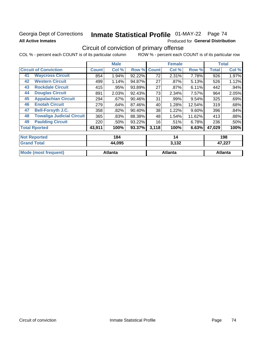### Georgia Dept of Corrections **All Active Inmates**

# Inmate Statistical Profile 01-MAY-22 Page 74

Produced for General Distribution

## Circuit of conviction of primary offense

|    |                                  |              | <b>Male</b> |        |              | <b>Female</b> |        |              | <b>Total</b> |
|----|----------------------------------|--------------|-------------|--------|--------------|---------------|--------|--------------|--------------|
|    | <b>Circuit of Conviction</b>     | <b>Count</b> | Col %       | Row %  | <b>Count</b> | Col %         | Row %  | <b>Total</b> | Col %        |
| 41 | <b>Waycross Circuit</b>          | 854          | 1.94%       | 92.22% | 72           | 2.31%         | 7.78%  | 926          | 1.97%        |
| 42 | <b>Western Circuit</b>           | 499          | 1.14%       | 94.87% | 27           | .87%          | 5.13%  | 526          | 1.12%        |
| 43 | <b>Rockdale Circuit</b>          | 415          | .95%        | 93.89% | 27           | .87%          | 6.11%  | 442          | $.94\%$      |
| 44 | <b>Douglas Circuit</b>           | 891          | 2.03%       | 92.43% | 73           | 2.34%         | 7.57%  | 964          | 2.05%        |
| 45 | <b>Appalachian Circuit</b>       | 294          | .67%        | 90.46% | 31           | .99%          | 9.54%  | 325          | .69%         |
| 46 | <b>Enotah Circuit</b>            | 279          | .64%        | 87.46% | 40           | 1.28%         | 12.54% | 319          | .68%         |
| 47 | <b>Bell-Forsyth J.C.</b>         | 358          | .82%        | 90.40% | 38           | 1.22%         | 9.60%  | 396          | .84%         |
| 48 | <b>Towaliga Judicial Circuit</b> | 365          | .83%        | 88.38% | 48           | 1.54%         | 11.62% | 413          | .88%         |
| 49 | <b>Paulding Circuit</b>          | 220          | .50%        | 93.22% | 16           | .51%          | 6.78%  | 236          | .50%         |
|    | <b>Total Rported</b>             | 43,911       | 100%        | 93.37% | 3,118        | 100%          | 6.63%  | 47,029       | 100%         |
|    | <b>Not Reported</b>              |              | 184         |        |              | 14            |        |              | 198          |
|    | <b>Grand Total</b>               |              | 44,095      |        |              | 3,132         |        |              | 47,227       |

| $C$ ror                | 44,095  | う イクク   | ィフ へへつ  |
|------------------------|---------|---------|---------|
| $F_{\alpha}$ ial       |         | J.IJZ   | 47.227  |
| <b>Mo</b><br>freauent) | Atlanta | Atlanta | Atlanta |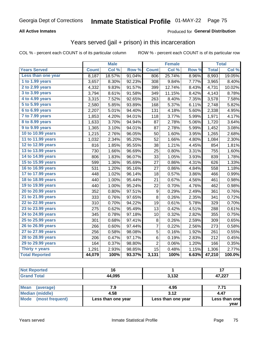#### **All Active Inmates**

### Produced for **General Distribution**

### Years served (jail + prison) in this incarceration

|                       |              | <b>Male</b> |        |                  | <b>Female</b> |                  |              | <b>Total</b> |
|-----------------------|--------------|-------------|--------|------------------|---------------|------------------|--------------|--------------|
| <b>Years Served</b>   | <b>Count</b> | Col %       | Row %  | <b>Count</b>     | Col %         | Row <sub>%</sub> | <b>Total</b> | Col %        |
| Less than one year    | 8,187        | 18.57%      | 91.04% | 806              | 25.74%        | 8.96%            | 8,993        | 19.05%       |
| 1 to 1.99 years       | 3,657        | 8.30%       | 92.23% | 308              | 9.84%         | 7.77%            | 3,965        | 8.40%        |
| 2 to 2.99 years       | 4,332        | 9.83%       | 91.57% | 399              | 12.74%        | 8.43%            | 4,731        | 10.02%       |
| 3 to 3.99 years       | 3,794        | 8.61%       | 91.58% | 349              | 11.15%        | 8.42%            | 4,143        | 8.78%        |
| 4 to 4.99 years       | 3,315        | 7.52%       | 92.65% | 263              | 8.40%         | 7.35%            | 3,578        | 7.58%        |
| 5 to 5.99 years       | 2,580        | 5.85%       | 93.89% | 168              | 5.37%         | 6.11%            | 2,748        | 5.82%        |
| 6 to 6.99 years       | 2,207        | 5.01%       | 94.40% | 131              | 4.18%         | 5.60%            | 2,338        | 4.95%        |
| 7 to 7.99 years       | 1,853        | 4.20%       | 94.01% | 118              | 3.77%         | 5.99%            | 1,971        | 4.17%        |
| 8 to 8.99 years       | 1,633        | 3.70%       | 94.94% | 87               | 2.78%         | 5.06%            | 1,720        | 3.64%        |
| 9 to 9.99 years       | 1,365        | 3.10%       | 94.01% | 87               | 2.78%         | 5.99%            | 1,452        | 3.08%        |
| 10 to 10.99 years     | 1,215        | 2.76%       | 96.05% | 50               | 1.60%         | 3.95%            | 1,265        | 2.68%        |
| 11 to 11.99 years     | 1,032        | 2.34%       | 95.20% | 52               | 1.66%         | 4.80%            | 1,084        | 2.30%        |
| 12 to 12.99 years     | 816          | 1.85%       | 95.55% | 38               | 1.21%         | 4.45%            | 854          | 1.81%        |
| 13 to 13.99 years     | 730          | 1.66%       | 96.69% | 25               | 0.80%         | 3.31%            | 755          | 1.60%        |
| 14 to 14.99 years     | 806          | 1.83%       | 96.07% | 33               | 1.05%         | 3.93%            | 839          | 1.78%        |
| 15 to 15.99 years     | 599          | 1.36%       | 95.69% | 27               | 0.86%         | 4.31%            | 626          | 1.33%        |
| 16 to 16.99 years     | 531          | 1.20%       | 95.16% | 27               | 0.86%         | 4.84%            | 558          | 1.18%        |
| 17 to 17.99 years     | 448          | 1.02%       | 96.14% | 18               | 0.57%         | 3.86%            | 466          | 0.99%        |
| 18 to 18.99 years     | 440          | 1.00%       | 95.44% | 21               | 0.67%         | 4.56%            | 461          | 0.98%        |
| 19 to 19.99 years     | 440          | 1.00%       | 95.24% | 22               | 0.70%         | 4.76%            | 462          | 0.98%        |
| 20 to 20.99 years     | 352          | 0.80%       | 97.51% | $\boldsymbol{9}$ | 0.29%         | 2.49%            | 361          | 0.76%        |
| 21 to 21.99 years     | 333          | 0.76%       | 97.65% | 8                | 0.26%         | 2.35%            | 341          | 0.72%        |
| 22 to 22.99 years     | 310          | 0.70%       | 94.22% | 19               | 0.61%         | 5.78%            | 329          | 0.70%        |
| 23 to 23.99 years     | 275          | 0.62%       | 95.49% | 13               | 0.42%         | 4.51%            | 288          | 0.61%        |
| 24 to 24.99 years     | 345          | 0.78%       | 97.18% | 10               | 0.32%         | 2.82%            | 355          | 0.75%        |
| 25 to 25.99 years     | 301          | 0.68%       | 97.41% | 8                | 0.26%         | 2.59%            | 309          | 0.65%        |
| 26 to 26.99 years     | 266          | 0.60%       | 97.44% | 7                | 0.22%         | 2.56%            | 273          | 0.58%        |
| 27 to 27.99 years     | 256          | 0.58%       | 98.08% | 5                | 0.16%         | 1.92%            | 261          | 0.55%        |
| 28 to 28.99 years     | 206          | 0.47%       | 97.17% | 6                | 0.19%         | 2.83%            | 212          | 0.45%        |
| 29 to 29.99 years     | 164          | 0.37%       | 98.80% | $\overline{2}$   | 0.06%         | 1.20%            | 166          | 0.35%        |
| Thirty + years        | 1,291        | 2.93%       | 98.85% | 15               | 0.48%         | 1.15%            | 1,306        | 2.77%        |
| <b>Total Reported</b> | 44,079       | 100%        | 93.37% | 3,131            | 100%          | 6.63%            | 47,210       | 100.0%       |

| orted<br>NO:          |        |                       |                  |
|-----------------------|--------|-----------------------|------------------|
| $f \wedge f \wedge f$ | 44,095 | <b>2422</b><br>J, IJZ | 17 ククア<br>41,ZZT |

| <b>Mean</b><br>(average) |                    | 4.95               | 7.71          |
|--------------------------|--------------------|--------------------|---------------|
| Median (middle)          | 4.58               | 3.12               | 4.47          |
| Mode (most frequent)     | Less than one year | Less than one year | Less than one |
|                          |                    |                    | vear          |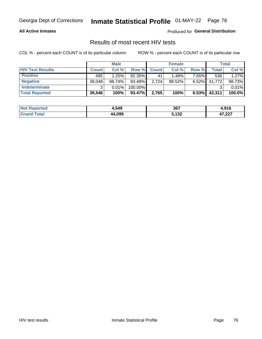#### **All Active Inmates**

Produced for **General Distribution**

### Results of most recent HIV tests

|                         | <b>Male</b>  |        | <b>Female</b> |              |           | Total    |        |        |
|-------------------------|--------------|--------|---------------|--------------|-----------|----------|--------|--------|
| <b>HIV Test Results</b> | <b>Count</b> | Col %  | Row %I        | <b>Count</b> | Col %     | Row %    | Total  | Col %  |
| <b>Positive</b>         | 495          | 1.25%  | 92.35%        | 41           | 1.48%     | 7.65%    | 536    | 1.27%  |
| <b>Negative</b>         | 39,048       | 98.74% | 93.48%        | 2,724        | $98.52\%$ | $6.52\%$ | 41,772 | 98.73% |
| Indeterminate           | ົ            | 0.01%  | 100.00%       |              |           |          |        | 0.01%  |
| <b>Total Reported</b>   | 39,546       | 100%   | 93.47%        | 2,765        | 100%      | 6.53%    | 42,311 | 100.0% |

| <b>Not Reported</b> | 1,549  | 367   | 04C<br>ט וי                   |
|---------------------|--------|-------|-------------------------------|
| ⊺otal               | 44,095 | 3,132 | 17 777<br>47<br>41.ZZT<br>--- |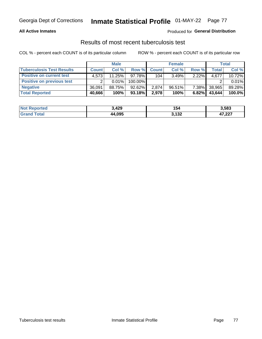#### **All Active Inmates**

#### Produced for **General Distribution**

### Results of most recent tuberculosis test

|                                  | <b>Male</b>  |        | <b>Female</b> |              |           | Total    |              |        |
|----------------------------------|--------------|--------|---------------|--------------|-----------|----------|--------------|--------|
| <b>Tuberculosis Test Results</b> | <b>Count</b> | Col %  | Row %         | <b>Count</b> | Col %     | Row %    | <b>Total</b> | Col %  |
| <b>Positive on current test</b>  | 4.573        | 11.25% | 97.78%        | 104          | 3.49%     | $2.22\%$ | 4,677        | 10.72% |
| <b>Positive on previous test</b> |              | 0.01%  | 100.00%       |              |           |          |              | 0.01%  |
| <b>Negative</b>                  | 36.091       | 88.75% | $92.62\%$     | 2,874        | $96.51\%$ | $7.38\%$ | 38,965       | 89.28% |
| <b>Total Reported</b>            | 40,666       | 100%   | 93.18%        | 2,978        | 100%      | 6.82%    | 43,644       | 100.0% |

| <b>Not Reported</b> | 3,429  | 154            | 3,583           |
|---------------------|--------|----------------|-----------------|
| ™otal               | 44,095 | 122<br>১, । ১∠ | 17.22<br>41,441 |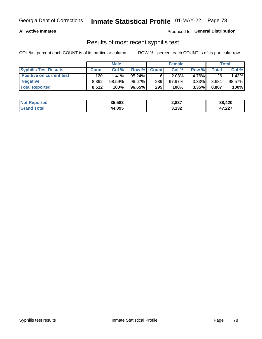#### **All Active Inmates**

Produced for **General Distribution**

### Results of most recent syphilis test

|                                 | <b>Male</b>  |           | <b>Female</b> |              |           | Total |       |        |
|---------------------------------|--------------|-----------|---------------|--------------|-----------|-------|-------|--------|
| <b>Syphilis Test Results</b>    | <b>Count</b> | Col%      | Row %         | <b>Count</b> | Col %     | Row % | Total | Col %  |
| <b>Positive on current test</b> | 120          | $1.41\%$  | $95.24\%$     |              | 2.03%     | 4.76% | 126   | 1.43%  |
| <b>Negative</b>                 | 8.392        | $98.59\%$ | 96.67%        | 289          | $97.97\%$ | 3.33% | 8,681 | 98.57% |
| <b>Total Reported</b>           | 8,512        | 100%      | 96.65%        | 295          | 100%      | 3.35% | 8,807 | 100%   |

| <b>Not Reported</b> | 35,583 | 2,837 | 38,420 |
|---------------------|--------|-------|--------|
| <b>Grand Total</b>  | 44,095 | 3,132 | 47,227 |